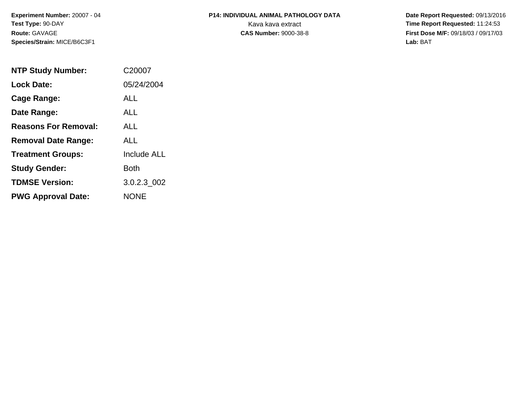**Experiment Number:** 20007 - 04**Test Type:** 90-DAY**Route:** GAVAGE**Species/Strain:** MICE/B6C3F1

## **P14: INDIVIDUAL ANIMAL PATHOLOGY DATA**Kava kava extract **Time Report Requested:** 11:24:53<br>**CAS Number:** 9000-38-8 **Time Report Requested:** 11:24:53

 **Date Report Requested:** 09/13/2016 **First Dose M/F:** 09/18/03 / 09/17/03<br>Lab: BAT **Lab:** BAT

| <b>NTP Study Number:</b>    | C20007             |
|-----------------------------|--------------------|
| <b>Lock Date:</b>           | 05/24/2004         |
| Cage Range:                 | ALL                |
| Date Range:                 | ALL                |
| <b>Reasons For Removal:</b> | ALL.               |
| <b>Removal Date Range:</b>  | ALL                |
| <b>Treatment Groups:</b>    | <b>Include ALL</b> |
| <b>Study Gender:</b>        | <b>Both</b>        |
| <b>TDMSE Version:</b>       | 3.0.2.3 002        |
| <b>PWG Approval Date:</b>   | <b>NONE</b>        |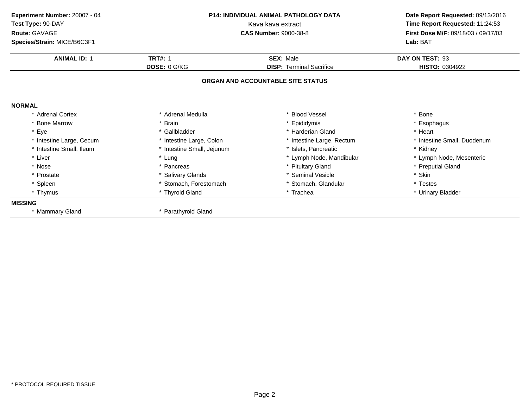| Experiment Number: 20007 - 04<br>Test Type: 90-DAY | <b>P14: INDIVIDUAL ANIMAL PATHOLOGY DATA</b><br>Kava kava extract<br><b>CAS Number: 9000-38-8</b> |                                   | Date Report Requested: 09/13/2016<br>Time Report Requested: 11:24:53 |  |
|----------------------------------------------------|---------------------------------------------------------------------------------------------------|-----------------------------------|----------------------------------------------------------------------|--|
| Route: GAVAGE                                      |                                                                                                   |                                   | First Dose M/F: 09/18/03 / 09/17/03                                  |  |
| Species/Strain: MICE/B6C3F1                        |                                                                                                   |                                   | Lab: BAT                                                             |  |
| <b>ANIMAL ID: 1</b>                                | <b>TRT#: 1</b>                                                                                    | <b>SEX: Male</b>                  | DAY ON TEST: 93                                                      |  |
|                                                    | DOSE: 0 G/KG                                                                                      | <b>DISP: Terminal Sacrifice</b>   | <b>HISTO: 0304922</b>                                                |  |
|                                                    |                                                                                                   | ORGAN AND ACCOUNTABLE SITE STATUS |                                                                      |  |
| <b>NORMAL</b>                                      |                                                                                                   |                                   |                                                                      |  |
| * Adrenal Cortex                                   | * Adrenal Medulla                                                                                 | * Blood Vessel                    | * Bone                                                               |  |
| * Bone Marrow                                      | <b>Brain</b>                                                                                      | * Epididymis                      | * Esophagus                                                          |  |
| * Eye                                              | * Gallbladder                                                                                     | * Harderian Gland                 | * Heart                                                              |  |
| * Intestine Large, Cecum                           | * Intestine Large, Colon                                                                          | * Intestine Large, Rectum         | * Intestine Small, Duodenum                                          |  |
| * Intestine Small, Ileum                           | * Intestine Small, Jejunum                                                                        | * Islets, Pancreatic              | * Kidney                                                             |  |
| * Liver                                            | * Lung                                                                                            | * Lymph Node, Mandibular          | * Lymph Node, Mesenteric                                             |  |
| * Nose                                             | * Pancreas                                                                                        | * Pituitary Gland                 | * Preputial Gland                                                    |  |
| * Prostate                                         | * Salivary Glands                                                                                 | * Seminal Vesicle                 | * Skin                                                               |  |
| * Spleen                                           | * Stomach, Forestomach                                                                            | * Stomach, Glandular              | * Testes                                                             |  |
| * Thymus                                           | * Thyroid Gland                                                                                   | * Trachea                         | * Urinary Bladder                                                    |  |
| <b>MISSING</b>                                     |                                                                                                   |                                   |                                                                      |  |
| * Mammary Gland                                    | * Parathyroid Gland                                                                               |                                   |                                                                      |  |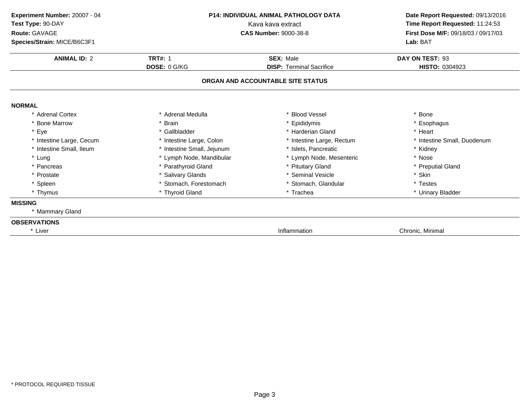| Experiment Number: 20007 - 04<br>Test Type: 90-DAY<br>Route: GAVAGE<br>Species/Strain: MICE/B6C3F1 | <b>P14: INDIVIDUAL ANIMAL PATHOLOGY DATA</b><br>Kava kava extract<br><b>CAS Number: 9000-38-8</b> |                                   | Date Report Requested: 09/13/2016<br>Time Report Requested: 11:24:53<br>First Dose M/F: 09/18/03 / 09/17/03<br>Lab: BAT |
|----------------------------------------------------------------------------------------------------|---------------------------------------------------------------------------------------------------|-----------------------------------|-------------------------------------------------------------------------------------------------------------------------|
| <b>ANIMAL ID: 2</b>                                                                                | <b>TRT#: 1</b>                                                                                    | <b>SEX: Male</b>                  | DAY ON TEST: 93                                                                                                         |
|                                                                                                    | DOSE: 0 G/KG                                                                                      | <b>DISP: Terminal Sacrifice</b>   | <b>HISTO: 0304923</b>                                                                                                   |
|                                                                                                    |                                                                                                   | ORGAN AND ACCOUNTABLE SITE STATUS |                                                                                                                         |
| <b>NORMAL</b>                                                                                      |                                                                                                   |                                   |                                                                                                                         |
| * Adrenal Cortex                                                                                   | * Adrenal Medulla                                                                                 | * Blood Vessel                    | * Bone                                                                                                                  |
| * Bone Marrow                                                                                      | * Brain                                                                                           | * Epididymis                      | * Esophagus                                                                                                             |
| * Eye                                                                                              | * Gallbladder                                                                                     | * Harderian Gland                 | * Heart                                                                                                                 |
| * Intestine Large, Cecum                                                                           | * Intestine Large, Colon                                                                          | * Intestine Large, Rectum         | * Intestine Small, Duodenum                                                                                             |
| * Intestine Small, Ileum                                                                           | * Intestine Small, Jejunum                                                                        | * Islets, Pancreatic              | * Kidney                                                                                                                |
| * Lung                                                                                             | * Lymph Node, Mandibular                                                                          | * Lymph Node, Mesenteric          | * Nose                                                                                                                  |
| * Pancreas                                                                                         | * Parathyroid Gland                                                                               | * Pituitary Gland                 | * Preputial Gland                                                                                                       |
| * Prostate                                                                                         | * Salivary Glands                                                                                 | * Seminal Vesicle                 | * Skin                                                                                                                  |
| * Spleen                                                                                           | * Stomach, Forestomach                                                                            | * Stomach, Glandular              | * Testes                                                                                                                |
| * Thymus                                                                                           | * Thyroid Gland                                                                                   | * Trachea                         | * Urinary Bladder                                                                                                       |
| <b>MISSING</b>                                                                                     |                                                                                                   |                                   |                                                                                                                         |
| * Mammary Gland                                                                                    |                                                                                                   |                                   |                                                                                                                         |
| <b>OBSERVATIONS</b>                                                                                |                                                                                                   |                                   |                                                                                                                         |
| * Liver                                                                                            |                                                                                                   | Inflammation                      | Chronic, Minimal                                                                                                        |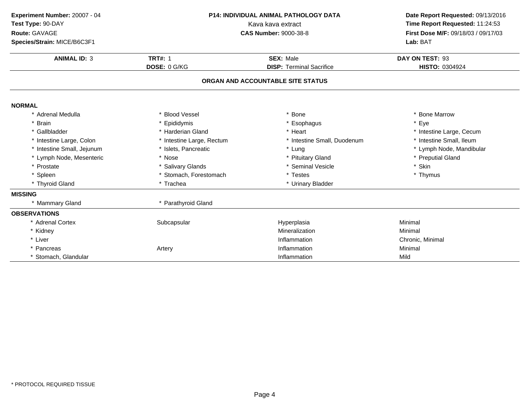| Experiment Number: 20007 - 04<br>Test Type: 90-DAY<br>Route: GAVAGE<br>Species/Strain: MICE/B6C3F1<br><b>ANIMAL ID: 3</b> | P14: INDIVIDUAL ANIMAL PATHOLOGY DATA<br>Kava kava extract<br><b>CAS Number: 9000-38-8</b> |                                              | Date Report Requested: 09/13/2016<br>Time Report Requested: 11:24:53<br>First Dose M/F: 09/18/03 / 09/17/03<br>Lab: BAT<br>DAY ON TEST: 93 |
|---------------------------------------------------------------------------------------------------------------------------|--------------------------------------------------------------------------------------------|----------------------------------------------|--------------------------------------------------------------------------------------------------------------------------------------------|
|                                                                                                                           | <b>TRT#: 1</b><br>DOSE: 0 G/KG                                                             | SEX: Male<br><b>DISP: Terminal Sacrifice</b> | HISTO: 0304924                                                                                                                             |
|                                                                                                                           |                                                                                            | ORGAN AND ACCOUNTABLE SITE STATUS            |                                                                                                                                            |
| <b>NORMAL</b>                                                                                                             |                                                                                            |                                              |                                                                                                                                            |
| * Adrenal Medulla                                                                                                         | <b>Blood Vessel</b>                                                                        | <b>Bone</b>                                  | * Bone Marrow                                                                                                                              |
| * Brain                                                                                                                   | Epididymis                                                                                 | * Esophagus                                  | * Eye                                                                                                                                      |
| * Gallbladder                                                                                                             | * Harderian Gland                                                                          | * Heart                                      | * Intestine Large, Cecum                                                                                                                   |
| * Intestine Large, Colon                                                                                                  | * Intestine Large, Rectum                                                                  | * Intestine Small, Duodenum                  | * Intestine Small, Ileum                                                                                                                   |
| * Intestine Small, Jejunum                                                                                                | * Islets, Pancreatic                                                                       | * Lung                                       | * Lymph Node, Mandibular                                                                                                                   |
| * Lymph Node, Mesenteric                                                                                                  | * Nose                                                                                     | * Pituitary Gland                            | * Preputial Gland                                                                                                                          |
| * Prostate                                                                                                                | * Salivary Glands                                                                          | * Seminal Vesicle                            | * Skin                                                                                                                                     |
| * Spleen                                                                                                                  | * Stomach, Forestomach                                                                     | * Testes                                     | * Thymus                                                                                                                                   |
| * Thyroid Gland                                                                                                           | * Trachea                                                                                  | * Urinary Bladder                            |                                                                                                                                            |
| <b>MISSING</b>                                                                                                            |                                                                                            |                                              |                                                                                                                                            |
| * Mammary Gland                                                                                                           | * Parathyroid Gland                                                                        |                                              |                                                                                                                                            |
| <b>OBSERVATIONS</b>                                                                                                       |                                                                                            |                                              |                                                                                                                                            |
| * Adrenal Cortex                                                                                                          | Subcapsular                                                                                | Hyperplasia                                  | Minimal                                                                                                                                    |
| * Kidney                                                                                                                  |                                                                                            | Mineralization                               | Minimal                                                                                                                                    |
| * Liver                                                                                                                   |                                                                                            | Inflammation                                 | Chronic, Minimal                                                                                                                           |
| Pancreas                                                                                                                  | Artery                                                                                     | Inflammation                                 | Minimal                                                                                                                                    |
| * Stomach, Glandular                                                                                                      |                                                                                            | Inflammation                                 | Mild                                                                                                                                       |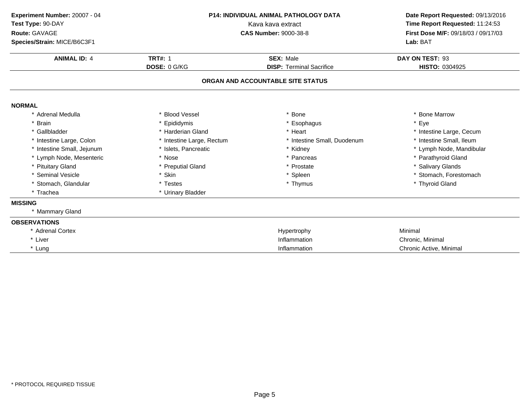| Experiment Number: 20007 - 04<br>Test Type: 90-DAY<br>Route: GAVAGE<br>Species/Strain: MICE/B6C3F1<br><b>ANIMAL ID: 4</b> | <b>P14: INDIVIDUAL ANIMAL PATHOLOGY DATA</b><br>Kava kava extract<br><b>CAS Number: 9000-38-8</b><br><b>TRT#: 1</b><br><b>SEX: Male</b><br>DOSE: 0 G/KG<br><b>DISP: Terminal Sacrifice</b> |                                   | Date Report Requested: 09/13/2016<br>Time Report Requested: 11:24:53<br>First Dose M/F: 09/18/03 / 09/17/03<br>Lab: BAT<br>DAY ON TEST: 93<br>HISTO: 0304925 |
|---------------------------------------------------------------------------------------------------------------------------|--------------------------------------------------------------------------------------------------------------------------------------------------------------------------------------------|-----------------------------------|--------------------------------------------------------------------------------------------------------------------------------------------------------------|
|                                                                                                                           |                                                                                                                                                                                            | ORGAN AND ACCOUNTABLE SITE STATUS |                                                                                                                                                              |
| <b>NORMAL</b>                                                                                                             |                                                                                                                                                                                            |                                   |                                                                                                                                                              |
| * Adrenal Medulla                                                                                                         | * Blood Vessel                                                                                                                                                                             | Bone                              | * Bone Marrow                                                                                                                                                |
| * Brain                                                                                                                   | * Epididymis                                                                                                                                                                               | * Esophagus                       | * Eye                                                                                                                                                        |
| * Gallbladder                                                                                                             | * Harderian Gland                                                                                                                                                                          | * Heart                           | * Intestine Large, Cecum                                                                                                                                     |
| * Intestine Large, Colon                                                                                                  | * Intestine Large, Rectum                                                                                                                                                                  | * Intestine Small, Duodenum       | * Intestine Small, Ileum                                                                                                                                     |
| * Intestine Small, Jejunum                                                                                                | * Islets, Pancreatic                                                                                                                                                                       | * Kidney                          | * Lymph Node, Mandibular                                                                                                                                     |
| * Lymph Node, Mesenteric                                                                                                  | * Nose                                                                                                                                                                                     | * Pancreas                        | * Parathyroid Gland                                                                                                                                          |
| * Pituitary Gland                                                                                                         | * Preputial Gland                                                                                                                                                                          | * Prostate                        | * Salivary Glands                                                                                                                                            |
| * Seminal Vesicle                                                                                                         | * Skin                                                                                                                                                                                     | * Spleen                          | * Stomach, Forestomach                                                                                                                                       |
| * Stomach, Glandular                                                                                                      | * Testes                                                                                                                                                                                   | * Thymus                          | * Thyroid Gland                                                                                                                                              |
| * Trachea                                                                                                                 | * Urinary Bladder                                                                                                                                                                          |                                   |                                                                                                                                                              |
| <b>MISSING</b>                                                                                                            |                                                                                                                                                                                            |                                   |                                                                                                                                                              |
| * Mammary Gland                                                                                                           |                                                                                                                                                                                            |                                   |                                                                                                                                                              |
| <b>OBSERVATIONS</b>                                                                                                       |                                                                                                                                                                                            |                                   |                                                                                                                                                              |
| * Adrenal Cortex                                                                                                          |                                                                                                                                                                                            | Hypertrophy                       | Minimal                                                                                                                                                      |
| * Liver                                                                                                                   |                                                                                                                                                                                            | Inflammation                      | Chronic, Minimal                                                                                                                                             |
| * Lung                                                                                                                    |                                                                                                                                                                                            | Inflammation                      | Chronic Active, Minimal                                                                                                                                      |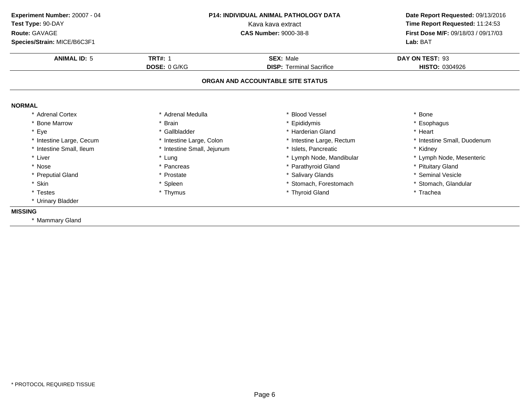| Experiment Number: 20007 - 04          | P14: INDIVIDUAL ANIMAL PATHOLOGY DATA |                                   | Date Report Requested: 09/13/2016   |  |
|----------------------------------------|---------------------------------------|-----------------------------------|-------------------------------------|--|
| Test Type: 90-DAY<br>Kava kava extract |                                       |                                   | Time Report Requested: 11:24:53     |  |
| Route: GAVAGE                          |                                       | <b>CAS Number: 9000-38-8</b>      | First Dose M/F: 09/18/03 / 09/17/03 |  |
| Species/Strain: MICE/B6C3F1            |                                       |                                   | Lab: BAT                            |  |
| <b>ANIMAL ID: 5</b>                    | <b>TRT#: 1</b>                        | <b>SEX: Male</b>                  | DAY ON TEST: 93                     |  |
|                                        | DOSE: 0 G/KG                          | <b>DISP: Terminal Sacrifice</b>   | HISTO: 0304926                      |  |
|                                        |                                       | ORGAN AND ACCOUNTABLE SITE STATUS |                                     |  |
| <b>NORMAL</b>                          |                                       |                                   |                                     |  |
| * Adrenal Cortex                       | * Adrenal Medulla                     | <b>Blood Vessel</b>               | * Bone                              |  |
| * Bone Marrow                          | * Brain                               | Epididymis                        | * Esophagus                         |  |
| Eye<br>$\star$                         | * Gallbladder                         | * Harderian Gland                 | * Heart                             |  |
| * Intestine Large, Cecum               | * Intestine Large, Colon              | * Intestine Large, Rectum         | * Intestine Small, Duodenum         |  |
| * Intestine Small, Ileum               | * Intestine Small, Jejunum            | * Islets, Pancreatic              | * Kidney                            |  |
| * Liver                                | * Lung                                | * Lymph Node, Mandibular          | * Lymph Node, Mesenteric            |  |
| * Nose                                 | * Pancreas                            | * Parathyroid Gland               | * Pituitary Gland                   |  |
| * Preputial Gland                      | * Prostate                            | * Salivary Glands                 | * Seminal Vesicle                   |  |
| * Skin                                 | * Spleen                              | * Stomach. Forestomach            | * Stomach, Glandular                |  |
| * Testes                               | * Thymus                              | * Thyroid Gland                   | * Trachea                           |  |
| * Urinary Bladder                      |                                       |                                   |                                     |  |
| <b>MISSING</b>                         |                                       |                                   |                                     |  |
| * Mammary Gland                        |                                       |                                   |                                     |  |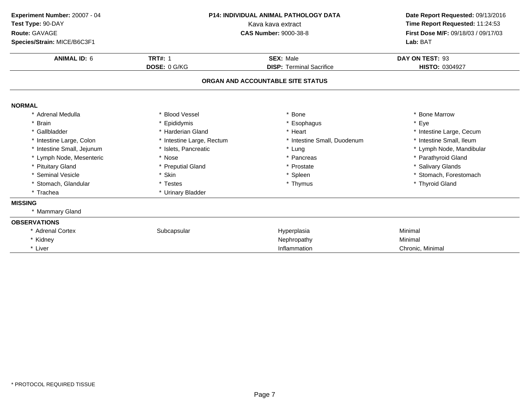| Experiment Number: 20007 - 04<br>Test Type: 90-DAY<br>Route: GAVAGE<br>Species/Strain: MICE/B6C3F1 | <b>P14: INDIVIDUAL ANIMAL PATHOLOGY DATA</b><br>Kava kava extract<br><b>CAS Number: 9000-38-8</b> |                                                     | Date Report Requested: 09/13/2016<br>Time Report Requested: 11:24:53<br>First Dose M/F: 09/18/03 / 09/17/03<br>Lab: BAT |
|----------------------------------------------------------------------------------------------------|---------------------------------------------------------------------------------------------------|-----------------------------------------------------|-------------------------------------------------------------------------------------------------------------------------|
| <b>ANIMAL ID: 6</b>                                                                                | <b>TRT#: 1</b><br>DOSE: 0 G/KG                                                                    | <b>SEX: Male</b><br><b>DISP: Terminal Sacrifice</b> | DAY ON TEST: 93<br>HISTO: 0304927                                                                                       |
|                                                                                                    |                                                                                                   | ORGAN AND ACCOUNTABLE SITE STATUS                   |                                                                                                                         |
| <b>NORMAL</b>                                                                                      |                                                                                                   |                                                     |                                                                                                                         |
| * Adrenal Medulla                                                                                  | * Blood Vessel                                                                                    | * Bone                                              | * Bone Marrow                                                                                                           |
| * Brain                                                                                            | * Epididymis                                                                                      | * Esophagus                                         | * Eye                                                                                                                   |
| * Gallbladder                                                                                      | * Harderian Gland                                                                                 | * Heart                                             | * Intestine Large, Cecum                                                                                                |
| * Intestine Large, Colon                                                                           | * Intestine Large, Rectum                                                                         | * Intestine Small, Duodenum                         | * Intestine Small, Ileum                                                                                                |
| * Intestine Small, Jejunum                                                                         | * Islets, Pancreatic                                                                              | * Lung                                              | * Lymph Node, Mandibular                                                                                                |
| * Lymph Node, Mesenteric                                                                           | * Nose                                                                                            | * Pancreas                                          | * Parathyroid Gland                                                                                                     |
| * Pituitary Gland                                                                                  | * Preputial Gland                                                                                 | * Prostate                                          | * Salivary Glands                                                                                                       |
| * Seminal Vesicle                                                                                  | * Skin                                                                                            | * Spleen                                            | * Stomach, Forestomach                                                                                                  |
| * Stomach, Glandular                                                                               | * Testes                                                                                          | * Thymus                                            | * Thyroid Gland                                                                                                         |
| * Trachea                                                                                          | * Urinary Bladder                                                                                 |                                                     |                                                                                                                         |
| <b>MISSING</b>                                                                                     |                                                                                                   |                                                     |                                                                                                                         |
| * Mammary Gland                                                                                    |                                                                                                   |                                                     |                                                                                                                         |
| <b>OBSERVATIONS</b>                                                                                |                                                                                                   |                                                     |                                                                                                                         |
| * Adrenal Cortex                                                                                   | Subcapsular                                                                                       | Hyperplasia                                         | Minimal                                                                                                                 |
| * Kidney                                                                                           |                                                                                                   | Nephropathy                                         | Minimal                                                                                                                 |
| * Liver                                                                                            |                                                                                                   | Inflammation                                        | Chronic, Minimal                                                                                                        |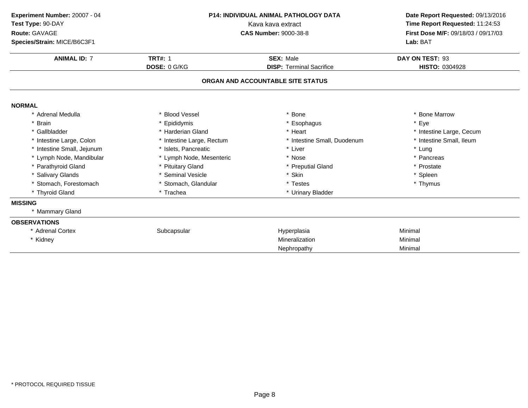| Experiment Number: 20007 - 04<br>Test Type: 90-DAY<br>Route: GAVAGE<br>Species/Strain: MICE/B6C3F1 | <b>P14: INDIVIDUAL ANIMAL PATHOLOGY DATA</b><br>Kava kava extract<br><b>CAS Number: 9000-38-8</b> |                                              | Date Report Requested: 09/13/2016<br>Time Report Requested: 11:24:53<br>First Dose M/F: 09/18/03 / 09/17/03<br>Lab: BAT |  |
|----------------------------------------------------------------------------------------------------|---------------------------------------------------------------------------------------------------|----------------------------------------------|-------------------------------------------------------------------------------------------------------------------------|--|
| <b>ANIMAL ID: 7</b>                                                                                | <b>TRT#: 1</b><br>DOSE: 0 G/KG                                                                    | SEX: Male<br><b>DISP: Terminal Sacrifice</b> | DAY ON TEST: 93<br>HISTO: 0304928                                                                                       |  |
|                                                                                                    |                                                                                                   | ORGAN AND ACCOUNTABLE SITE STATUS            |                                                                                                                         |  |
| <b>NORMAL</b>                                                                                      |                                                                                                   |                                              |                                                                                                                         |  |
| * Adrenal Medulla                                                                                  | <b>Blood Vessel</b>                                                                               | <b>Bone</b>                                  | * Bone Marrow                                                                                                           |  |
| * Brain                                                                                            | Epididymis                                                                                        | * Esophagus                                  | * Eye                                                                                                                   |  |
| * Gallbladder                                                                                      | * Harderian Gland                                                                                 | * Heart                                      | * Intestine Large, Cecum                                                                                                |  |
| * Intestine Large, Colon                                                                           | * Intestine Large, Rectum                                                                         | * Intestine Small, Duodenum                  | * Intestine Small, Ileum                                                                                                |  |
| * Intestine Small, Jejunum                                                                         | * Islets, Pancreatic                                                                              | * Liver                                      | * Lung                                                                                                                  |  |
| * Lymph Node, Mandibular                                                                           | * Lymph Node, Mesenteric                                                                          | * Nose                                       | * Pancreas                                                                                                              |  |
| * Parathyroid Gland                                                                                | * Pituitary Gland                                                                                 | * Preputial Gland                            | * Prostate                                                                                                              |  |
| * Salivary Glands                                                                                  | * Seminal Vesicle                                                                                 | * Skin                                       | * Spleen                                                                                                                |  |
| * Stomach, Forestomach                                                                             | * Stomach, Glandular                                                                              | * Testes                                     | * Thymus                                                                                                                |  |
| * Thyroid Gland                                                                                    | * Trachea                                                                                         | * Urinary Bladder                            |                                                                                                                         |  |
| <b>MISSING</b>                                                                                     |                                                                                                   |                                              |                                                                                                                         |  |
| * Mammary Gland                                                                                    |                                                                                                   |                                              |                                                                                                                         |  |
| <b>OBSERVATIONS</b>                                                                                |                                                                                                   |                                              |                                                                                                                         |  |
| * Adrenal Cortex                                                                                   | Subcapsular                                                                                       | Hyperplasia                                  | Minimal                                                                                                                 |  |
| * Kidney                                                                                           |                                                                                                   | Mineralization                               | Minimal                                                                                                                 |  |
|                                                                                                    |                                                                                                   | Nephropathy                                  | Minimal                                                                                                                 |  |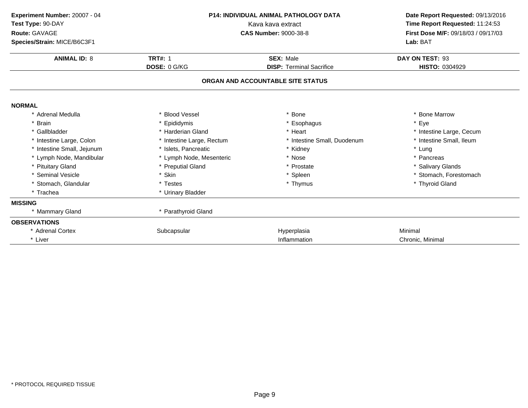| Experiment Number: 20007 - 04<br>Test Type: 90-DAY<br>Route: GAVAGE<br>Species/Strain: MICE/B6C3F1 | <b>P14: INDIVIDUAL ANIMAL PATHOLOGY DATA</b><br>Kava kava extract<br><b>CAS Number: 9000-38-8</b> |                                   | Lab: BAT                 |  | Date Report Requested: 09/13/2016<br>Time Report Requested: 11:24:53<br>First Dose M/F: 09/18/03 / 09/17/03 |
|----------------------------------------------------------------------------------------------------|---------------------------------------------------------------------------------------------------|-----------------------------------|--------------------------|--|-------------------------------------------------------------------------------------------------------------|
| <b>ANIMAL ID: 8</b>                                                                                | <b>TRT#: 1</b>                                                                                    | <b>SEX: Male</b>                  | DAY ON TEST: 93          |  |                                                                                                             |
|                                                                                                    | DOSE: 0 G/KG                                                                                      | <b>DISP: Terminal Sacrifice</b>   | HISTO: 0304929           |  |                                                                                                             |
|                                                                                                    |                                                                                                   | ORGAN AND ACCOUNTABLE SITE STATUS |                          |  |                                                                                                             |
| <b>NORMAL</b>                                                                                      |                                                                                                   |                                   |                          |  |                                                                                                             |
| * Adrenal Medulla                                                                                  | * Blood Vessel                                                                                    | * Bone                            | * Bone Marrow            |  |                                                                                                             |
| * Brain                                                                                            | * Epididymis                                                                                      | * Esophagus                       | * Eye                    |  |                                                                                                             |
| * Gallbladder                                                                                      | * Harderian Gland                                                                                 | * Heart                           | * Intestine Large, Cecum |  |                                                                                                             |
| * Intestine Large, Colon                                                                           | * Intestine Large, Rectum                                                                         | * Intestine Small, Duodenum       | * Intestine Small, Ileum |  |                                                                                                             |
| * Intestine Small, Jejunum                                                                         | * Islets. Pancreatic                                                                              | * Kidney                          | * Lung                   |  |                                                                                                             |
| * Lymph Node, Mandibular                                                                           | * Lymph Node, Mesenteric                                                                          | * Nose                            | * Pancreas               |  |                                                                                                             |
| * Pituitary Gland                                                                                  | * Preputial Gland                                                                                 | * Prostate                        | * Salivary Glands        |  |                                                                                                             |
| * Seminal Vesicle                                                                                  | * Skin                                                                                            | * Spleen                          | * Stomach, Forestomach   |  |                                                                                                             |
| * Stomach, Glandular                                                                               | * Testes                                                                                          | * Thymus                          | * Thyroid Gland          |  |                                                                                                             |
| * Trachea                                                                                          | * Urinary Bladder                                                                                 |                                   |                          |  |                                                                                                             |
| <b>MISSING</b>                                                                                     |                                                                                                   |                                   |                          |  |                                                                                                             |
| * Mammary Gland                                                                                    | * Parathyroid Gland                                                                               |                                   |                          |  |                                                                                                             |
| <b>OBSERVATIONS</b>                                                                                |                                                                                                   |                                   |                          |  |                                                                                                             |
| * Adrenal Cortex                                                                                   | Subcapsular                                                                                       | Hyperplasia                       | Minimal                  |  |                                                                                                             |
| * Liver                                                                                            |                                                                                                   | Inflammation                      | Chronic, Minimal         |  |                                                                                                             |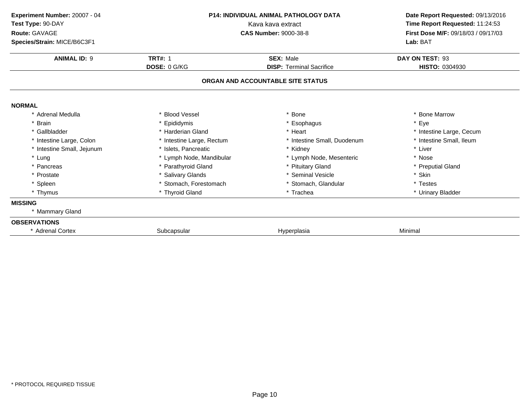| Experiment Number: 20007 - 04<br>Test Type: 90-DAY<br>Route: GAVAGE<br>Species/Strain: MICE/B6C3F1 | <b>P14: INDIVIDUAL ANIMAL PATHOLOGY DATA</b><br>Kava kava extract<br><b>CAS Number: 9000-38-8</b> |                                   | Date Report Requested: 09/13/2016<br>Time Report Requested: 11:24:53<br>First Dose M/F: 09/18/03 / 09/17/03<br>Lab: BAT |  |
|----------------------------------------------------------------------------------------------------|---------------------------------------------------------------------------------------------------|-----------------------------------|-------------------------------------------------------------------------------------------------------------------------|--|
| <b>ANIMAL ID: 9</b>                                                                                | <b>TRT#: 1</b>                                                                                    | <b>SEX: Male</b>                  | DAY ON TEST: 93                                                                                                         |  |
|                                                                                                    | DOSE: 0 G/KG                                                                                      | <b>DISP: Terminal Sacrifice</b>   | HISTO: 0304930                                                                                                          |  |
|                                                                                                    |                                                                                                   | ORGAN AND ACCOUNTABLE SITE STATUS |                                                                                                                         |  |
| <b>NORMAL</b>                                                                                      |                                                                                                   |                                   |                                                                                                                         |  |
| * Adrenal Medulla                                                                                  | * Blood Vessel                                                                                    | * Bone                            | * Bone Marrow                                                                                                           |  |
| <b>Brain</b>                                                                                       | * Epididymis                                                                                      | * Esophagus                       | * Eye                                                                                                                   |  |
| * Gallbladder                                                                                      | * Harderian Gland                                                                                 | * Heart                           | * Intestine Large, Cecum                                                                                                |  |
| * Intestine Large, Colon                                                                           | * Intestine Large, Rectum                                                                         | * Intestine Small, Duodenum       | * Intestine Small, Ileum                                                                                                |  |
| * Intestine Small, Jejunum                                                                         | * Islets, Pancreatic                                                                              | * Kidney                          | * Liver                                                                                                                 |  |
| * Lung                                                                                             | * Lymph Node, Mandibular                                                                          | * Lymph Node, Mesenteric          | * Nose                                                                                                                  |  |
| * Pancreas                                                                                         | * Parathyroid Gland                                                                               | * Pituitary Gland                 | * Preputial Gland                                                                                                       |  |
| * Prostate                                                                                         | * Salivary Glands                                                                                 | * Seminal Vesicle                 | * Skin                                                                                                                  |  |
| * Spleen                                                                                           | * Stomach, Forestomach                                                                            | * Stomach, Glandular              | * Testes                                                                                                                |  |
| * Thymus                                                                                           | * Thyroid Gland                                                                                   | * Trachea                         | * Urinary Bladder                                                                                                       |  |
| <b>MISSING</b>                                                                                     |                                                                                                   |                                   |                                                                                                                         |  |
| * Mammary Gland                                                                                    |                                                                                                   |                                   |                                                                                                                         |  |
| <b>OBSERVATIONS</b>                                                                                |                                                                                                   |                                   |                                                                                                                         |  |
| * Adrenal Cortex                                                                                   | Subcapsular                                                                                       | Hyperplasia                       | Minimal                                                                                                                 |  |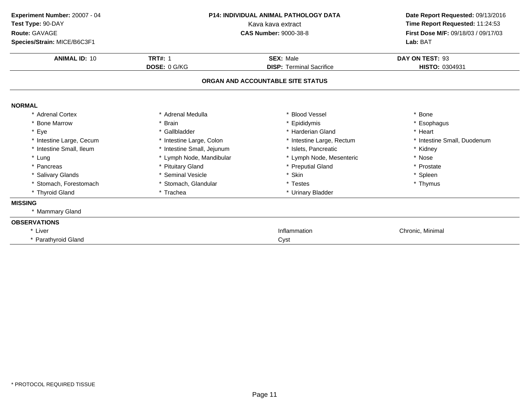| Experiment Number: 20007 - 04<br>Test Type: 90-DAY<br>Route: GAVAGE<br>Species/Strain: MICE/B6C3F1 | <b>P14: INDIVIDUAL ANIMAL PATHOLOGY DATA</b><br>Kava kava extract<br><b>CAS Number: 9000-38-8</b> |                                                     | Date Report Requested: 09/13/2016<br>Time Report Requested: 11:24:53<br>First Dose M/F: 09/18/03 / 09/17/03<br>Lab: BAT |  |
|----------------------------------------------------------------------------------------------------|---------------------------------------------------------------------------------------------------|-----------------------------------------------------|-------------------------------------------------------------------------------------------------------------------------|--|
| <b>ANIMAL ID: 10</b>                                                                               | <b>TRT#: 1</b><br>DOSE: 0 G/KG                                                                    | <b>SEX: Male</b><br><b>DISP: Terminal Sacrifice</b> | DAY ON TEST: 93<br>HISTO: 0304931                                                                                       |  |
|                                                                                                    |                                                                                                   | ORGAN AND ACCOUNTABLE SITE STATUS                   |                                                                                                                         |  |
| <b>NORMAL</b>                                                                                      |                                                                                                   |                                                     |                                                                                                                         |  |
| * Adrenal Cortex                                                                                   | * Adrenal Medulla                                                                                 | * Blood Vessel                                      | * Bone                                                                                                                  |  |
| * Bone Marrow                                                                                      | * Brain                                                                                           | * Epididymis                                        | * Esophagus                                                                                                             |  |
| * Eye                                                                                              | * Gallbladder                                                                                     | * Harderian Gland                                   | * Heart                                                                                                                 |  |
| * Intestine Large, Cecum                                                                           | * Intestine Large, Colon                                                                          | * Intestine Large, Rectum                           | * Intestine Small, Duodenum                                                                                             |  |
| * Intestine Small, Ileum                                                                           | * Intestine Small, Jejunum                                                                        | * Islets, Pancreatic                                | * Kidney                                                                                                                |  |
| * Lung                                                                                             | * Lymph Node, Mandibular                                                                          | * Lymph Node, Mesenteric                            | * Nose                                                                                                                  |  |
| * Pancreas                                                                                         | * Pituitary Gland                                                                                 | * Preputial Gland                                   | * Prostate                                                                                                              |  |
| * Salivary Glands                                                                                  | * Seminal Vesicle                                                                                 | * Skin                                              | * Spleen                                                                                                                |  |
| * Stomach, Forestomach                                                                             | * Stomach, Glandular                                                                              | * Testes                                            | * Thymus                                                                                                                |  |
| * Thyroid Gland                                                                                    | * Trachea                                                                                         | * Urinary Bladder                                   |                                                                                                                         |  |
| <b>MISSING</b>                                                                                     |                                                                                                   |                                                     |                                                                                                                         |  |
| * Mammary Gland                                                                                    |                                                                                                   |                                                     |                                                                                                                         |  |
| <b>OBSERVATIONS</b>                                                                                |                                                                                                   |                                                     |                                                                                                                         |  |
| * Liver                                                                                            |                                                                                                   | Inflammation                                        | Chronic, Minimal                                                                                                        |  |
| * Parathyroid Gland                                                                                |                                                                                                   | Cyst                                                |                                                                                                                         |  |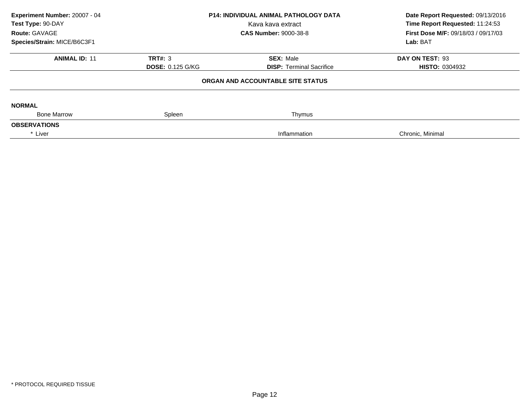| Experiment Number: 20007 - 04<br>Test Type: 90-DAY<br>Route: GAVAGE<br>Species/Strain: MICE/B6C3F1 | <b>P14: INDIVIDUAL ANIMAL PATHOLOGY DATA</b><br>Kava kava extract<br><b>CAS Number: 9000-38-8</b> |                                                     | Date Report Requested: 09/13/2016<br>Time Report Requested: 11:24:53<br>First Dose M/F: 09/18/03 / 09/17/03<br>Lab: BAT |
|----------------------------------------------------------------------------------------------------|---------------------------------------------------------------------------------------------------|-----------------------------------------------------|-------------------------------------------------------------------------------------------------------------------------|
| <b>ANIMAL ID: 11</b>                                                                               | <b>TRT#: 3</b><br><b>DOSE: 0.125 G/KG</b>                                                         | <b>SEX: Male</b><br><b>DISP: Terminal Sacrifice</b> | DAY ON TEST: 93<br><b>HISTO: 0304932</b>                                                                                |
|                                                                                                    |                                                                                                   | ORGAN AND ACCOUNTABLE SITE STATUS                   |                                                                                                                         |
| <b>NORMAL</b><br><b>Bone Marrow</b>                                                                | Spleen                                                                                            | Thymus                                              |                                                                                                                         |
| <b>OBSERVATIONS</b>                                                                                |                                                                                                   |                                                     |                                                                                                                         |
| * Liver                                                                                            |                                                                                                   | Inflammation                                        | Chronic, Minimal                                                                                                        |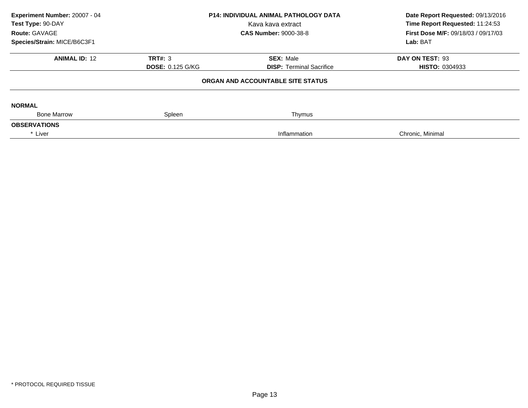| Experiment Number: 20007 - 04<br>Test Type: 90-DAY<br>Route: GAVAGE<br>Species/Strain: MICE/B6C3F1 | <b>P14: INDIVIDUAL ANIMAL PATHOLOGY DATA</b><br>Kava kava extract<br><b>CAS Number: 9000-38-8</b> |                                                     | Date Report Requested: 09/13/2016<br>Time Report Requested: 11:24:53<br>First Dose M/F: 09/18/03 / 09/17/03<br>Lab: BAT |
|----------------------------------------------------------------------------------------------------|---------------------------------------------------------------------------------------------------|-----------------------------------------------------|-------------------------------------------------------------------------------------------------------------------------|
| <b>ANIMAL ID: 12</b>                                                                               | <b>TRT#: 3</b><br><b>DOSE: 0.125 G/KG</b>                                                         | <b>SEX: Male</b><br><b>DISP: Terminal Sacrifice</b> | DAY ON TEST: 93<br><b>HISTO: 0304933</b>                                                                                |
|                                                                                                    |                                                                                                   | ORGAN AND ACCOUNTABLE SITE STATUS                   |                                                                                                                         |
| <b>NORMAL</b>                                                                                      |                                                                                                   |                                                     |                                                                                                                         |
| <b>Bone Marrow</b><br><b>OBSERVATIONS</b>                                                          | Spleen                                                                                            | Thymus                                              |                                                                                                                         |
| * Liver                                                                                            |                                                                                                   | Inflammation                                        | Chronic, Minimal                                                                                                        |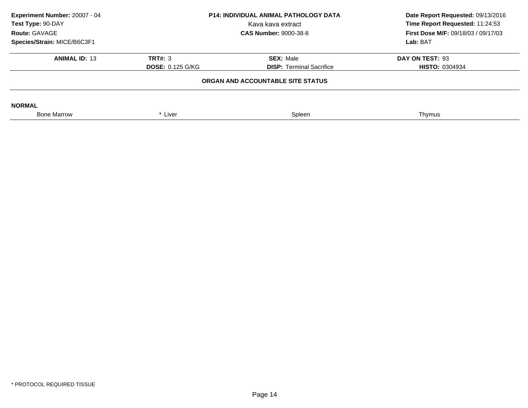| Experiment Number: 20007 - 04<br>Test Type: 90-DAY<br>Route: GAVAGE<br>Species/Strain: MICE/B6C3F1 | <b>P14: INDIVIDUAL ANIMAL PATHOLOGY DATA</b><br>Kava kava extract<br><b>CAS Number: 9000-38-8</b> |                                                     | Date Report Requested: 09/13/2016<br>Time Report Requested: 11:24:53<br><b>First Dose M/F: 09/18/03 / 09/17/03</b><br>Lab: BAT |  |  |
|----------------------------------------------------------------------------------------------------|---------------------------------------------------------------------------------------------------|-----------------------------------------------------|--------------------------------------------------------------------------------------------------------------------------------|--|--|
| <b>ANIMAL ID: 13</b>                                                                               | TRT#: 3<br><b>DOSE: 0.125 G/KG</b>                                                                | <b>SEX: Male</b><br><b>DISP:</b> Terminal Sacrifice | DAY ON TEST: 93<br><b>HISTO: 0304934</b>                                                                                       |  |  |
| ORGAN AND ACCOUNTABLE SITE STATUS                                                                  |                                                                                                   |                                                     |                                                                                                                                |  |  |
| <b>NORMAL</b>                                                                                      |                                                                                                   |                                                     |                                                                                                                                |  |  |
| <b>Bone Marrow</b>                                                                                 | * Liver                                                                                           | Spleen                                              | Thymus                                                                                                                         |  |  |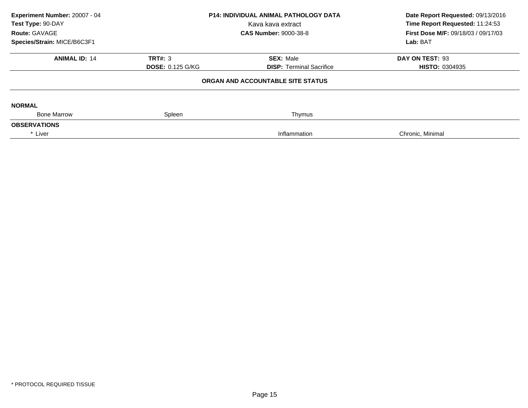| Experiment Number: 20007 - 04<br>Test Type: 90-DAY<br>Route: GAVAGE<br>Species/Strain: MICE/B6C3F1 | <b>P14: INDIVIDUAL ANIMAL PATHOLOGY DATA</b><br>Kava kava extract<br><b>CAS Number: 9000-38-8</b> |                                                     | Date Report Requested: 09/13/2016<br>Time Report Requested: 11:24:53<br>First Dose M/F: 09/18/03 / 09/17/03<br>Lab: BAT |
|----------------------------------------------------------------------------------------------------|---------------------------------------------------------------------------------------------------|-----------------------------------------------------|-------------------------------------------------------------------------------------------------------------------------|
| <b>ANIMAL ID: 14</b>                                                                               | <b>TRT#: 3</b><br><b>DOSE: 0.125 G/KG</b>                                                         | <b>SEX: Male</b><br><b>DISP: Terminal Sacrifice</b> | DAY ON TEST: 93<br><b>HISTO: 0304935</b>                                                                                |
|                                                                                                    |                                                                                                   | ORGAN AND ACCOUNTABLE SITE STATUS                   |                                                                                                                         |
| <b>NORMAL</b><br><b>Bone Marrow</b>                                                                | Spleen                                                                                            | Thymus                                              |                                                                                                                         |
| <b>OBSERVATIONS</b>                                                                                |                                                                                                   |                                                     |                                                                                                                         |
| * Liver                                                                                            |                                                                                                   | Inflammation                                        | Chronic, Minimal                                                                                                        |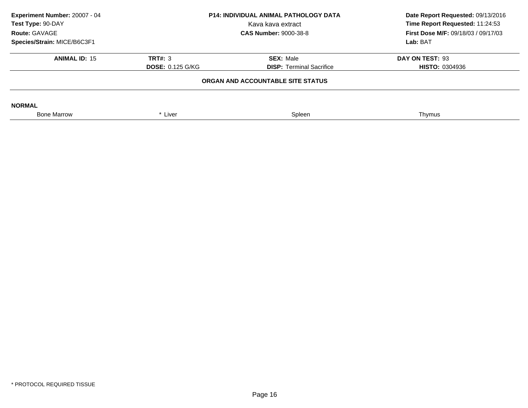| Experiment Number: 20007 - 04<br>Test Type: 90-DAY<br>Route: GAVAGE<br>Species/Strain: MICE/B6C3F1 | <b>P14: INDIVIDUAL ANIMAL PATHOLOGY DATA</b><br>Kava kava extract<br><b>CAS Number: 9000-38-8</b> |                                                     | Date Report Requested: 09/13/2016<br>Time Report Requested: 11:24:53<br><b>First Dose M/F: 09/18/03 / 09/17/03</b><br>Lab: BAT |
|----------------------------------------------------------------------------------------------------|---------------------------------------------------------------------------------------------------|-----------------------------------------------------|--------------------------------------------------------------------------------------------------------------------------------|
| <b>ANIMAL ID: 15</b>                                                                               | TRT#: 3<br><b>DOSE: 0.125 G/KG</b>                                                                | <b>SEX: Male</b><br><b>DISP:</b> Terminal Sacrifice | DAY ON TEST: 93<br><b>HISTO: 0304936</b>                                                                                       |
|                                                                                                    |                                                                                                   | ORGAN AND ACCOUNTABLE SITE STATUS                   |                                                                                                                                |
| <b>NORMAL</b>                                                                                      |                                                                                                   |                                                     |                                                                                                                                |
| <b>Bone Marrow</b>                                                                                 | * Liver                                                                                           | Spleen                                              | Thymus                                                                                                                         |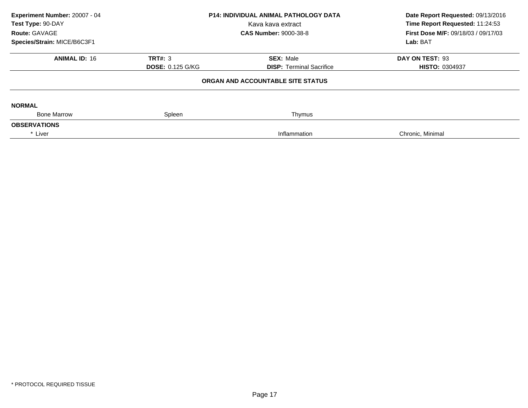| Experiment Number: 20007 - 04<br>Test Type: 90-DAY<br>Route: GAVAGE<br>Species/Strain: MICE/B6C3F1 | <b>P14: INDIVIDUAL ANIMAL PATHOLOGY DATA</b><br>Kava kava extract<br><b>CAS Number: 9000-38-8</b> |                                                     | Date Report Requested: 09/13/2016<br>Time Report Requested: 11:24:53<br><b>First Dose M/F: 09/18/03 / 09/17/03</b><br>Lab: BAT |
|----------------------------------------------------------------------------------------------------|---------------------------------------------------------------------------------------------------|-----------------------------------------------------|--------------------------------------------------------------------------------------------------------------------------------|
| <b>ANIMAL ID: 16</b>                                                                               | <b>TRT#: 3</b><br><b>DOSE: 0.125 G/KG</b>                                                         | <b>SEX: Male</b><br><b>DISP:</b> Terminal Sacrifice | DAY ON TEST: 93<br><b>HISTO: 0304937</b>                                                                                       |
|                                                                                                    |                                                                                                   | ORGAN AND ACCOUNTABLE SITE STATUS                   |                                                                                                                                |
| <b>NORMAL</b>                                                                                      |                                                                                                   |                                                     |                                                                                                                                |
| <b>Bone Marrow</b><br><b>OBSERVATIONS</b>                                                          | Spleen                                                                                            | Thymus                                              |                                                                                                                                |
| * Liver                                                                                            |                                                                                                   | Inflammation                                        | Chronic, Minimal                                                                                                               |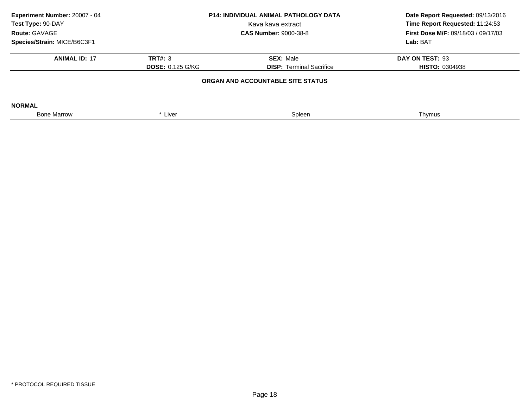| Experiment Number: 20007 - 04<br>Test Type: 90-DAY<br>Route: GAVAGE | <b>P14: INDIVIDUAL ANIMAL PATHOLOGY DATA</b><br>Kava kava extract<br><b>CAS Number: 9000-38-8</b> |                                 | Date Report Requested: 09/13/2016<br>Time Report Requested: 11:24:53<br><b>First Dose M/F: 09/18/03 / 09/17/03</b> |  |  |
|---------------------------------------------------------------------|---------------------------------------------------------------------------------------------------|---------------------------------|--------------------------------------------------------------------------------------------------------------------|--|--|
| Species/Strain: MICE/B6C3F1                                         |                                                                                                   |                                 | Lab: BAT                                                                                                           |  |  |
| <b>ANIMAL ID: 17</b>                                                | TRT#: 3                                                                                           | <b>SEX: Male</b>                | DAY ON TEST: 93                                                                                                    |  |  |
|                                                                     | <b>DOSE: 0.125 G/KG</b>                                                                           | <b>DISP:</b> Terminal Sacrifice | <b>HISTO: 0304938</b>                                                                                              |  |  |
| ORGAN AND ACCOUNTABLE SITE STATUS                                   |                                                                                                   |                                 |                                                                                                                    |  |  |
| <b>NORMAL</b>                                                       |                                                                                                   |                                 |                                                                                                                    |  |  |
| <b>Bone Marrow</b>                                                  | * Liver                                                                                           | Spleen                          | Thymus                                                                                                             |  |  |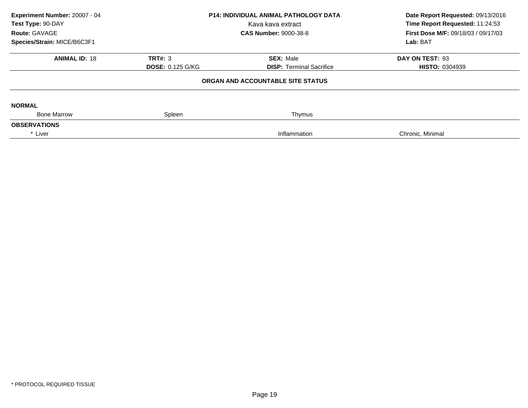| Experiment Number: 20007 - 04<br>Test Type: 90-DAY<br>Route: GAVAGE<br>Species/Strain: MICE/B6C3F1 | <b>P14: INDIVIDUAL ANIMAL PATHOLOGY DATA</b><br>Kava kava extract<br><b>CAS Number: 9000-38-8</b> |                                                     | Date Report Requested: 09/13/2016<br>Time Report Requested: 11:24:53<br><b>First Dose M/F: 09/18/03 / 09/17/03</b><br>Lab: BAT |
|----------------------------------------------------------------------------------------------------|---------------------------------------------------------------------------------------------------|-----------------------------------------------------|--------------------------------------------------------------------------------------------------------------------------------|
| <b>ANIMAL ID: 18</b>                                                                               | <b>TRT#: 3</b><br><b>DOSE: 0.125 G/KG</b>                                                         | <b>SEX: Male</b><br><b>DISP:</b> Terminal Sacrifice | DAY ON TEST: 93<br><b>HISTO: 0304939</b>                                                                                       |
|                                                                                                    |                                                                                                   | ORGAN AND ACCOUNTABLE SITE STATUS                   |                                                                                                                                |
| <b>NORMAL</b>                                                                                      |                                                                                                   |                                                     |                                                                                                                                |
| <b>Bone Marrow</b><br><b>OBSERVATIONS</b>                                                          | Spleen                                                                                            | Thymus                                              |                                                                                                                                |
| * Liver                                                                                            |                                                                                                   | Inflammation                                        | Chronic, Minimal                                                                                                               |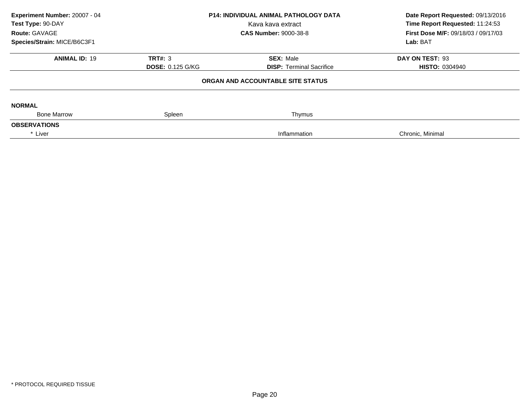| Experiment Number: 20007 - 04<br>Test Type: 90-DAY<br>Route: GAVAGE<br>Species/Strain: MICE/B6C3F1 | <b>P14: INDIVIDUAL ANIMAL PATHOLOGY DATA</b><br>Kava kava extract<br><b>CAS Number: 9000-38-8</b> |                                                     | Date Report Requested: 09/13/2016<br>Time Report Requested: 11:24:53<br><b>First Dose M/F: 09/18/03 / 09/17/03</b><br>Lab: BAT |
|----------------------------------------------------------------------------------------------------|---------------------------------------------------------------------------------------------------|-----------------------------------------------------|--------------------------------------------------------------------------------------------------------------------------------|
| <b>ANIMAL ID: 19</b>                                                                               | <b>TRT#: 3</b><br><b>DOSE: 0.125 G/KG</b>                                                         | <b>SEX: Male</b><br><b>DISP:</b> Terminal Sacrifice | DAY ON TEST: 93<br><b>HISTO: 0304940</b>                                                                                       |
|                                                                                                    |                                                                                                   | ORGAN AND ACCOUNTABLE SITE STATUS                   |                                                                                                                                |
| <b>NORMAL</b>                                                                                      |                                                                                                   |                                                     |                                                                                                                                |
| <b>Bone Marrow</b><br><b>OBSERVATIONS</b>                                                          | Spleen                                                                                            | Thymus                                              |                                                                                                                                |
| * Liver                                                                                            |                                                                                                   | Inflammation                                        | Chronic, Minimal                                                                                                               |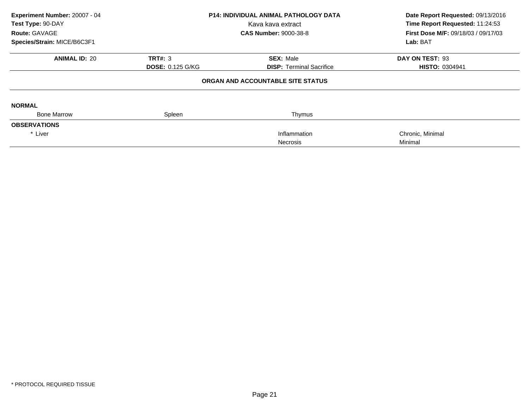| Experiment Number: 20007 - 04<br>Test Type: 90-DAY<br><b>Route: GAVAGE</b> |                         | <b>P14: INDIVIDUAL ANIMAL PATHOLOGY DATA</b><br>Kava kava extract<br><b>CAS Number: 9000-38-8</b> | Date Report Requested: 09/13/2016<br>Time Report Requested: 11:24:53<br><b>First Dose M/F: 09/18/03 / 09/17/03</b> |  |
|----------------------------------------------------------------------------|-------------------------|---------------------------------------------------------------------------------------------------|--------------------------------------------------------------------------------------------------------------------|--|
| Species/Strain: MICE/B6C3F1                                                |                         |                                                                                                   | Lab: BAT                                                                                                           |  |
| <b>ANIMAL ID: 20</b>                                                       | <b>TRT#: 3</b>          | <b>SEX: Male</b>                                                                                  | DAY ON TEST: 93                                                                                                    |  |
|                                                                            | <b>DOSE: 0.125 G/KG</b> | <b>DISP:</b> Terminal Sacrifice                                                                   | <b>HISTO: 0304941</b>                                                                                              |  |
|                                                                            |                         | ORGAN AND ACCOUNTABLE SITE STATUS                                                                 |                                                                                                                    |  |
| <b>NORMAL</b>                                                              |                         |                                                                                                   |                                                                                                                    |  |
| <b>Bone Marrow</b>                                                         | Spleen                  | Thymus                                                                                            |                                                                                                                    |  |
| <b>OBSERVATIONS</b>                                                        |                         |                                                                                                   |                                                                                                                    |  |
| * Liver                                                                    |                         | Inflammation                                                                                      | Chronic, Minimal                                                                                                   |  |
|                                                                            |                         | <b>Necrosis</b>                                                                                   | Minimal                                                                                                            |  |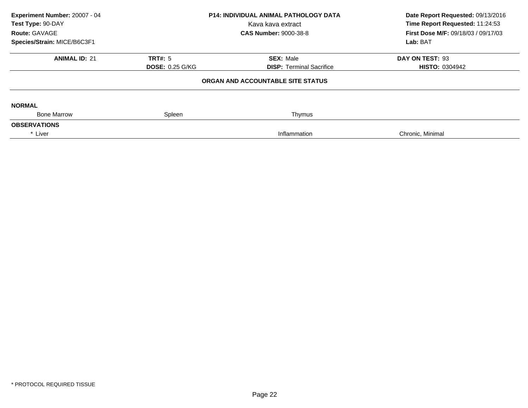| Experiment Number: 20007 - 04<br>Test Type: 90-DAY<br>Route: GAVAGE<br>Species/Strain: MICE/B6C3F1 | <b>P14: INDIVIDUAL ANIMAL PATHOLOGY DATA</b><br>Kava kava extract<br><b>CAS Number: 9000-38-8</b> |                                                     | Date Report Requested: 09/13/2016<br>Time Report Requested: 11:24:53<br>First Dose M/F: 09/18/03 / 09/17/03<br>Lab: BAT |
|----------------------------------------------------------------------------------------------------|---------------------------------------------------------------------------------------------------|-----------------------------------------------------|-------------------------------------------------------------------------------------------------------------------------|
| <b>ANIMAL ID: 21</b>                                                                               | <b>TRT#: 5</b><br><b>DOSE: 0.25 G/KG</b>                                                          | <b>SEX: Male</b><br><b>DISP: Terminal Sacrifice</b> | DAY ON TEST: 93<br><b>HISTO: 0304942</b>                                                                                |
|                                                                                                    |                                                                                                   | ORGAN AND ACCOUNTABLE SITE STATUS                   |                                                                                                                         |
| <b>NORMAL</b>                                                                                      |                                                                                                   |                                                     |                                                                                                                         |
| <b>Bone Marrow</b><br><b>OBSERVATIONS</b>                                                          | Spleen                                                                                            | Thymus                                              |                                                                                                                         |
| * Liver                                                                                            |                                                                                                   | Inflammation                                        | Chronic, Minimal                                                                                                        |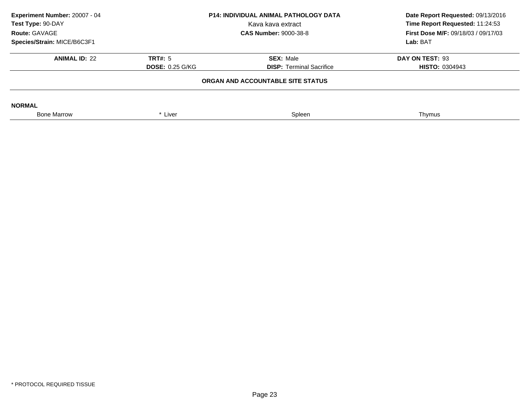| Experiment Number: 20007 - 04<br>Test Type: 90-DAY<br>Route: GAVAGE |                        | <b>P14: INDIVIDUAL ANIMAL PATHOLOGY DATA</b><br>Kava kava extract<br><b>CAS Number: 9000-38-8</b> | Date Report Requested: 09/13/2016<br>Time Report Requested: 11:24:53<br><b>First Dose M/F: 09/18/03 / 09/17/03</b> |
|---------------------------------------------------------------------|------------------------|---------------------------------------------------------------------------------------------------|--------------------------------------------------------------------------------------------------------------------|
| Species/Strain: MICE/B6C3F1                                         |                        |                                                                                                   | Lab: BAT                                                                                                           |
| <b>ANIMAL ID: 22</b>                                                | TRT#: 5                | <b>SEX: Male</b>                                                                                  | DAY ON TEST: 93                                                                                                    |
|                                                                     | <b>DOSE: 0.25 G/KG</b> | <b>DISP:</b> Terminal Sacrifice                                                                   | <b>HISTO: 0304943</b>                                                                                              |
|                                                                     |                        | ORGAN AND ACCOUNTABLE SITE STATUS                                                                 |                                                                                                                    |
| <b>NORMAL</b>                                                       |                        |                                                                                                   |                                                                                                                    |
| <b>Bone Marrow</b>                                                  | * Liver                | Spleen                                                                                            | Thymus                                                                                                             |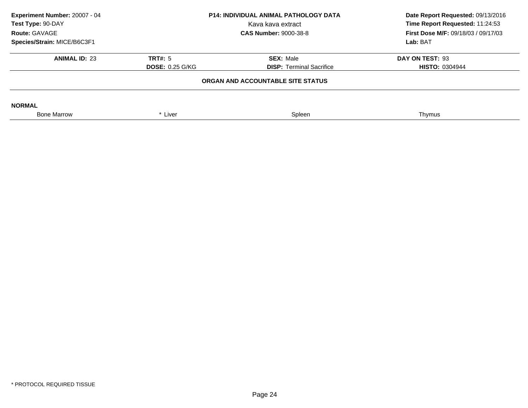| Experiment Number: 20007 - 04<br>Test Type: 90-DAY<br>Route: GAVAGE |                        | <b>P14: INDIVIDUAL ANIMAL PATHOLOGY DATA</b><br>Kava kava extract<br><b>CAS Number: 9000-38-8</b> | Date Report Requested: 09/13/2016<br>Time Report Requested: 11:24:53<br><b>First Dose M/F: 09/18/03 / 09/17/03</b> |
|---------------------------------------------------------------------|------------------------|---------------------------------------------------------------------------------------------------|--------------------------------------------------------------------------------------------------------------------|
| Species/Strain: MICE/B6C3F1                                         |                        |                                                                                                   | Lab: BAT                                                                                                           |
| <b>ANIMAL ID: 23</b>                                                | TRT#: 5                | <b>SEX: Male</b>                                                                                  | DAY ON TEST: 93                                                                                                    |
|                                                                     | <b>DOSE: 0.25 G/KG</b> | <b>DISP:</b> Terminal Sacrifice                                                                   | <b>HISTO: 0304944</b>                                                                                              |
|                                                                     |                        | ORGAN AND ACCOUNTABLE SITE STATUS                                                                 |                                                                                                                    |
| <b>NORMAL</b>                                                       |                        |                                                                                                   |                                                                                                                    |
| <b>Bone Marrow</b>                                                  | * Liver                | Spleen                                                                                            | Thymus                                                                                                             |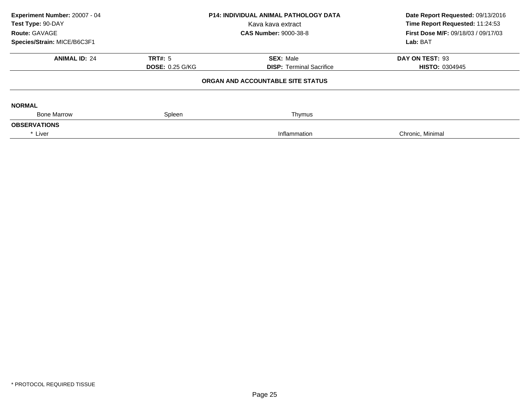| Experiment Number: 20007 - 04<br>Test Type: 90-DAY<br>Route: GAVAGE<br>Species/Strain: MICE/B6C3F1 | <b>P14: INDIVIDUAL ANIMAL PATHOLOGY DATA</b><br>Kava kava extract<br><b>CAS Number: 9000-38-8</b> |                                                     | Date Report Requested: 09/13/2016<br>Time Report Requested: 11:24:53<br>First Dose M/F: 09/18/03 / 09/17/03<br>Lab: BAT |
|----------------------------------------------------------------------------------------------------|---------------------------------------------------------------------------------------------------|-----------------------------------------------------|-------------------------------------------------------------------------------------------------------------------------|
| <b>ANIMAL ID: 24</b>                                                                               | <b>TRT#: 5</b><br><b>DOSE: 0.25 G/KG</b>                                                          | <b>SEX: Male</b><br><b>DISP: Terminal Sacrifice</b> | DAY ON TEST: 93<br><b>HISTO: 0304945</b>                                                                                |
|                                                                                                    |                                                                                                   | ORGAN AND ACCOUNTABLE SITE STATUS                   |                                                                                                                         |
| <b>NORMAL</b><br><b>Bone Marrow</b>                                                                | Spleen                                                                                            | Thymus                                              |                                                                                                                         |
| <b>OBSERVATIONS</b>                                                                                |                                                                                                   |                                                     |                                                                                                                         |
| * Liver                                                                                            |                                                                                                   | Inflammation                                        | Chronic, Minimal                                                                                                        |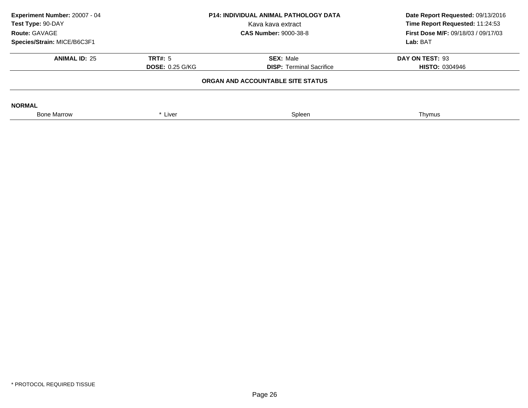| Experiment Number: 20007 - 04<br>Test Type: 90-DAY<br>Route: GAVAGE | <b>P14: INDIVIDUAL ANIMAL PATHOLOGY DATA</b><br>Kava kava extract<br><b>CAS Number: 9000-38-8</b> |                                   | Date Report Requested: 09/13/2016<br>Time Report Requested: 11:24:53<br><b>First Dose M/F: 09/18/03 / 09/17/03</b> |
|---------------------------------------------------------------------|---------------------------------------------------------------------------------------------------|-----------------------------------|--------------------------------------------------------------------------------------------------------------------|
| Species/Strain: MICE/B6C3F1                                         |                                                                                                   |                                   | Lab: BAT                                                                                                           |
| <b>ANIMAL ID: 25</b>                                                | TRT#: 5                                                                                           | <b>SEX: Male</b>                  | DAY ON TEST: 93                                                                                                    |
|                                                                     | <b>DOSE: 0.25 G/KG</b>                                                                            | <b>DISP:</b> Terminal Sacrifice   | <b>HISTO: 0304946</b>                                                                                              |
|                                                                     |                                                                                                   | ORGAN AND ACCOUNTABLE SITE STATUS |                                                                                                                    |
| <b>NORMAL</b>                                                       |                                                                                                   |                                   |                                                                                                                    |
| <b>Bone Marrow</b>                                                  | * Liver                                                                                           | Spleen                            | Thymus                                                                                                             |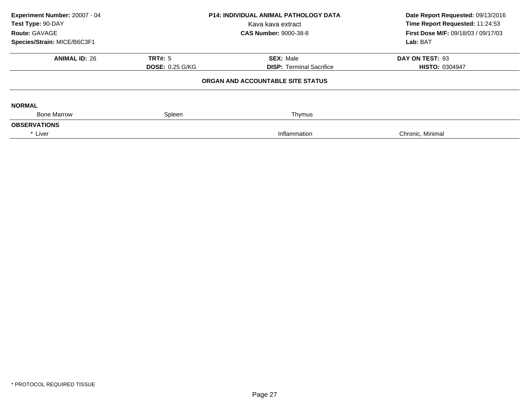| Experiment Number: 20007 - 04<br>Test Type: 90-DAY<br>Route: GAVAGE<br>Species/Strain: MICE/B6C3F1 | <b>P14: INDIVIDUAL ANIMAL PATHOLOGY DATA</b><br>Kava kava extract<br><b>CAS Number: 9000-38-8</b> |                                                     | Date Report Requested: 09/13/2016<br>Time Report Requested: 11:24:53<br>First Dose M/F: 09/18/03 / 09/17/03<br>Lab: BAT |
|----------------------------------------------------------------------------------------------------|---------------------------------------------------------------------------------------------------|-----------------------------------------------------|-------------------------------------------------------------------------------------------------------------------------|
| <b>ANIMAL ID: 26</b>                                                                               | <b>TRT#: 5</b><br><b>DOSE: 0.25 G/KG</b>                                                          | <b>SEX: Male</b><br><b>DISP:</b> Terminal Sacrifice | DAY ON TEST: 93<br><b>HISTO: 0304947</b>                                                                                |
|                                                                                                    |                                                                                                   | ORGAN AND ACCOUNTABLE SITE STATUS                   |                                                                                                                         |
| <b>NORMAL</b><br><b>Bone Marrow</b>                                                                | Spleen                                                                                            | Thymus                                              |                                                                                                                         |
| <b>OBSERVATIONS</b>                                                                                |                                                                                                   |                                                     |                                                                                                                         |
| * Liver                                                                                            |                                                                                                   | Inflammation                                        | Chronic, Minimal                                                                                                        |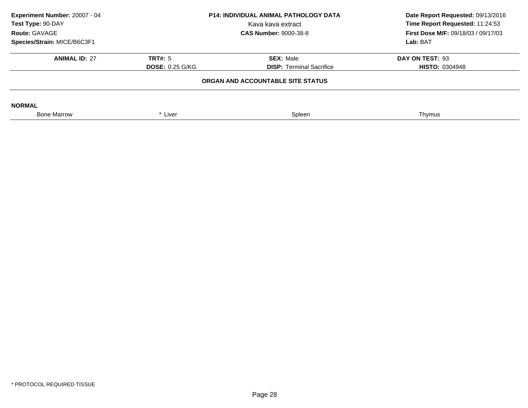| Experiment Number: 20007 - 04<br><b>P14: INDIVIDUAL ANIMAL PATHOLOGY DATA</b><br>Test Type: 90-DAY<br>Kava kava extract<br>Route: GAVAGE<br><b>CAS Number: 9000-38-8</b> |                        | Date Report Requested: 09/13/2016<br>Time Report Requested: 11:24:53<br><b>First Dose M/F: 09/18/03 / 09/17/03</b> |                       |
|--------------------------------------------------------------------------------------------------------------------------------------------------------------------------|------------------------|--------------------------------------------------------------------------------------------------------------------|-----------------------|
| Species/Strain: MICE/B6C3F1                                                                                                                                              |                        |                                                                                                                    | Lab: BAT              |
| <b>ANIMAL ID: 27</b>                                                                                                                                                     | TRT#: 5                | <b>SEX: Male</b>                                                                                                   | DAY ON TEST: 93       |
|                                                                                                                                                                          | <b>DOSE: 0.25 G/KG</b> | <b>DISP:</b> Terminal Sacrifice                                                                                    | <b>HISTO: 0304948</b> |
|                                                                                                                                                                          |                        | ORGAN AND ACCOUNTABLE SITE STATUS                                                                                  |                       |
| <b>NORMAL</b>                                                                                                                                                            |                        |                                                                                                                    |                       |
| <b>Bone Marrow</b>                                                                                                                                                       | * Liver                | Spleen                                                                                                             | Thymus                |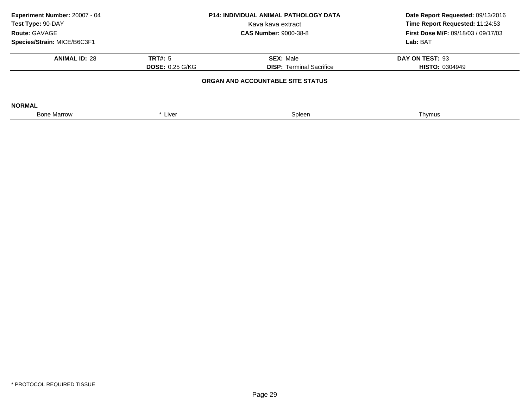| Experiment Number: 20007 - 04<br>Test Type: 90-DAY<br>Route: GAVAGE | <b>P14: INDIVIDUAL ANIMAL PATHOLOGY DATA</b><br>Kava kava extract<br><b>CAS Number: 9000-38-8</b> |                                   | Date Report Requested: 09/13/2016<br>Time Report Requested: 11:24:53<br><b>First Dose M/F: 09/18/03 / 09/17/03</b> |
|---------------------------------------------------------------------|---------------------------------------------------------------------------------------------------|-----------------------------------|--------------------------------------------------------------------------------------------------------------------|
| Species/Strain: MICE/B6C3F1                                         |                                                                                                   |                                   | Lab: BAT                                                                                                           |
| <b>ANIMAL ID: 28</b>                                                | TRT#: 5                                                                                           | <b>SEX: Male</b>                  | DAY ON TEST: 93                                                                                                    |
|                                                                     | <b>DOSE: 0.25 G/KG</b>                                                                            | <b>DISP:</b> Terminal Sacrifice   | <b>HISTO: 0304949</b>                                                                                              |
|                                                                     |                                                                                                   | ORGAN AND ACCOUNTABLE SITE STATUS |                                                                                                                    |
| <b>NORMAL</b>                                                       |                                                                                                   |                                   |                                                                                                                    |
| <b>Bone Marrow</b>                                                  | * Liver                                                                                           | Spleen                            | Thymus                                                                                                             |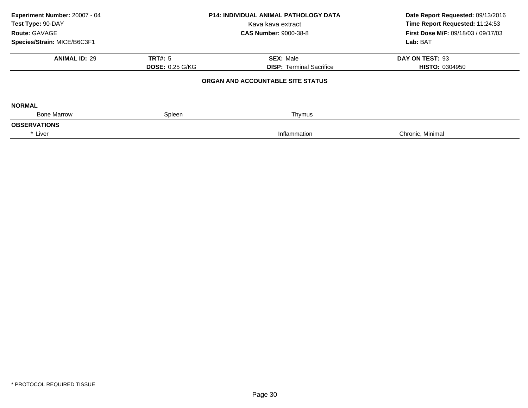| Experiment Number: 20007 - 04<br>Test Type: 90-DAY<br>Route: GAVAGE<br>Species/Strain: MICE/B6C3F1 | <b>P14: INDIVIDUAL ANIMAL PATHOLOGY DATA</b><br>Kava kava extract<br><b>CAS Number: 9000-38-8</b> |                                                     | Date Report Requested: 09/13/2016<br>Time Report Requested: 11:24:53<br>First Dose M/F: 09/18/03 / 09/17/03<br>Lab: BAT |
|----------------------------------------------------------------------------------------------------|---------------------------------------------------------------------------------------------------|-----------------------------------------------------|-------------------------------------------------------------------------------------------------------------------------|
| <b>ANIMAL ID: 29</b>                                                                               | <b>TRT#: 5</b><br><b>DOSE: 0.25 G/KG</b>                                                          | <b>SEX: Male</b><br><b>DISP:</b> Terminal Sacrifice | DAY ON TEST: 93<br><b>HISTO: 0304950</b>                                                                                |
|                                                                                                    |                                                                                                   | ORGAN AND ACCOUNTABLE SITE STATUS                   |                                                                                                                         |
| <b>NORMAL</b><br><b>Bone Marrow</b>                                                                | Spleen                                                                                            | Thymus                                              |                                                                                                                         |
| <b>OBSERVATIONS</b>                                                                                |                                                                                                   |                                                     |                                                                                                                         |
| * Liver                                                                                            |                                                                                                   | Inflammation                                        | Chronic, Minimal                                                                                                        |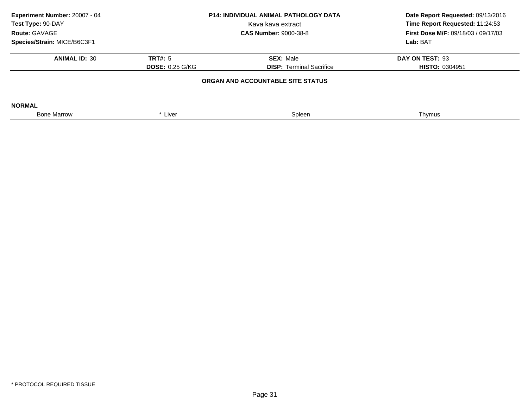| Experiment Number: 20007 - 04<br><b>P14: INDIVIDUAL ANIMAL PATHOLOGY DATA</b><br>Test Type: 90-DAY<br>Kava kava extract<br>Route: GAVAGE<br><b>CAS Number: 9000-38-8</b> |                        | Date Report Requested: 09/13/2016<br>Time Report Requested: 11:24:53<br><b>First Dose M/F: 09/18/03 / 09/17/03</b> |                       |
|--------------------------------------------------------------------------------------------------------------------------------------------------------------------------|------------------------|--------------------------------------------------------------------------------------------------------------------|-----------------------|
| Species/Strain: MICE/B6C3F1                                                                                                                                              |                        |                                                                                                                    | Lab: BAT              |
| <b>ANIMAL ID: 30</b>                                                                                                                                                     | TRT#: 5                | <b>SEX: Male</b>                                                                                                   | DAY ON TEST: 93       |
|                                                                                                                                                                          | <b>DOSE: 0.25 G/KG</b> | <b>DISP:</b> Terminal Sacrifice                                                                                    | <b>HISTO: 0304951</b> |
|                                                                                                                                                                          |                        | ORGAN AND ACCOUNTABLE SITE STATUS                                                                                  |                       |
| <b>NORMAL</b>                                                                                                                                                            |                        |                                                                                                                    |                       |
| <b>Bone Marrow</b>                                                                                                                                                       | * Liver                | Spleen                                                                                                             | Thymus                |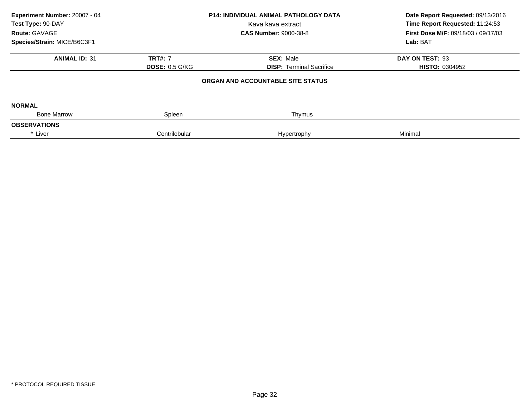| Experiment Number: 20007 - 04<br>Test Type: 90-DAY<br>Route: GAVAGE | <b>P14: INDIVIDUAL ANIMAL PATHOLOGY DATA</b><br>Kava kava extract<br><b>CAS Number: 9000-38-8</b> |                                   | Date Report Requested: 09/13/2016<br>Time Report Requested: 11:24:53<br><b>First Dose M/F: 09/18/03 / 09/17/03</b> |  |
|---------------------------------------------------------------------|---------------------------------------------------------------------------------------------------|-----------------------------------|--------------------------------------------------------------------------------------------------------------------|--|
| Species/Strain: MICE/B6C3F1                                         |                                                                                                   |                                   | Lab: BAT                                                                                                           |  |
| <b>ANIMAL ID: 31</b>                                                | <b>TRT#: 7</b>                                                                                    | <b>SEX: Male</b>                  | DAY ON TEST: 93                                                                                                    |  |
|                                                                     | <b>DOSE: 0.5 G/KG</b>                                                                             | <b>DISP:</b> Terminal Sacrifice   | <b>HISTO: 0304952</b>                                                                                              |  |
|                                                                     |                                                                                                   | ORGAN AND ACCOUNTABLE SITE STATUS |                                                                                                                    |  |
| <b>NORMAL</b>                                                       |                                                                                                   |                                   |                                                                                                                    |  |
| <b>Bone Marrow</b>                                                  | Spleen                                                                                            | Thymus                            |                                                                                                                    |  |
| <b>OBSERVATIONS</b>                                                 |                                                                                                   |                                   |                                                                                                                    |  |
| * Liver                                                             | Centrilobular                                                                                     | Hypertrophy                       | Minimal                                                                                                            |  |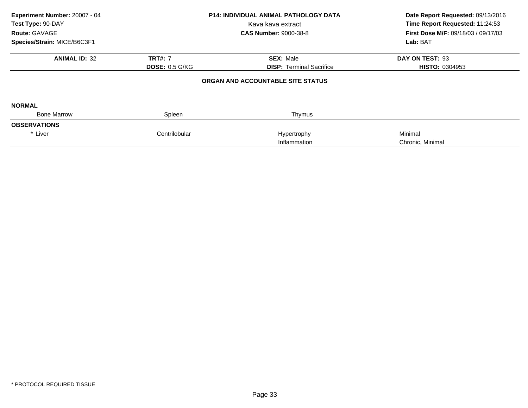| Experiment Number: 20007 - 04<br>Test Type: 90-DAY<br>Route: GAVAGE<br>Species/Strain: MICE/B6C3F1 |                       | <b>P14: INDIVIDUAL ANIMAL PATHOLOGY DATA</b><br>Kava kava extract<br><b>CAS Number: 9000-38-8</b> | Date Report Requested: 09/13/2016<br>Time Report Requested: 11:24:53<br>First Dose M/F: 09/18/03 / 09/17/03<br>Lab: BAT |
|----------------------------------------------------------------------------------------------------|-----------------------|---------------------------------------------------------------------------------------------------|-------------------------------------------------------------------------------------------------------------------------|
| <b>ANIMAL ID: 32</b>                                                                               | <b>TRT#: 7</b>        | <b>SEX: Male</b>                                                                                  | DAY ON TEST: 93                                                                                                         |
|                                                                                                    | <b>DOSE: 0.5 G/KG</b> | <b>DISP:</b> Terminal Sacrifice                                                                   | <b>HISTO: 0304953</b>                                                                                                   |
|                                                                                                    |                       | ORGAN AND ACCOUNTABLE SITE STATUS                                                                 |                                                                                                                         |
| <b>NORMAL</b>                                                                                      |                       |                                                                                                   |                                                                                                                         |
| <b>Bone Marrow</b>                                                                                 | Spleen                | Thymus                                                                                            |                                                                                                                         |
| <b>OBSERVATIONS</b>                                                                                |                       |                                                                                                   |                                                                                                                         |
| * Liver                                                                                            | Centrilobular         | Hypertrophy                                                                                       | Minimal                                                                                                                 |
|                                                                                                    |                       | Inflammation                                                                                      | Chronic, Minimal                                                                                                        |
|                                                                                                    |                       |                                                                                                   |                                                                                                                         |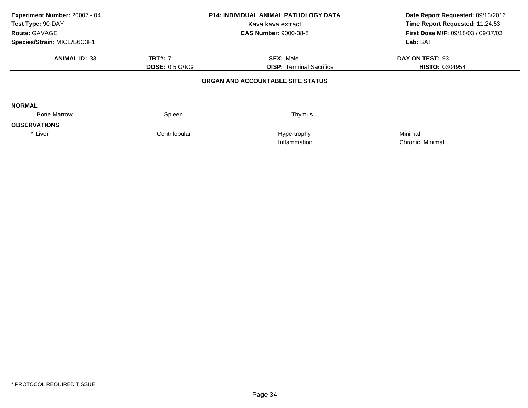| Experiment Number: 20007 - 04<br>Test Type: 90-DAY<br>Route: GAVAGE<br>Species/Strain: MICE/B6C3F1 |                       | <b>P14: INDIVIDUAL ANIMAL PATHOLOGY DATA</b><br>Kava kava extract<br><b>CAS Number: 9000-38-8</b> | Date Report Requested: 09/13/2016<br>Time Report Requested: 11:24:53<br>First Dose M/F: 09/18/03 / 09/17/03<br>Lab: BAT |
|----------------------------------------------------------------------------------------------------|-----------------------|---------------------------------------------------------------------------------------------------|-------------------------------------------------------------------------------------------------------------------------|
| <b>ANIMAL ID: 33</b>                                                                               | <b>TRT#: 7</b>        | <b>SEX: Male</b>                                                                                  | DAY ON TEST: 93                                                                                                         |
|                                                                                                    | <b>DOSE: 0.5 G/KG</b> | <b>DISP:</b> Terminal Sacrifice                                                                   | <b>HISTO: 0304954</b>                                                                                                   |
|                                                                                                    |                       | ORGAN AND ACCOUNTABLE SITE STATUS                                                                 |                                                                                                                         |
| <b>NORMAL</b>                                                                                      |                       |                                                                                                   |                                                                                                                         |
| <b>Bone Marrow</b>                                                                                 | Spleen                | Thymus                                                                                            |                                                                                                                         |
| <b>OBSERVATIONS</b>                                                                                |                       |                                                                                                   |                                                                                                                         |
| * Liver                                                                                            | Centrilobular         | Hypertrophy                                                                                       | Minimal                                                                                                                 |
|                                                                                                    |                       | Inflammation                                                                                      | Chronic, Minimal                                                                                                        |
|                                                                                                    |                       |                                                                                                   |                                                                                                                         |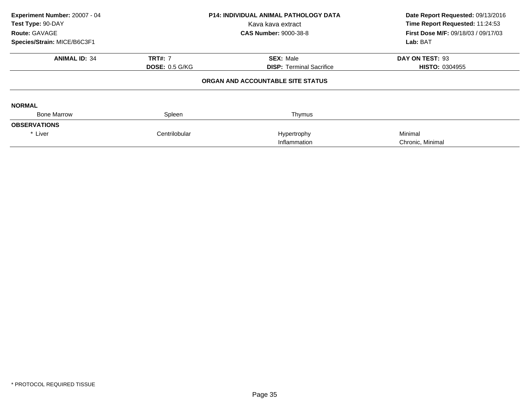| Experiment Number: 20007 - 04<br>Test Type: 90-DAY |                       | <b>P14: INDIVIDUAL ANIMAL PATHOLOGY DATA</b><br>Kava kava extract | Date Report Requested: 09/13/2016<br>Time Report Requested: 11:24:53 |  |
|----------------------------------------------------|-----------------------|-------------------------------------------------------------------|----------------------------------------------------------------------|--|
| Route: GAVAGE                                      |                       | <b>CAS Number: 9000-38-8</b>                                      | First Dose M/F: 09/18/03 / 09/17/03                                  |  |
| Species/Strain: MICE/B6C3F1                        |                       |                                                                   | Lab: BAT                                                             |  |
| <b>ANIMAL ID: 34</b>                               | <b>TRT#: 7</b>        | <b>SEX: Male</b>                                                  | DAY ON TEST: 93                                                      |  |
|                                                    | <b>DOSE: 0.5 G/KG</b> | <b>DISP:</b> Terminal Sacrifice                                   | <b>HISTO: 0304955</b>                                                |  |
|                                                    |                       | ORGAN AND ACCOUNTABLE SITE STATUS                                 |                                                                      |  |
| <b>NORMAL</b>                                      |                       |                                                                   |                                                                      |  |
| <b>Bone Marrow</b>                                 | Spleen                | Thymus                                                            |                                                                      |  |
| <b>OBSERVATIONS</b>                                |                       |                                                                   |                                                                      |  |
| * Liver                                            | Centrilobular         | Hypertrophy                                                       | Minimal                                                              |  |
|                                                    |                       | Inflammation                                                      | Chronic, Minimal                                                     |  |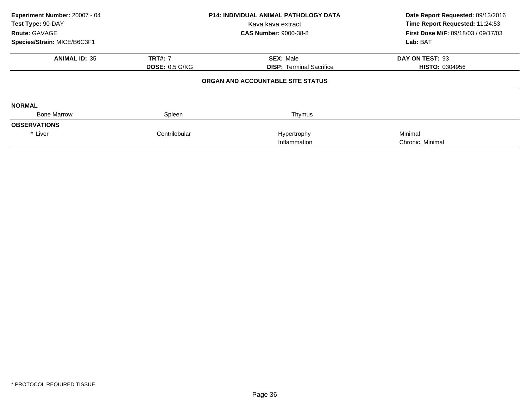| Experiment Number: 20007 - 04<br>Test Type: 90-DAY<br>Route: GAVAGE<br>Species/Strain: MICE/B6C3F1 |                       | <b>P14: INDIVIDUAL ANIMAL PATHOLOGY DATA</b><br>Kava kava extract<br><b>CAS Number: 9000-38-8</b> | Date Report Requested: 09/13/2016<br>Time Report Requested: 11:24:53<br>First Dose M/F: 09/18/03 / 09/17/03<br>Lab: BAT |
|----------------------------------------------------------------------------------------------------|-----------------------|---------------------------------------------------------------------------------------------------|-------------------------------------------------------------------------------------------------------------------------|
| <b>ANIMAL ID: 35</b>                                                                               | <b>TRT#: 7</b>        | <b>SEX: Male</b><br><b>DISP:</b> Terminal Sacrifice                                               | DAY ON TEST: 93                                                                                                         |
|                                                                                                    | <b>DOSE: 0.5 G/KG</b> | ORGAN AND ACCOUNTABLE SITE STATUS                                                                 | <b>HISTO: 0304956</b>                                                                                                   |
| <b>NORMAL</b>                                                                                      |                       |                                                                                                   |                                                                                                                         |
| <b>Bone Marrow</b>                                                                                 | Spleen                | Thymus                                                                                            |                                                                                                                         |
| <b>OBSERVATIONS</b>                                                                                |                       |                                                                                                   |                                                                                                                         |
| * Liver                                                                                            | Centrilobular         | Hypertrophy<br>Inflammation                                                                       | Minimal<br>Chronic, Minimal                                                                                             |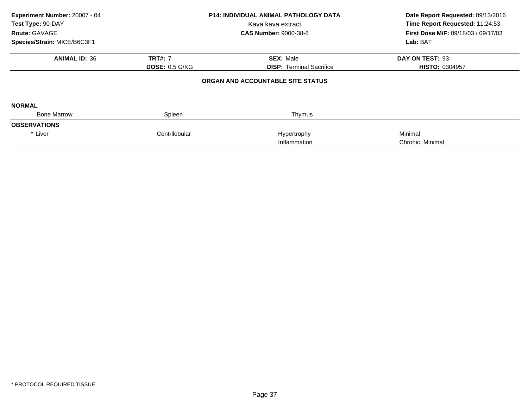| Experiment Number: 20007 - 04<br>Test Type: 90-DAY<br>Route: GAVAGE<br>Species/Strain: MICE/B6C3F1 | <b>P14: INDIVIDUAL ANIMAL PATHOLOGY DATA</b><br>Kava kava extract<br><b>CAS Number: 9000-38-8</b> |                                                     | Date Report Requested: 09/13/2016<br>Time Report Requested: 11:24:53<br>First Dose M/F: 09/18/03 / 09/17/03<br>Lab: BAT |  |
|----------------------------------------------------------------------------------------------------|---------------------------------------------------------------------------------------------------|-----------------------------------------------------|-------------------------------------------------------------------------------------------------------------------------|--|
| <b>ANIMAL ID: 36</b>                                                                               | <b>TRT#: 7</b><br><b>DOSE: 0.5 G/KG</b>                                                           | <b>SEX: Male</b><br><b>DISP:</b> Terminal Sacrifice | DAY ON TEST: 93<br><b>HISTO: 0304957</b>                                                                                |  |
|                                                                                                    |                                                                                                   | ORGAN AND ACCOUNTABLE SITE STATUS                   |                                                                                                                         |  |
| <b>NORMAL</b>                                                                                      |                                                                                                   |                                                     |                                                                                                                         |  |
| <b>Bone Marrow</b>                                                                                 | Spleen                                                                                            | Thymus                                              |                                                                                                                         |  |
| <b>OBSERVATIONS</b>                                                                                |                                                                                                   |                                                     |                                                                                                                         |  |
| * Liver                                                                                            | Centrilobular                                                                                     | Hypertrophy<br>Inflammation                         | Minimal<br>Chronic, Minimal                                                                                             |  |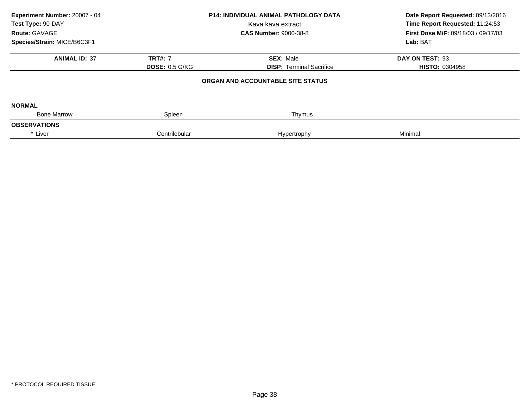| Experiment Number: 20007 - 04<br>Test Type: 90-DAY<br>Route: GAVAGE | <b>P14: INDIVIDUAL ANIMAL PATHOLOGY DATA</b><br>Kava kava extract<br><b>CAS Number: 9000-38-8</b> |                                   | Date Report Requested: 09/13/2016<br>Time Report Requested: 11:24:53<br><b>First Dose M/F: 09/18/03 / 09/17/03</b> |  |
|---------------------------------------------------------------------|---------------------------------------------------------------------------------------------------|-----------------------------------|--------------------------------------------------------------------------------------------------------------------|--|
| Species/Strain: MICE/B6C3F1                                         |                                                                                                   |                                   | Lab: BAT                                                                                                           |  |
| <b>ANIMAL ID: 37</b>                                                | <b>TRT#: 7</b>                                                                                    | <b>SEX: Male</b>                  | DAY ON TEST: 93                                                                                                    |  |
|                                                                     | <b>DOSE: 0.5 G/KG</b>                                                                             | <b>DISP:</b> Terminal Sacrifice   | <b>HISTO: 0304958</b>                                                                                              |  |
|                                                                     |                                                                                                   | ORGAN AND ACCOUNTABLE SITE STATUS |                                                                                                                    |  |
| <b>NORMAL</b>                                                       |                                                                                                   |                                   |                                                                                                                    |  |
| <b>Bone Marrow</b>                                                  | Spleen                                                                                            | Thymus                            |                                                                                                                    |  |
| <b>OBSERVATIONS</b>                                                 |                                                                                                   |                                   |                                                                                                                    |  |
| * Liver                                                             | Centrilobular                                                                                     | Hypertrophy                       | Minimal                                                                                                            |  |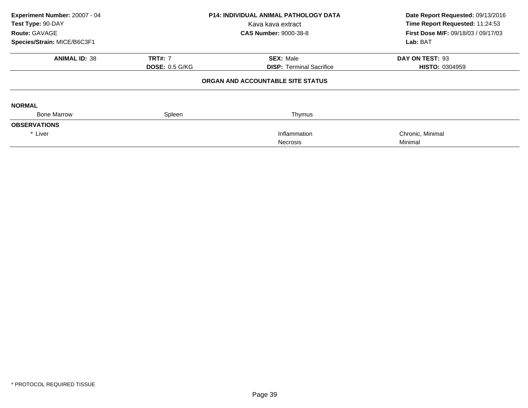| Experiment Number: 20007 - 04 |                       | <b>P14: INDIVIDUAL ANIMAL PATHOLOGY DATA</b> | Date Report Requested: 09/13/2016          |  |
|-------------------------------|-----------------------|----------------------------------------------|--------------------------------------------|--|
| Test Type: 90-DAY             |                       | Kava kava extract                            | Time Report Requested: 11:24:53            |  |
| <b>Route: GAVAGE</b>          |                       | <b>CAS Number: 9000-38-8</b>                 | <b>First Dose M/F: 09/18/03 / 09/17/03</b> |  |
| Species/Strain: MICE/B6C3F1   |                       |                                              | Lab: BAT                                   |  |
| <b>ANIMAL ID: 38</b>          | <b>TRT#: 7</b>        | <b>SEX: Male</b>                             | DAY ON TEST: 93                            |  |
|                               | <b>DOSE: 0.5 G/KG</b> | <b>DISP: Terminal Sacrifice</b>              | <b>HISTO: 0304959</b>                      |  |
|                               |                       | ORGAN AND ACCOUNTABLE SITE STATUS            |                                            |  |
| <b>NORMAL</b>                 |                       |                                              |                                            |  |
| <b>Bone Marrow</b>            | Spleen                | Thymus                                       |                                            |  |
| <b>OBSERVATIONS</b>           |                       |                                              |                                            |  |
| * Liver                       |                       | Inflammation                                 | Chronic, Minimal                           |  |
|                               |                       | <b>Necrosis</b>                              | Minimal                                    |  |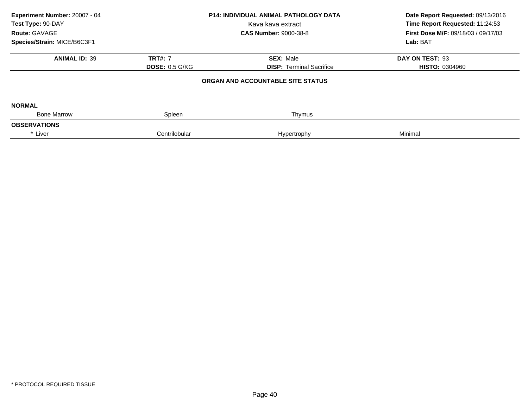| Experiment Number: 20007 - 04<br>Test Type: 90-DAY<br>Route: GAVAGE<br>Species/Strain: MICE/B6C3F1 | <b>P14: INDIVIDUAL ANIMAL PATHOLOGY DATA</b><br>Kava kava extract<br><b>CAS Number: 9000-38-8</b> |                                                     | Date Report Requested: 09/13/2016<br>Time Report Requested: 11:24:53<br>First Dose M/F: 09/18/03 / 09/17/03<br>Lab: BAT |  |
|----------------------------------------------------------------------------------------------------|---------------------------------------------------------------------------------------------------|-----------------------------------------------------|-------------------------------------------------------------------------------------------------------------------------|--|
| <b>ANIMAL ID: 39</b>                                                                               | <b>TRT#: 7</b><br><b>DOSE: 0.5 G/KG</b>                                                           | <b>SEX: Male</b><br><b>DISP: Terminal Sacrifice</b> | DAY ON TEST: 93<br><b>HISTO: 0304960</b>                                                                                |  |
|                                                                                                    |                                                                                                   | ORGAN AND ACCOUNTABLE SITE STATUS                   |                                                                                                                         |  |
| <b>NORMAL</b>                                                                                      |                                                                                                   |                                                     |                                                                                                                         |  |
| <b>Bone Marrow</b><br><b>OBSERVATIONS</b>                                                          | Spleen                                                                                            | Thymus                                              |                                                                                                                         |  |
| * Liver                                                                                            | Centrilobular                                                                                     | Hypertrophy                                         | Minimal                                                                                                                 |  |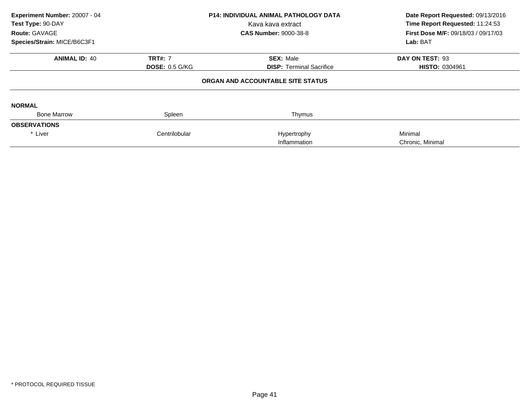| Experiment Number: 20007 - 04<br>Test Type: 90-DAY<br>Route: GAVAGE<br>Species/Strain: MICE/B6C3F1 | <b>P14: INDIVIDUAL ANIMAL PATHOLOGY DATA</b><br>Kava kava extract<br><b>CAS Number: 9000-38-8</b> |                                                     | Date Report Requested: 09/13/2016<br>Time Report Requested: 11:24:53<br>First Dose M/F: 09/18/03 / 09/17/03<br>Lab: BAT |  |
|----------------------------------------------------------------------------------------------------|---------------------------------------------------------------------------------------------------|-----------------------------------------------------|-------------------------------------------------------------------------------------------------------------------------|--|
| <b>ANIMAL ID: 40</b>                                                                               | <b>TRT#: 7</b><br><b>DOSE: 0.5 G/KG</b>                                                           | <b>SEX: Male</b><br><b>DISP:</b> Terminal Sacrifice | DAY ON TEST: 93<br><b>HISTO: 0304961</b>                                                                                |  |
|                                                                                                    |                                                                                                   | ORGAN AND ACCOUNTABLE SITE STATUS                   |                                                                                                                         |  |
| <b>NORMAL</b>                                                                                      |                                                                                                   |                                                     |                                                                                                                         |  |
| <b>Bone Marrow</b>                                                                                 | Spleen                                                                                            | Thymus                                              |                                                                                                                         |  |
| <b>OBSERVATIONS</b>                                                                                |                                                                                                   |                                                     |                                                                                                                         |  |
| * Liver                                                                                            | Centrilobular                                                                                     | Hypertrophy<br>Inflammation                         | Minimal<br>Chronic, Minimal                                                                                             |  |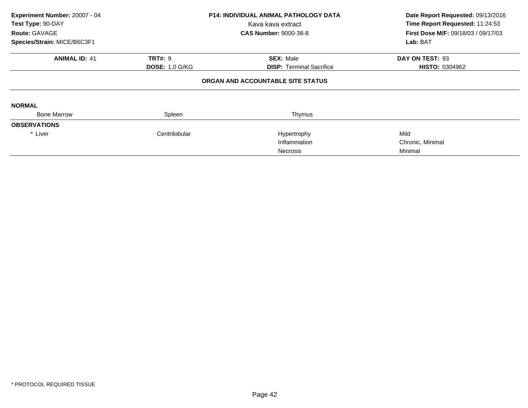| Experiment Number: 20007 - 04 |                       | <b>P14: INDIVIDUAL ANIMAL PATHOLOGY DATA</b> | Date Report Requested: 09/13/2016          |  |
|-------------------------------|-----------------------|----------------------------------------------|--------------------------------------------|--|
| Test Type: 90-DAY             |                       | Kava kava extract                            | Time Report Requested: 11:24:53            |  |
| <b>Route: GAVAGE</b>          |                       | <b>CAS Number: 9000-38-8</b>                 | <b>First Dose M/F: 09/18/03 / 09/17/03</b> |  |
| Species/Strain: MICE/B6C3F1   |                       |                                              | Lab: BAT                                   |  |
| <b>ANIMAL ID: 41</b>          | <b>TRT#: 9</b>        | <b>SEX: Male</b>                             | DAY ON TEST: 93                            |  |
|                               | <b>DOSE: 1.0 G/KG</b> | <b>DISP:</b> Terminal Sacrifice              | <b>HISTO: 0304962</b>                      |  |
|                               |                       | ORGAN AND ACCOUNTABLE SITE STATUS            |                                            |  |
| <b>NORMAL</b>                 |                       |                                              |                                            |  |
| <b>Bone Marrow</b>            | Spleen                | Thymus                                       |                                            |  |
| <b>OBSERVATIONS</b>           |                       |                                              |                                            |  |
| * Liver                       | Centrilobular         | Hypertrophy                                  | Mild                                       |  |
|                               |                       | Inflammation                                 | Chronic, Minimal                           |  |
|                               |                       | Necrosis                                     | Minimal                                    |  |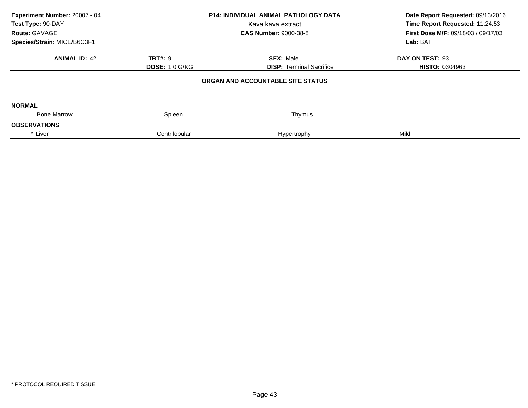| Experiment Number: 20007 - 04<br>Test Type: 90-DAY<br>Route: GAVAGE | <b>P14: INDIVIDUAL ANIMAL PATHOLOGY DATA</b><br>Kava kava extract<br><b>CAS Number: 9000-38-8</b> |                                                     | Date Report Requested: 09/13/2016<br>Time Report Requested: 11:24:53<br><b>First Dose M/F: 09/18/03 / 09/17/03</b> |  |
|---------------------------------------------------------------------|---------------------------------------------------------------------------------------------------|-----------------------------------------------------|--------------------------------------------------------------------------------------------------------------------|--|
| Species/Strain: MICE/B6C3F1<br><b>ANIMAL ID: 42</b>                 | <b>TRT#: 9</b><br><b>DOSE: 1.0 G/KG</b>                                                           | <b>SEX: Male</b><br><b>DISP:</b> Terminal Sacrifice | Lab: BAT<br>DAY ON TEST: 93<br><b>HISTO: 0304963</b>                                                               |  |
|                                                                     |                                                                                                   | ORGAN AND ACCOUNTABLE SITE STATUS                   |                                                                                                                    |  |
| <b>NORMAL</b>                                                       |                                                                                                   |                                                     |                                                                                                                    |  |
| <b>Bone Marrow</b><br><b>OBSERVATIONS</b>                           | Spleen                                                                                            | Thymus                                              |                                                                                                                    |  |
| * Liver                                                             | Centrilobular                                                                                     | Hypertrophy                                         | Mild                                                                                                               |  |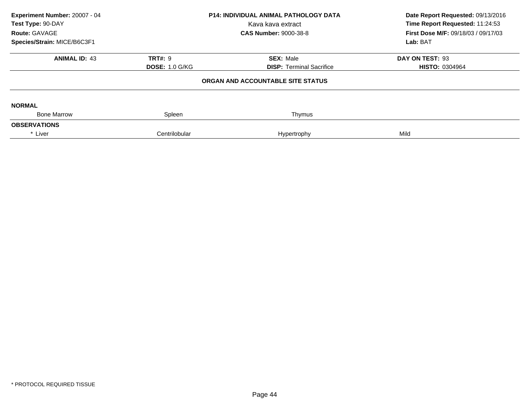| Experiment Number: 20007 - 04<br>Test Type: 90-DAY<br>Route: GAVAGE | <b>P14: INDIVIDUAL ANIMAL PATHOLOGY DATA</b><br>Kava kava extract<br><b>CAS Number: 9000-38-8</b> |                                   | Date Report Requested: 09/13/2016<br>Time Report Requested: 11:24:53<br><b>First Dose M/F: 09/18/03 / 09/17/03</b> |  |
|---------------------------------------------------------------------|---------------------------------------------------------------------------------------------------|-----------------------------------|--------------------------------------------------------------------------------------------------------------------|--|
| Species/Strain: MICE/B6C3F1                                         |                                                                                                   |                                   | Lab: BAT                                                                                                           |  |
| <b>ANIMAL ID: 43</b>                                                | <b>TRT#: 9</b>                                                                                    | <b>SEX: Male</b>                  | DAY ON TEST: 93                                                                                                    |  |
|                                                                     | <b>DOSE: 1.0 G/KG</b>                                                                             | <b>DISP: Terminal Sacrifice</b>   | <b>HISTO: 0304964</b>                                                                                              |  |
|                                                                     |                                                                                                   | ORGAN AND ACCOUNTABLE SITE STATUS |                                                                                                                    |  |
| <b>NORMAL</b>                                                       |                                                                                                   |                                   |                                                                                                                    |  |
| <b>Bone Marrow</b>                                                  | Spleen                                                                                            | Thymus                            |                                                                                                                    |  |
| <b>OBSERVATIONS</b>                                                 |                                                                                                   |                                   |                                                                                                                    |  |
| * Liver                                                             | Centrilobular                                                                                     | Hypertrophy                       | Mild                                                                                                               |  |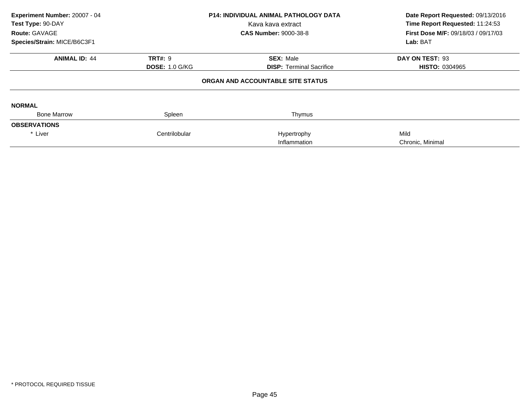| Experiment Number: 20007 - 04<br>Test Type: 90-DAY<br>Route: GAVAGE<br>Species/Strain: MICE/B6C3F1 | <b>P14: INDIVIDUAL ANIMAL PATHOLOGY DATA</b><br>Kava kava extract<br><b>CAS Number: 9000-38-8</b> |                                   | Date Report Requested: 09/13/2016<br>Time Report Requested: 11:24:53<br>First Dose M/F: 09/18/03 / 09/17/03<br>Lab: BAT |  |
|----------------------------------------------------------------------------------------------------|---------------------------------------------------------------------------------------------------|-----------------------------------|-------------------------------------------------------------------------------------------------------------------------|--|
| <b>ANIMAL ID: 44</b>                                                                               | <b>TRT#: 9</b>                                                                                    | <b>SEX: Male</b>                  | DAY ON TEST: 93                                                                                                         |  |
|                                                                                                    | <b>DOSE: 1.0 G/KG</b>                                                                             | <b>DISP: Terminal Sacrifice</b>   | <b>HISTO: 0304965</b>                                                                                                   |  |
|                                                                                                    |                                                                                                   | ORGAN AND ACCOUNTABLE SITE STATUS |                                                                                                                         |  |
| <b>NORMAL</b>                                                                                      |                                                                                                   |                                   |                                                                                                                         |  |
| <b>Bone Marrow</b>                                                                                 | Spleen                                                                                            | Thymus                            |                                                                                                                         |  |
| <b>OBSERVATIONS</b>                                                                                |                                                                                                   |                                   |                                                                                                                         |  |
| * Liver                                                                                            | Centrilobular                                                                                     | Hypertrophy                       | Mild                                                                                                                    |  |
|                                                                                                    |                                                                                                   | Inflammation                      | Chronic, Minimal                                                                                                        |  |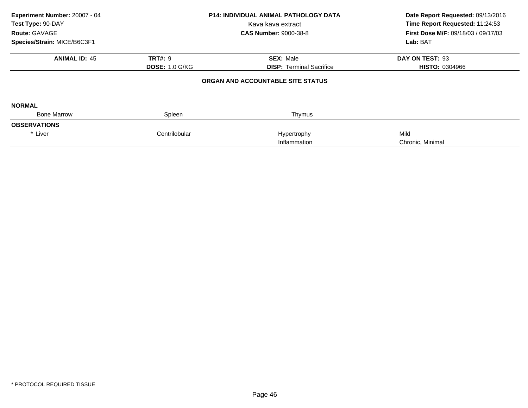| Experiment Number: 20007 - 04<br>Test Type: 90-DAY<br>Route: GAVAGE<br>Species/Strain: MICE/B6C3F1 | <b>P14: INDIVIDUAL ANIMAL PATHOLOGY DATA</b><br>Kava kava extract<br><b>CAS Number: 9000-38-8</b> |                                                     | Date Report Requested: 09/13/2016<br>Time Report Requested: 11:24:53<br>First Dose M/F: 09/18/03 / 09/17/03<br>Lab: BAT |  |
|----------------------------------------------------------------------------------------------------|---------------------------------------------------------------------------------------------------|-----------------------------------------------------|-------------------------------------------------------------------------------------------------------------------------|--|
| <b>ANIMAL ID: 45</b>                                                                               | <b>TRT#: 9</b><br><b>DOSE: 1.0 G/KG</b>                                                           | <b>SEX: Male</b><br><b>DISP:</b> Terminal Sacrifice | DAY ON TEST: 93<br><b>HISTO: 0304966</b>                                                                                |  |
|                                                                                                    |                                                                                                   | ORGAN AND ACCOUNTABLE SITE STATUS                   |                                                                                                                         |  |
| <b>NORMAL</b>                                                                                      |                                                                                                   |                                                     |                                                                                                                         |  |
| <b>Bone Marrow</b>                                                                                 | Spleen                                                                                            | Thymus                                              |                                                                                                                         |  |
| <b>OBSERVATIONS</b>                                                                                |                                                                                                   |                                                     |                                                                                                                         |  |
| * Liver                                                                                            | Centrilobular                                                                                     | Hypertrophy<br>Inflammation                         | Mild<br>Chronic, Minimal                                                                                                |  |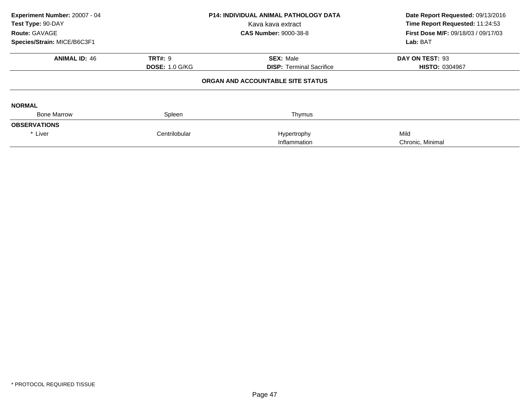| Experiment Number: 20007 - 04<br>Test Type: 90-DAY<br>Route: GAVAGE<br>Species/Strain: MICE/B6C3F1 | <b>P14: INDIVIDUAL ANIMAL PATHOLOGY DATA</b><br>Kava kava extract<br><b>CAS Number: 9000-38-8</b> |                                                     | Date Report Requested: 09/13/2016<br>Time Report Requested: 11:24:53<br>First Dose M/F: 09/18/03 / 09/17/03<br>Lab: BAT |  |
|----------------------------------------------------------------------------------------------------|---------------------------------------------------------------------------------------------------|-----------------------------------------------------|-------------------------------------------------------------------------------------------------------------------------|--|
| <b>ANIMAL ID: 46</b>                                                                               | <b>TRT#: 9</b><br><b>DOSE: 1.0 G/KG</b>                                                           | <b>SEX: Male</b><br><b>DISP:</b> Terminal Sacrifice | DAY ON TEST: 93<br><b>HISTO: 0304967</b>                                                                                |  |
|                                                                                                    |                                                                                                   | ORGAN AND ACCOUNTABLE SITE STATUS                   |                                                                                                                         |  |
| <b>NORMAL</b>                                                                                      |                                                                                                   |                                                     |                                                                                                                         |  |
| <b>Bone Marrow</b>                                                                                 | Spleen                                                                                            | Thymus                                              |                                                                                                                         |  |
| <b>OBSERVATIONS</b>                                                                                |                                                                                                   |                                                     |                                                                                                                         |  |
| * Liver                                                                                            | Centrilobular                                                                                     | Hypertrophy<br>Inflammation                         | Mild<br>Chronic, Minimal                                                                                                |  |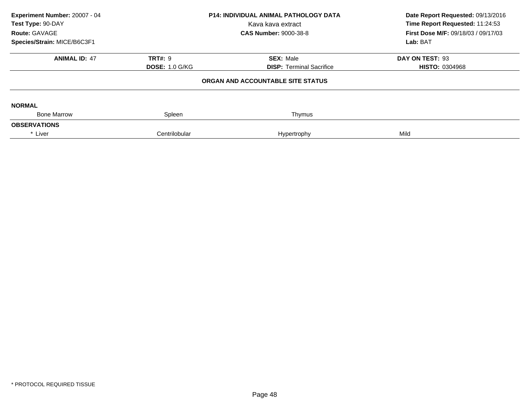| Experiment Number: 20007 - 04<br>Test Type: 90-DAY<br>Route: GAVAGE | <b>P14: INDIVIDUAL ANIMAL PATHOLOGY DATA</b><br>Kava kava extract<br><b>CAS Number: 9000-38-8</b> |                                   | Date Report Requested: 09/13/2016<br>Time Report Requested: 11:24:53<br><b>First Dose M/F: 09/18/03 / 09/17/03</b> |  |
|---------------------------------------------------------------------|---------------------------------------------------------------------------------------------------|-----------------------------------|--------------------------------------------------------------------------------------------------------------------|--|
| Species/Strain: MICE/B6C3F1                                         |                                                                                                   |                                   | Lab: BAT                                                                                                           |  |
| <b>ANIMAL ID: 47</b>                                                | <b>TRT#: 9</b>                                                                                    | <b>SEX: Male</b>                  | DAY ON TEST: 93                                                                                                    |  |
|                                                                     | <b>DOSE: 1.0 G/KG</b>                                                                             | <b>DISP:</b> Terminal Sacrifice   | <b>HISTO: 0304968</b>                                                                                              |  |
|                                                                     |                                                                                                   | ORGAN AND ACCOUNTABLE SITE STATUS |                                                                                                                    |  |
| <b>NORMAL</b>                                                       |                                                                                                   |                                   |                                                                                                                    |  |
| <b>Bone Marrow</b>                                                  | Spleen                                                                                            | Thymus                            |                                                                                                                    |  |
| <b>OBSERVATIONS</b>                                                 |                                                                                                   |                                   |                                                                                                                    |  |
| * Liver                                                             | Centrilobular                                                                                     | Hypertrophy                       | Mild                                                                                                               |  |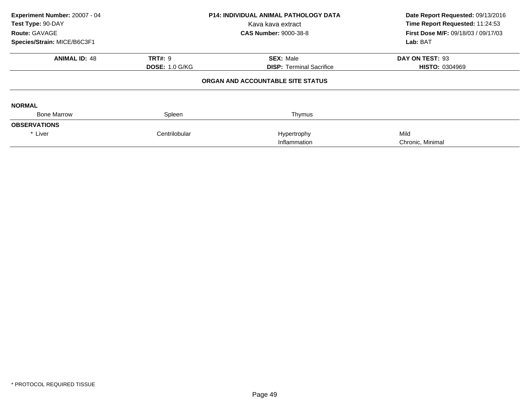| Experiment Number: 20007 - 04<br>Test Type: 90-DAY<br>Route: GAVAGE<br>Species/Strain: MICE/B6C3F1 |                       | <b>P14: INDIVIDUAL ANIMAL PATHOLOGY DATA</b><br>Kava kava extract<br><b>CAS Number: 9000-38-8</b> | Date Report Requested: 09/13/2016<br>Time Report Requested: 11:24:53<br>First Dose M/F: 09/18/03 / 09/17/03<br>Lab: BAT |  |
|----------------------------------------------------------------------------------------------------|-----------------------|---------------------------------------------------------------------------------------------------|-------------------------------------------------------------------------------------------------------------------------|--|
| <b>ANIMAL ID: 48</b>                                                                               | <b>TRT#: 9</b>        | <b>SEX: Male</b>                                                                                  | DAY ON TEST: 93                                                                                                         |  |
|                                                                                                    | <b>DOSE: 1.0 G/KG</b> | <b>DISP:</b> Terminal Sacrifice                                                                   | <b>HISTO: 0304969</b>                                                                                                   |  |
|                                                                                                    |                       | ORGAN AND ACCOUNTABLE SITE STATUS                                                                 |                                                                                                                         |  |
| <b>NORMAL</b>                                                                                      |                       |                                                                                                   |                                                                                                                         |  |
| <b>Bone Marrow</b>                                                                                 | Spleen                | Thymus                                                                                            |                                                                                                                         |  |
| <b>OBSERVATIONS</b>                                                                                |                       |                                                                                                   |                                                                                                                         |  |
| * Liver                                                                                            | Centrilobular         | Hypertrophy                                                                                       | Mild                                                                                                                    |  |
|                                                                                                    |                       | Inflammation                                                                                      | Chronic, Minimal                                                                                                        |  |
|                                                                                                    |                       |                                                                                                   |                                                                                                                         |  |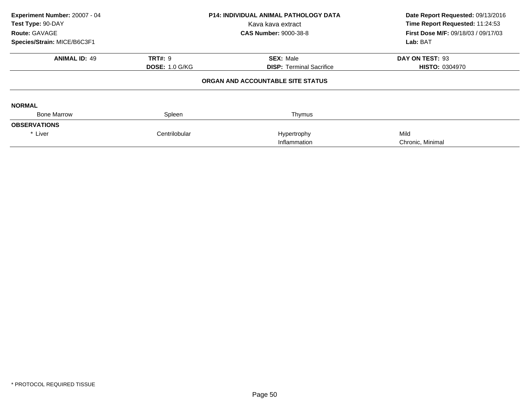| Experiment Number: 20007 - 04<br>Test Type: 90-DAY<br>Route: GAVAGE<br>Species/Strain: MICE/B6C3F1 |                       | <b>P14: INDIVIDUAL ANIMAL PATHOLOGY DATA</b><br>Kava kava extract<br><b>CAS Number: 9000-38-8</b> | Date Report Requested: 09/13/2016<br>Time Report Requested: 11:24:53<br>First Dose M/F: 09/18/03 / 09/17/03<br>Lab: BAT |  |
|----------------------------------------------------------------------------------------------------|-----------------------|---------------------------------------------------------------------------------------------------|-------------------------------------------------------------------------------------------------------------------------|--|
| <b>ANIMAL ID: 49</b>                                                                               | <b>TRT#: 9</b>        | <b>SEX: Male</b>                                                                                  | DAY ON TEST: 93                                                                                                         |  |
|                                                                                                    | <b>DOSE: 1.0 G/KG</b> | <b>DISP:</b> Terminal Sacrifice<br>ORGAN AND ACCOUNTABLE SITE STATUS                              | <b>HISTO: 0304970</b>                                                                                                   |  |
|                                                                                                    |                       |                                                                                                   |                                                                                                                         |  |
| <b>NORMAL</b>                                                                                      |                       |                                                                                                   |                                                                                                                         |  |
| <b>Bone Marrow</b>                                                                                 | Spleen                | Thymus                                                                                            |                                                                                                                         |  |
| <b>OBSERVATIONS</b>                                                                                |                       |                                                                                                   |                                                                                                                         |  |
| * Liver                                                                                            | Centrilobular         | Hypertrophy<br>Inflammation                                                                       | Mild<br>Chronic, Minimal                                                                                                |  |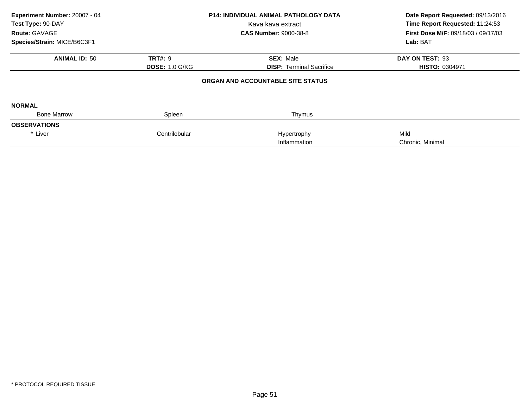| Experiment Number: 20007 - 04<br>Test Type: 90-DAY<br>Route: GAVAGE<br>Species/Strain: MICE/B6C3F1 |                       | <b>P14: INDIVIDUAL ANIMAL PATHOLOGY DATA</b><br>Kava kava extract<br><b>CAS Number: 9000-38-8</b> | Date Report Requested: 09/13/2016<br>Time Report Requested: 11:24:53<br>First Dose M/F: 09/18/03 / 09/17/03 |  |
|----------------------------------------------------------------------------------------------------|-----------------------|---------------------------------------------------------------------------------------------------|-------------------------------------------------------------------------------------------------------------|--|
|                                                                                                    |                       |                                                                                                   | Lab: BAT                                                                                                    |  |
| <b>ANIMAL ID: 50</b>                                                                               | <b>TRT#: 9</b>        | <b>SEX: Male</b>                                                                                  | DAY ON TEST: 93                                                                                             |  |
|                                                                                                    | <b>DOSE: 1.0 G/KG</b> | <b>DISP: Terminal Sacrifice</b>                                                                   | <b>HISTO: 0304971</b>                                                                                       |  |
|                                                                                                    |                       | ORGAN AND ACCOUNTABLE SITE STATUS                                                                 |                                                                                                             |  |
| <b>NORMAL</b>                                                                                      |                       |                                                                                                   |                                                                                                             |  |
| <b>Bone Marrow</b>                                                                                 | Spleen                | Thymus                                                                                            |                                                                                                             |  |
| <b>OBSERVATIONS</b>                                                                                |                       |                                                                                                   |                                                                                                             |  |
| * Liver                                                                                            | Centrilobular         | Hypertrophy                                                                                       | Mild                                                                                                        |  |
|                                                                                                    |                       | Inflammation                                                                                      | Chronic, Minimal                                                                                            |  |
|                                                                                                    |                       |                                                                                                   |                                                                                                             |  |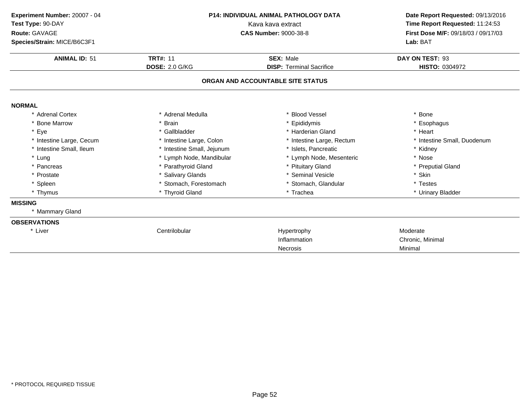| Date Report Requested: 09/13/2016   |
|-------------------------------------|
| Time Report Requested: 11:24:53     |
| First Dose M/F: 09/18/03 / 09/17/03 |
|                                     |
|                                     |
|                                     |
|                                     |
|                                     |
|                                     |
|                                     |
|                                     |
| * Intestine Small, Duodenum         |
|                                     |
|                                     |
|                                     |
|                                     |
|                                     |
|                                     |
|                                     |
|                                     |
|                                     |
|                                     |
|                                     |
|                                     |
|                                     |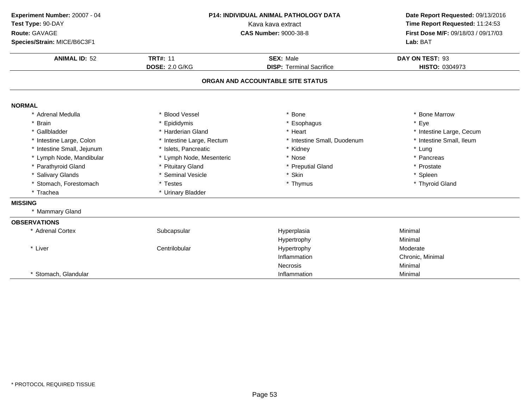| Experiment Number: 20007 - 04<br>Test Type: 90-DAY<br>Route: GAVAGE<br>Species/Strain: MICE/B6C3F1 | P14: INDIVIDUAL ANIMAL PATHOLOGY DATA<br>Kava kava extract<br><b>CAS Number: 9000-38-8</b> |                                   | Date Report Requested: 09/13/2016<br>Time Report Requested: 11:24:53<br>First Dose M/F: 09/18/03 / 09/17/03<br>Lab: BAT |
|----------------------------------------------------------------------------------------------------|--------------------------------------------------------------------------------------------|-----------------------------------|-------------------------------------------------------------------------------------------------------------------------|
| <b>ANIMAL ID: 52</b>                                                                               | <b>TRT#: 11</b>                                                                            | <b>SEX: Male</b>                  | DAY ON TEST: 93                                                                                                         |
|                                                                                                    | <b>DOSE: 2.0 G/KG</b>                                                                      | <b>DISP: Terminal Sacrifice</b>   | HISTO: 0304973                                                                                                          |
|                                                                                                    |                                                                                            | ORGAN AND ACCOUNTABLE SITE STATUS |                                                                                                                         |
| <b>NORMAL</b>                                                                                      |                                                                                            |                                   |                                                                                                                         |
| * Adrenal Medulla                                                                                  | * Blood Vessel                                                                             | <b>Bone</b>                       | * Bone Marrow                                                                                                           |
| * Brain                                                                                            | * Epididymis                                                                               | * Esophagus                       | * Eye                                                                                                                   |
| * Gallbladder                                                                                      | * Harderian Gland                                                                          | * Heart                           | * Intestine Large, Cecum                                                                                                |
| * Intestine Large, Colon                                                                           | * Intestine Large, Rectum                                                                  | * Intestine Small, Duodenum       | * Intestine Small, Ileum                                                                                                |
| * Intestine Small, Jejunum                                                                         | * Islets, Pancreatic                                                                       | * Kidney                          | * Lung                                                                                                                  |
| * Lymph Node, Mandibular                                                                           | * Lymph Node, Mesenteric                                                                   | * Nose                            | * Pancreas                                                                                                              |
| * Parathyroid Gland                                                                                | * Pituitary Gland                                                                          | * Preputial Gland                 | * Prostate                                                                                                              |
| * Salivary Glands                                                                                  | * Seminal Vesicle                                                                          | * Skin                            | * Spleen                                                                                                                |
| * Stomach, Forestomach                                                                             | * Testes                                                                                   | * Thymus                          | * Thyroid Gland                                                                                                         |
| * Trachea                                                                                          | * Urinary Bladder                                                                          |                                   |                                                                                                                         |
| <b>MISSING</b>                                                                                     |                                                                                            |                                   |                                                                                                                         |
| * Mammary Gland                                                                                    |                                                                                            |                                   |                                                                                                                         |
| <b>OBSERVATIONS</b>                                                                                |                                                                                            |                                   |                                                                                                                         |
| * Adrenal Cortex                                                                                   | Subcapsular                                                                                | Hyperplasia                       | Minimal                                                                                                                 |
|                                                                                                    |                                                                                            | Hypertrophy                       | Minimal                                                                                                                 |
| * Liver                                                                                            | Centrilobular                                                                              | Hypertrophy                       | Moderate                                                                                                                |
|                                                                                                    |                                                                                            | Inflammation                      | Chronic, Minimal                                                                                                        |
|                                                                                                    |                                                                                            | Necrosis                          | Minimal                                                                                                                 |
| * Stomach, Glandular                                                                               |                                                                                            | Inflammation                      | Minimal                                                                                                                 |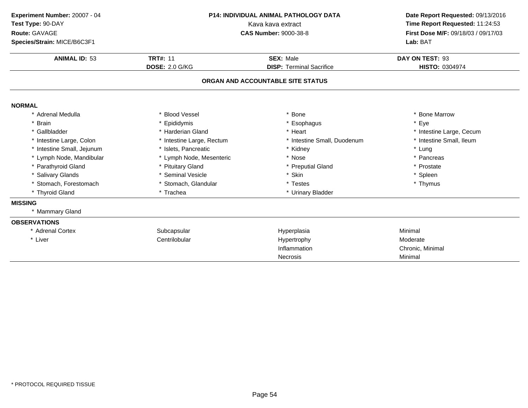| Experiment Number: 20007 - 04<br>Test Type: 90-DAY<br>Route: GAVAGE<br>Species/Strain: MICE/B6C3F1 |                           | <b>P14: INDIVIDUAL ANIMAL PATHOLOGY DATA</b><br>Kava kava extract<br><b>CAS Number: 9000-38-8</b> | Date Report Requested: 09/13/2016<br>Time Report Requested: 11:24:53<br>First Dose M/F: 09/18/03 / 09/17/03<br>Lab: BAT |  |
|----------------------------------------------------------------------------------------------------|---------------------------|---------------------------------------------------------------------------------------------------|-------------------------------------------------------------------------------------------------------------------------|--|
| <b>ANIMAL ID: 53</b>                                                                               | <b>TRT#: 11</b>           | <b>SEX: Male</b>                                                                                  | DAY ON TEST: 93                                                                                                         |  |
|                                                                                                    | <b>DOSE: 2.0 G/KG</b>     | <b>DISP: Terminal Sacrifice</b>                                                                   | HISTO: 0304974                                                                                                          |  |
|                                                                                                    |                           | ORGAN AND ACCOUNTABLE SITE STATUS                                                                 |                                                                                                                         |  |
| <b>NORMAL</b>                                                                                      |                           |                                                                                                   |                                                                                                                         |  |
| * Adrenal Medulla                                                                                  | * Blood Vessel            | <b>Bone</b>                                                                                       | * Bone Marrow                                                                                                           |  |
| * Brain                                                                                            | * Epididymis              | * Esophagus                                                                                       | * Eye                                                                                                                   |  |
| * Gallbladder                                                                                      | * Harderian Gland         | * Heart                                                                                           | * Intestine Large, Cecum                                                                                                |  |
| * Intestine Large, Colon                                                                           | * Intestine Large, Rectum | Intestine Small, Duodenum                                                                         | * Intestine Small, Ileum                                                                                                |  |
| * Intestine Small, Jejunum                                                                         | * Islets, Pancreatic      | * Kidney                                                                                          | * Lung                                                                                                                  |  |
| * Lymph Node, Mandibular                                                                           | * Lymph Node, Mesenteric  | * Nose                                                                                            | * Pancreas                                                                                                              |  |
| * Parathyroid Gland                                                                                | * Pituitary Gland         | * Preputial Gland                                                                                 | * Prostate                                                                                                              |  |
| * Salivary Glands                                                                                  | * Seminal Vesicle         | * Skin                                                                                            | * Spleen                                                                                                                |  |
| * Stomach, Forestomach                                                                             | * Stomach, Glandular      | * Testes                                                                                          | * Thymus                                                                                                                |  |
| * Thyroid Gland                                                                                    | * Trachea                 | * Urinary Bladder                                                                                 |                                                                                                                         |  |
| <b>MISSING</b>                                                                                     |                           |                                                                                                   |                                                                                                                         |  |
| * Mammary Gland                                                                                    |                           |                                                                                                   |                                                                                                                         |  |
| <b>OBSERVATIONS</b>                                                                                |                           |                                                                                                   |                                                                                                                         |  |
| * Adrenal Cortex                                                                                   | Subcapsular               | Hyperplasia                                                                                       | Minimal                                                                                                                 |  |
| * Liver                                                                                            | Centrilobular             | Hypertrophy                                                                                       | Moderate                                                                                                                |  |
|                                                                                                    |                           | Inflammation                                                                                      | Chronic, Minimal                                                                                                        |  |
|                                                                                                    |                           | <b>Necrosis</b>                                                                                   | Minimal                                                                                                                 |  |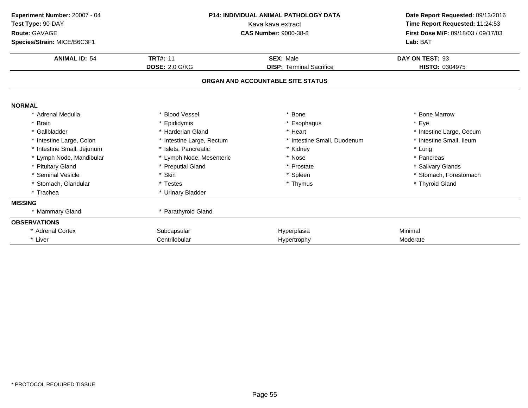| Experiment Number: 20007 - 04<br>Test Type: 90-DAY<br>Route: GAVAGE<br>Species/Strain: MICE/B6C3F1 |                           | <b>P14: INDIVIDUAL ANIMAL PATHOLOGY DATA</b><br>Kava kava extract<br><b>CAS Number: 9000-38-8</b> |                          |
|----------------------------------------------------------------------------------------------------|---------------------------|---------------------------------------------------------------------------------------------------|--------------------------|
| <b>ANIMAL ID: 54</b>                                                                               | <b>TRT#: 11</b>           | <b>SEX: Male</b>                                                                                  | DAY ON TEST: 93          |
|                                                                                                    | <b>DOSE: 2.0 G/KG</b>     | <b>DISP: Terminal Sacrifice</b>                                                                   | HISTO: 0304975           |
|                                                                                                    |                           | ORGAN AND ACCOUNTABLE SITE STATUS                                                                 |                          |
| <b>NORMAL</b>                                                                                      |                           |                                                                                                   |                          |
| * Adrenal Medulla                                                                                  | * Blood Vessel            | * Bone                                                                                            | * Bone Marrow            |
| * Brain                                                                                            | * Epididymis              | * Esophagus                                                                                       | * Eye                    |
| * Gallbladder                                                                                      | * Harderian Gland         | * Heart                                                                                           | * Intestine Large, Cecum |
| * Intestine Large, Colon                                                                           | * Intestine Large, Rectum | * Intestine Small, Duodenum                                                                       | * Intestine Small, Ileum |
| * Intestine Small, Jejunum                                                                         | * Islets. Pancreatic      | * Kidney                                                                                          | * Lung                   |
| * Lymph Node, Mandibular                                                                           | * Lymph Node, Mesenteric  | * Nose                                                                                            | * Pancreas               |
| * Pituitary Gland                                                                                  | * Preputial Gland         | * Prostate                                                                                        | * Salivary Glands        |
| * Seminal Vesicle                                                                                  | * Skin                    | * Spleen                                                                                          | * Stomach, Forestomach   |
| * Stomach, Glandular                                                                               | * Testes                  | * Thymus                                                                                          | * Thyroid Gland          |
| * Trachea                                                                                          | * Urinary Bladder         |                                                                                                   |                          |
| <b>MISSING</b>                                                                                     |                           |                                                                                                   |                          |
| * Mammary Gland                                                                                    | * Parathyroid Gland       |                                                                                                   |                          |
| <b>OBSERVATIONS</b>                                                                                |                           |                                                                                                   |                          |
| * Adrenal Cortex                                                                                   | Subcapsular               | Hyperplasia                                                                                       | Minimal                  |
| * Liver                                                                                            | Centrilobular             | Hypertrophy                                                                                       | Moderate                 |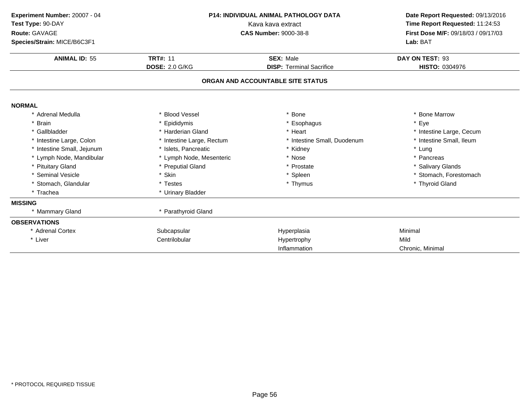| Experiment Number: 20007 - 04<br>Test Type: 90-DAY<br>Route: GAVAGE<br>Species/Strain: MICE/B6C3F1<br><b>ANIMAL ID: 55</b> | P14: INDIVIDUAL ANIMAL PATHOLOGY DATA<br>Kava kava extract<br><b>CAS Number: 9000-38-8</b><br><b>TRT#: 11</b><br><b>SEX: Male</b><br><b>DOSE: 2.0 G/KG</b><br><b>DISP: Terminal Sacrifice</b> |                                   | Date Report Requested: 09/13/2016<br>Time Report Requested: 11:24:53<br>First Dose M/F: 09/18/03 / 09/17/03<br>Lab: BAT<br>DAY ON TEST: 93<br>HISTO: 0304976 |
|----------------------------------------------------------------------------------------------------------------------------|-----------------------------------------------------------------------------------------------------------------------------------------------------------------------------------------------|-----------------------------------|--------------------------------------------------------------------------------------------------------------------------------------------------------------|
|                                                                                                                            |                                                                                                                                                                                               | ORGAN AND ACCOUNTABLE SITE STATUS |                                                                                                                                                              |
| <b>NORMAL</b>                                                                                                              |                                                                                                                                                                                               |                                   |                                                                                                                                                              |
| * Adrenal Medulla                                                                                                          | * Blood Vessel                                                                                                                                                                                | * Bone                            | * Bone Marrow                                                                                                                                                |
| * Brain                                                                                                                    | * Epididymis                                                                                                                                                                                  | * Esophagus                       | * Eye                                                                                                                                                        |
| * Gallbladder                                                                                                              | * Harderian Gland                                                                                                                                                                             | * Heart                           | * Intestine Large, Cecum                                                                                                                                     |
| * Intestine Large, Colon                                                                                                   | * Intestine Large, Rectum                                                                                                                                                                     | * Intestine Small, Duodenum       | * Intestine Small, Ileum                                                                                                                                     |
| * Intestine Small, Jejunum                                                                                                 | * Islets, Pancreatic                                                                                                                                                                          | * Kidney                          | * Lung                                                                                                                                                       |
| * Lymph Node, Mandibular                                                                                                   | * Lymph Node, Mesenteric                                                                                                                                                                      | * Nose                            | * Pancreas                                                                                                                                                   |
| * Pituitary Gland                                                                                                          | * Preputial Gland                                                                                                                                                                             | * Prostate                        | * Salivary Glands                                                                                                                                            |
| * Seminal Vesicle                                                                                                          | * Skin                                                                                                                                                                                        | * Spleen                          | * Stomach, Forestomach                                                                                                                                       |
| * Stomach, Glandular                                                                                                       | * Testes                                                                                                                                                                                      | * Thymus                          | * Thyroid Gland                                                                                                                                              |
| * Trachea                                                                                                                  | * Urinary Bladder                                                                                                                                                                             |                                   |                                                                                                                                                              |
| <b>MISSING</b>                                                                                                             |                                                                                                                                                                                               |                                   |                                                                                                                                                              |
| * Mammary Gland                                                                                                            | * Parathyroid Gland                                                                                                                                                                           |                                   |                                                                                                                                                              |
| <b>OBSERVATIONS</b>                                                                                                        |                                                                                                                                                                                               |                                   |                                                                                                                                                              |
| * Adrenal Cortex                                                                                                           | Subcapsular                                                                                                                                                                                   | Hyperplasia                       | Minimal                                                                                                                                                      |
| * Liver                                                                                                                    | Centrilobular                                                                                                                                                                                 | Hypertrophy                       | Mild                                                                                                                                                         |
|                                                                                                                            |                                                                                                                                                                                               | Inflammation                      | Chronic, Minimal                                                                                                                                             |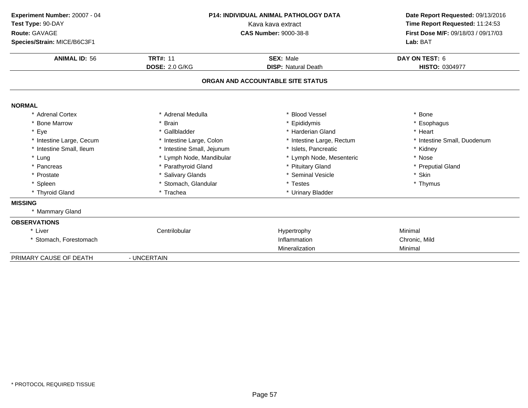| Experiment Number: 20007 - 04 |                            | P14: INDIVIDUAL ANIMAL PATHOLOGY DATA | Date Report Requested: 09/13/2016 |  |
|-------------------------------|----------------------------|---------------------------------------|-----------------------------------|--|
| Test Type: 90-DAY             | Kava kava extract          |                                       | Time Report Requested: 11:24:53   |  |
| Route: GAVAGE                 |                            | <b>CAS Number: 9000-38-8</b>          |                                   |  |
| Species/Strain: MICE/B6C3F1   |                            |                                       |                                   |  |
| <b>ANIMAL ID: 56</b>          | <b>TRT#: 11</b>            | <b>SEX: Male</b>                      | DAY ON TEST: 6                    |  |
|                               | <b>DOSE: 2.0 G/KG</b>      | <b>DISP: Natural Death</b>            | <b>HISTO: 0304977</b>             |  |
|                               |                            | ORGAN AND ACCOUNTABLE SITE STATUS     |                                   |  |
| <b>NORMAL</b>                 |                            |                                       |                                   |  |
| * Adrenal Cortex              | * Adrenal Medulla          | * Blood Vessel                        | * Bone                            |  |
| * Bone Marrow                 | * Brain                    | * Epididymis                          | * Esophagus                       |  |
| * Eye                         | * Gallbladder              | * Harderian Gland                     | * Heart                           |  |
| * Intestine Large, Cecum      | * Intestine Large, Colon   | * Intestine Large, Rectum             | * Intestine Small, Duodenum       |  |
| * Intestine Small, Ileum      | * Intestine Small, Jejunum | * Islets, Pancreatic                  | * Kidney                          |  |
| * Lung                        | * Lymph Node, Mandibular   | * Lymph Node, Mesenteric              | * Nose                            |  |
| * Pancreas                    | * Parathyroid Gland        | * Pituitary Gland                     | * Preputial Gland                 |  |
| * Prostate                    | * Salivary Glands          | * Seminal Vesicle                     | * Skin                            |  |
| * Spleen                      | * Stomach, Glandular       | * Testes                              | * Thymus                          |  |
| * Thyroid Gland               | * Trachea                  | * Urinary Bladder                     |                                   |  |
| <b>MISSING</b>                |                            |                                       |                                   |  |
| * Mammary Gland               |                            |                                       |                                   |  |
| <b>OBSERVATIONS</b>           |                            |                                       |                                   |  |
| * Liver                       | Centrilobular              | Hypertrophy                           | Minimal                           |  |
| * Stomach, Forestomach        |                            | Inflammation                          | Chronic, Mild                     |  |
|                               |                            | Mineralization                        | Minimal                           |  |
| PRIMARY CAUSE OF DEATH        | - UNCERTAIN                |                                       |                                   |  |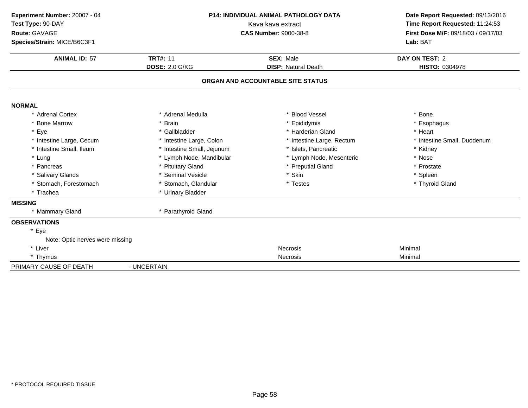| Experiment Number: 20007 - 04   | P14: INDIVIDUAL ANIMAL PATHOLOGY DATA             |                                                                        | Date Report Requested: 09/13/2016 |  |
|---------------------------------|---------------------------------------------------|------------------------------------------------------------------------|-----------------------------------|--|
| Test Type: 90-DAY               |                                                   | Time Report Requested: 11:24:53<br>First Dose M/F: 09/18/03 / 09/17/03 |                                   |  |
| Route: GAVAGE                   | Kava kava extract<br><b>CAS Number: 9000-38-8</b> |                                                                        |                                   |  |
| Species/Strain: MICE/B6C3F1     |                                                   |                                                                        | Lab: BAT                          |  |
| <b>ANIMAL ID: 57</b>            | <b>TRT#: 11</b>                                   | <b>SEX: Male</b>                                                       | DAY ON TEST: 2                    |  |
|                                 | <b>DOSE: 2.0 G/KG</b>                             | <b>DISP: Natural Death</b>                                             | HISTO: 0304978                    |  |
|                                 |                                                   | ORGAN AND ACCOUNTABLE SITE STATUS                                      |                                   |  |
| <b>NORMAL</b>                   |                                                   |                                                                        |                                   |  |
| * Adrenal Cortex                | * Adrenal Medulla                                 | * Blood Vessel                                                         | * Bone                            |  |
| * Bone Marrow                   | * Brain                                           | * Epididymis                                                           | * Esophagus                       |  |
| * Eye                           | * Gallbladder                                     | * Harderian Gland                                                      | * Heart                           |  |
| * Intestine Large, Cecum        | * Intestine Large, Colon                          | * Intestine Large, Rectum                                              | * Intestine Small, Duodenum       |  |
| * Intestine Small, Ileum        | * Intestine Small, Jejunum                        | * Islets, Pancreatic                                                   | * Kidney                          |  |
| * Lung                          | * Lymph Node, Mandibular                          | * Lymph Node, Mesenteric                                               | * Nose                            |  |
| * Pancreas                      | * Pituitary Gland                                 | * Preputial Gland                                                      | * Prostate                        |  |
| * Salivary Glands               | * Seminal Vesicle                                 | * Skin                                                                 | * Spleen                          |  |
| * Stomach, Forestomach          | * Stomach, Glandular                              | * Testes                                                               | * Thyroid Gland                   |  |
| * Trachea                       | * Urinary Bladder                                 |                                                                        |                                   |  |
| <b>MISSING</b>                  |                                                   |                                                                        |                                   |  |
| * Mammary Gland                 | * Parathyroid Gland                               |                                                                        |                                   |  |
| <b>OBSERVATIONS</b>             |                                                   |                                                                        |                                   |  |
| * Eye                           |                                                   |                                                                        |                                   |  |
| Note: Optic nerves were missing |                                                   |                                                                        |                                   |  |
| * Liver                         |                                                   | Necrosis                                                               | Minimal                           |  |
| * Thymus                        |                                                   | Necrosis                                                               | Minimal                           |  |
| PRIMARY CAUSE OF DEATH          | - UNCERTAIN                                       |                                                                        |                                   |  |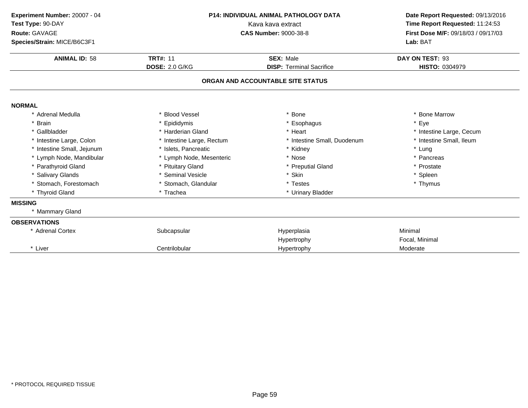| Experiment Number: 20007 - 04<br>Test Type: 90-DAY<br>Route: GAVAGE<br>Species/Strain: MICE/B6C3F1 | <b>P14: INDIVIDUAL ANIMAL PATHOLOGY DATA</b><br>Kava kava extract<br><b>CAS Number: 9000-38-8</b> |                                                     | Date Report Requested: 09/13/2016<br>Time Report Requested: 11:24:53<br>First Dose M/F: 09/18/03 / 09/17/03<br>Lab: BAT |
|----------------------------------------------------------------------------------------------------|---------------------------------------------------------------------------------------------------|-----------------------------------------------------|-------------------------------------------------------------------------------------------------------------------------|
| <b>ANIMAL ID: 58</b>                                                                               | <b>TRT#: 11</b><br><b>DOSE: 2.0 G/KG</b>                                                          | <b>SEX: Male</b><br><b>DISP: Terminal Sacrifice</b> | DAY ON TEST: 93<br>HISTO: 0304979                                                                                       |
|                                                                                                    |                                                                                                   | ORGAN AND ACCOUNTABLE SITE STATUS                   |                                                                                                                         |
| <b>NORMAL</b>                                                                                      |                                                                                                   |                                                     |                                                                                                                         |
| * Adrenal Medulla                                                                                  | * Blood Vessel                                                                                    | * Bone                                              | * Bone Marrow                                                                                                           |
| <b>Brain</b>                                                                                       | * Epididymis                                                                                      | * Esophagus                                         | * Eye                                                                                                                   |
| * Gallbladder                                                                                      | * Harderian Gland                                                                                 | * Heart                                             | * Intestine Large, Cecum                                                                                                |
| * Intestine Large, Colon                                                                           | * Intestine Large, Rectum                                                                         | * Intestine Small, Duodenum                         | * Intestine Small, Ileum                                                                                                |
| * Intestine Small, Jejunum                                                                         | * Islets, Pancreatic                                                                              | * Kidney                                            | * Lung                                                                                                                  |
| * Lymph Node, Mandibular                                                                           | * Lymph Node, Mesenteric                                                                          | * Nose                                              | * Pancreas                                                                                                              |
| * Parathyroid Gland                                                                                | * Pituitary Gland                                                                                 | * Preputial Gland                                   | * Prostate                                                                                                              |
| * Salivary Glands                                                                                  | * Seminal Vesicle                                                                                 | * Skin                                              | * Spleen                                                                                                                |
| * Stomach, Forestomach                                                                             | * Stomach, Glandular                                                                              | * Testes                                            | * Thymus                                                                                                                |
| * Thyroid Gland                                                                                    | * Trachea                                                                                         | * Urinary Bladder                                   |                                                                                                                         |
| <b>MISSING</b>                                                                                     |                                                                                                   |                                                     |                                                                                                                         |
| * Mammary Gland                                                                                    |                                                                                                   |                                                     |                                                                                                                         |
| <b>OBSERVATIONS</b>                                                                                |                                                                                                   |                                                     |                                                                                                                         |
| * Adrenal Cortex                                                                                   | Subcapsular                                                                                       | Hyperplasia                                         | Minimal                                                                                                                 |
|                                                                                                    |                                                                                                   | Hypertrophy                                         | Focal, Minimal                                                                                                          |
| * Liver                                                                                            | Centrilobular                                                                                     | Hypertrophy                                         | Moderate                                                                                                                |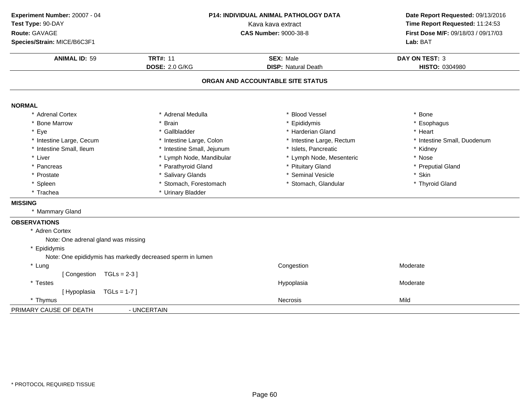| Experiment Number: 20007 - 04<br>Test Type: 90-DAY<br>Route: GAVAGE | P14: INDIVIDUAL ANIMAL PATHOLOGY DATA<br>Kava kava extract<br><b>CAS Number: 9000-38-8</b> |                                   | Date Report Requested: 09/13/2016<br>Time Report Requested: 11:24:53<br>First Dose M/F: 09/18/03 / 09/17/03 |
|---------------------------------------------------------------------|--------------------------------------------------------------------------------------------|-----------------------------------|-------------------------------------------------------------------------------------------------------------|
| Species/Strain: MICE/B6C3F1                                         |                                                                                            |                                   | Lab: BAT                                                                                                    |
| <b>ANIMAL ID: 59</b>                                                | <b>TRT#: 11</b>                                                                            | <b>SEX: Male</b>                  | DAY ON TEST: 3                                                                                              |
|                                                                     | <b>DOSE: 2.0 G/KG</b>                                                                      | <b>DISP: Natural Death</b>        | <b>HISTO: 0304980</b>                                                                                       |
|                                                                     |                                                                                            | ORGAN AND ACCOUNTABLE SITE STATUS |                                                                                                             |
| <b>NORMAL</b>                                                       |                                                                                            |                                   |                                                                                                             |
| * Adrenal Cortex                                                    | * Adrenal Medulla                                                                          | * Blood Vessel                    | * Bone                                                                                                      |
| <b>Bone Marrow</b>                                                  | * Brain                                                                                    | * Epididymis                      | * Esophagus                                                                                                 |
| * Eye                                                               | * Gallbladder                                                                              | * Harderian Gland                 | * Heart                                                                                                     |
| * Intestine Large, Cecum                                            | * Intestine Large, Colon                                                                   | * Intestine Large, Rectum         | * Intestine Small, Duodenum                                                                                 |
| * Intestine Small, Ileum                                            | * Intestine Small, Jejunum                                                                 | * Islets, Pancreatic              | * Kidney                                                                                                    |
| * Liver                                                             | * Lymph Node, Mandibular                                                                   | * Lymph Node, Mesenteric          | * Nose                                                                                                      |
| * Pancreas                                                          | * Parathyroid Gland                                                                        | * Pituitary Gland                 | * Preputial Gland                                                                                           |
| * Prostate                                                          | * Salivary Glands                                                                          | * Seminal Vesicle                 | * Skin                                                                                                      |
| * Spleen                                                            | * Stomach, Forestomach                                                                     | * Stomach, Glandular              | * Thyroid Gland                                                                                             |
| * Trachea                                                           | * Urinary Bladder                                                                          |                                   |                                                                                                             |
| <b>MISSING</b>                                                      |                                                                                            |                                   |                                                                                                             |
| * Mammary Gland                                                     |                                                                                            |                                   |                                                                                                             |
| <b>OBSERVATIONS</b>                                                 |                                                                                            |                                   |                                                                                                             |
| * Adren Cortex                                                      |                                                                                            |                                   |                                                                                                             |
| Note: One adrenal gland was missing                                 |                                                                                            |                                   |                                                                                                             |
| * Epididymis                                                        |                                                                                            |                                   |                                                                                                             |
| Note: One epididymis has markedly decreased sperm in lumen          |                                                                                            |                                   |                                                                                                             |
| * Lung                                                              |                                                                                            | Congestion                        | Moderate                                                                                                    |
| [ Congestion<br>$TGLs = 2-3$ ]                                      |                                                                                            |                                   |                                                                                                             |
| * Testes                                                            |                                                                                            | Hypoplasia                        | Moderate                                                                                                    |
| [Hypoplasia<br>$TGLs = 1-7$                                         |                                                                                            |                                   |                                                                                                             |
| * Thymus                                                            |                                                                                            | <b>Necrosis</b>                   | Mild                                                                                                        |
| PRIMARY CAUSE OF DEATH                                              | - UNCERTAIN                                                                                |                                   |                                                                                                             |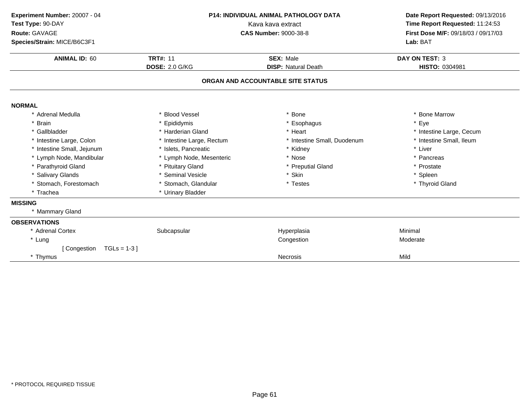| Experiment Number: 20007 - 04<br>Test Type: 90-DAY<br>Route: GAVAGE<br>Species/Strain: MICE/B6C3F1<br><b>ANIMAL ID: 60</b> | <b>TRT#: 11</b>           | <b>P14: INDIVIDUAL ANIMAL PATHOLOGY DATA</b><br>Kava kava extract<br><b>CAS Number: 9000-38-8</b><br><b>SEX: Male</b> | Date Report Requested: 09/13/2016<br>Time Report Requested: 11:24:53<br>First Dose M/F: 09/18/03 / 09/17/03<br>Lab: BAT<br><b>DAY ON TEST: 3</b> |
|----------------------------------------------------------------------------------------------------------------------------|---------------------------|-----------------------------------------------------------------------------------------------------------------------|--------------------------------------------------------------------------------------------------------------------------------------------------|
|                                                                                                                            | <b>DOSE: 2.0 G/KG</b>     | <b>DISP: Natural Death</b>                                                                                            | HISTO: 0304981                                                                                                                                   |
|                                                                                                                            |                           | ORGAN AND ACCOUNTABLE SITE STATUS                                                                                     |                                                                                                                                                  |
| <b>NORMAL</b>                                                                                                              |                           |                                                                                                                       |                                                                                                                                                  |
| * Adrenal Medulla                                                                                                          | * Blood Vessel            | Bone                                                                                                                  | <b>Bone Marrow</b>                                                                                                                               |
| <b>Brain</b>                                                                                                               | * Epididymis              | * Esophagus                                                                                                           | * Eye                                                                                                                                            |
| * Gallbladder                                                                                                              | * Harderian Gland         | * Heart                                                                                                               | * Intestine Large, Cecum                                                                                                                         |
| * Intestine Large, Colon                                                                                                   | * Intestine Large, Rectum | * Intestine Small, Duodenum                                                                                           | * Intestine Small, Ileum                                                                                                                         |
| * Intestine Small, Jejunum                                                                                                 | * Islets, Pancreatic      | * Kidney                                                                                                              | * Liver                                                                                                                                          |
| * Lymph Node, Mandibular                                                                                                   | * Lymph Node, Mesenteric  | * Nose                                                                                                                | * Pancreas                                                                                                                                       |
| * Parathyroid Gland                                                                                                        | * Pituitary Gland         | * Preputial Gland                                                                                                     | * Prostate                                                                                                                                       |
| * Salivary Glands                                                                                                          | * Seminal Vesicle         | * Skin                                                                                                                | * Spleen                                                                                                                                         |
| * Stomach, Forestomach                                                                                                     | * Stomach, Glandular      | * Testes                                                                                                              | * Thyroid Gland                                                                                                                                  |
| * Trachea                                                                                                                  | * Urinary Bladder         |                                                                                                                       |                                                                                                                                                  |
| <b>MISSING</b>                                                                                                             |                           |                                                                                                                       |                                                                                                                                                  |
| * Mammary Gland                                                                                                            |                           |                                                                                                                       |                                                                                                                                                  |
| <b>OBSERVATIONS</b>                                                                                                        |                           |                                                                                                                       |                                                                                                                                                  |
| * Adrenal Cortex                                                                                                           | Subcapsular               | Hyperplasia                                                                                                           | Minimal                                                                                                                                          |
| * Lung                                                                                                                     |                           | Congestion                                                                                                            | Moderate                                                                                                                                         |
| [ Congestion<br>$TGLs = 1-3$                                                                                               |                           |                                                                                                                       |                                                                                                                                                  |
| * Thymus                                                                                                                   |                           | <b>Necrosis</b>                                                                                                       | Mild                                                                                                                                             |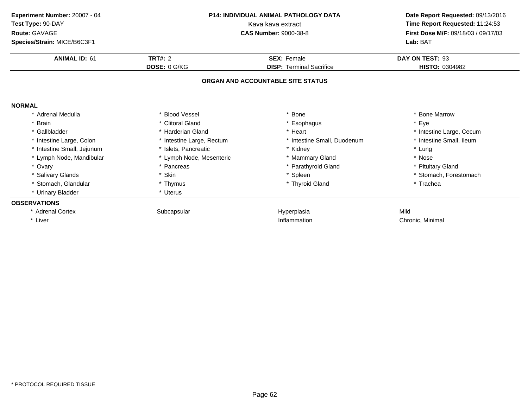| Experiment Number: 20007 - 04 | <b>P14: INDIVIDUAL ANIMAL PATHOLOGY DATA</b><br>Kava kava extract |                                   | Date Report Requested: 09/13/2016   |
|-------------------------------|-------------------------------------------------------------------|-----------------------------------|-------------------------------------|
| Test Type: 90-DAY             |                                                                   |                                   | Time Report Requested: 11:24:53     |
| Route: GAVAGE                 |                                                                   | <b>CAS Number: 9000-38-8</b>      | First Dose M/F: 09/18/03 / 09/17/03 |
| Species/Strain: MICE/B6C3F1   |                                                                   |                                   | Lab: BAT                            |
| <b>ANIMAL ID: 61</b>          | TRT#: $2$                                                         | <b>SEX: Female</b>                | DAY ON TEST: 93                     |
|                               | DOSE: 0 G/KG                                                      | <b>DISP: Terminal Sacrifice</b>   | HISTO: 0304982                      |
|                               |                                                                   | ORGAN AND ACCOUNTABLE SITE STATUS |                                     |
| <b>NORMAL</b>                 |                                                                   |                                   |                                     |
| * Adrenal Medulla             | * Blood Vessel                                                    | Bone                              | * Bone Marrow                       |
| * Brain                       | * Clitoral Gland                                                  | * Esophagus                       | * Eye                               |
| * Gallbladder                 | * Harderian Gland                                                 | * Heart                           | * Intestine Large, Cecum            |
| * Intestine Large, Colon      | * Intestine Large, Rectum                                         | * Intestine Small, Duodenum       | * Intestine Small, Ileum            |
| * Intestine Small, Jejunum    | * Islets, Pancreatic                                              | * Kidney                          | * Lung                              |
| * Lymph Node, Mandibular      | * Lymph Node, Mesenteric                                          | * Mammary Gland                   | * Nose                              |
| * Ovary                       | * Pancreas                                                        | * Parathyroid Gland               | * Pituitary Gland                   |
| * Salivary Glands             | * Skin                                                            | * Spleen                          | * Stomach, Forestomach              |
| * Stomach, Glandular          | * Thymus                                                          | * Thyroid Gland                   | * Trachea                           |
| * Urinary Bladder             | * Uterus                                                          |                                   |                                     |
| <b>OBSERVATIONS</b>           |                                                                   |                                   |                                     |
| * Adrenal Cortex              | Subcapsular                                                       | Hyperplasia                       | Mild                                |
| * Liver                       |                                                                   | Inflammation                      | Chronic, Minimal                    |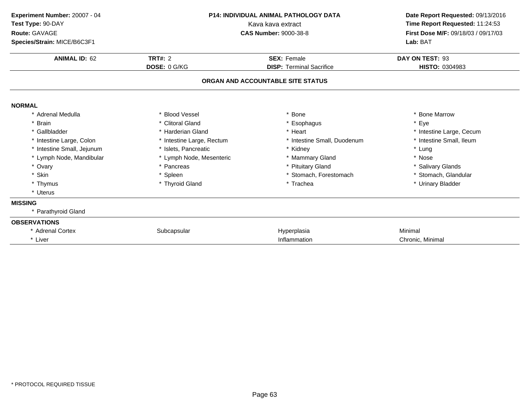| Experiment Number: 20007 - 04<br>Test Type: 90-DAY<br>Route: GAVAGE<br>Species/Strain: MICE/B6C3F1 | <b>P14: INDIVIDUAL ANIMAL PATHOLOGY DATA</b><br>Kava kava extract<br><b>CAS Number: 9000-38-8</b> |                                   | Date Report Requested: 09/13/2016<br>Time Report Requested: 11:24:53<br>First Dose M/F: 09/18/03 / 09/17/03<br>Lab: BAT |
|----------------------------------------------------------------------------------------------------|---------------------------------------------------------------------------------------------------|-----------------------------------|-------------------------------------------------------------------------------------------------------------------------|
| <b>ANIMAL ID: 62</b>                                                                               | <b>TRT#: 2</b>                                                                                    | <b>SEX: Female</b>                | DAY ON TEST: 93                                                                                                         |
|                                                                                                    | DOSE: 0 G/KG                                                                                      | <b>DISP: Terminal Sacrifice</b>   | HISTO: 0304983                                                                                                          |
|                                                                                                    |                                                                                                   | ORGAN AND ACCOUNTABLE SITE STATUS |                                                                                                                         |
| <b>NORMAL</b>                                                                                      |                                                                                                   |                                   |                                                                                                                         |
| * Adrenal Medulla                                                                                  | * Blood Vessel                                                                                    | * Bone                            | * Bone Marrow                                                                                                           |
| * Brain                                                                                            | * Clitoral Gland                                                                                  | Esophagus                         | * Eye                                                                                                                   |
| * Gallbladder                                                                                      | * Harderian Gland                                                                                 | * Heart                           | * Intestine Large, Cecum                                                                                                |
| * Intestine Large, Colon                                                                           | * Intestine Large, Rectum                                                                         | * Intestine Small, Duodenum       | * Intestine Small, Ileum                                                                                                |
| * Intestine Small, Jejunum                                                                         | * Islets, Pancreatic                                                                              | * Kidney                          | * Lung                                                                                                                  |
| * Lymph Node, Mandibular                                                                           | * Lymph Node, Mesenteric                                                                          | * Mammary Gland                   | * Nose                                                                                                                  |
| * Ovary                                                                                            | * Pancreas                                                                                        | * Pituitary Gland                 | * Salivary Glands                                                                                                       |
| * Skin                                                                                             | * Spleen                                                                                          | * Stomach, Forestomach            | * Stomach, Glandular                                                                                                    |
| * Thymus                                                                                           | * Thyroid Gland                                                                                   | * Trachea                         | * Urinary Bladder                                                                                                       |
| * Uterus                                                                                           |                                                                                                   |                                   |                                                                                                                         |
| <b>MISSING</b>                                                                                     |                                                                                                   |                                   |                                                                                                                         |
| * Parathyroid Gland                                                                                |                                                                                                   |                                   |                                                                                                                         |
| <b>OBSERVATIONS</b>                                                                                |                                                                                                   |                                   |                                                                                                                         |
| * Adrenal Cortex                                                                                   | Subcapsular                                                                                       | Hyperplasia                       | Minimal                                                                                                                 |
| * Liver                                                                                            |                                                                                                   | Inflammation                      | Chronic, Minimal                                                                                                        |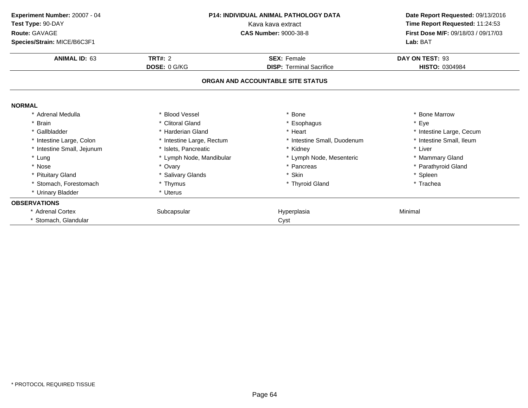| Experiment Number: 20007 - 04 | <b>P14: INDIVIDUAL ANIMAL PATHOLOGY DATA</b><br>Kava kava extract |                                   | Date Report Requested: 09/13/2016   |  |
|-------------------------------|-------------------------------------------------------------------|-----------------------------------|-------------------------------------|--|
| Test Type: 90-DAY             |                                                                   |                                   | Time Report Requested: 11:24:53     |  |
| Route: GAVAGE                 |                                                                   | <b>CAS Number: 9000-38-8</b>      | First Dose M/F: 09/18/03 / 09/17/03 |  |
| Species/Strain: MICE/B6C3F1   |                                                                   |                                   | Lab: BAT                            |  |
| <b>ANIMAL ID: 63</b>          | TRT#: $2$                                                         | <b>SEX: Female</b>                | DAY ON TEST: 93                     |  |
|                               | DOSE: 0 G/KG                                                      | <b>DISP: Terminal Sacrifice</b>   | HISTO: 0304984                      |  |
|                               |                                                                   | ORGAN AND ACCOUNTABLE SITE STATUS |                                     |  |
| <b>NORMAL</b>                 |                                                                   |                                   |                                     |  |
| * Adrenal Medulla             | * Blood Vessel                                                    | Bone                              | * Bone Marrow                       |  |
| * Brain                       | * Clitoral Gland                                                  | * Esophagus                       | * Eye                               |  |
| * Gallbladder                 | * Harderian Gland                                                 | * Heart                           | * Intestine Large, Cecum            |  |
| * Intestine Large, Colon      | * Intestine Large, Rectum                                         | * Intestine Small, Duodenum       | * Intestine Small, Ileum            |  |
| * Intestine Small, Jejunum    | * Islets, Pancreatic                                              | * Kidney                          | * Liver                             |  |
| * Lung                        | * Lymph Node, Mandibular                                          | * Lymph Node, Mesenteric          | * Mammary Gland                     |  |
| * Nose                        | * Ovary                                                           | * Pancreas                        | * Parathyroid Gland                 |  |
| * Pituitary Gland             | * Salivary Glands                                                 | * Skin                            | * Spleen                            |  |
| * Stomach, Forestomach        | * Thymus                                                          | * Thyroid Gland                   | * Trachea                           |  |
| * Urinary Bladder             | * Uterus                                                          |                                   |                                     |  |
| <b>OBSERVATIONS</b>           |                                                                   |                                   |                                     |  |
| * Adrenal Cortex              | Subcapsular                                                       | Hyperplasia                       | Minimal                             |  |
| * Stomach, Glandular          |                                                                   | Cyst                              |                                     |  |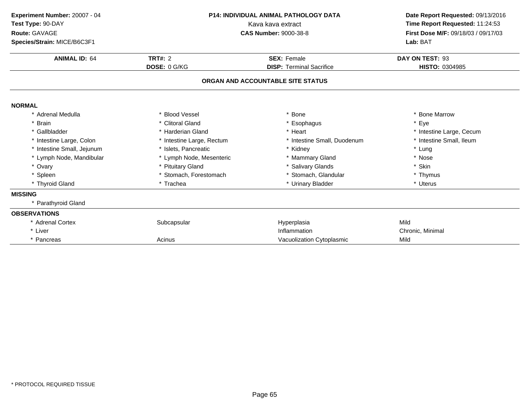| Experiment Number: 20007 - 04 | <b>P14: INDIVIDUAL ANIMAL PATHOLOGY DATA</b><br>Kava kava extract<br><b>CAS Number: 9000-38-8</b> |                                   | Date Report Requested: 09/13/2016                                      |  |
|-------------------------------|---------------------------------------------------------------------------------------------------|-----------------------------------|------------------------------------------------------------------------|--|
| Test Type: 90-DAY             |                                                                                                   |                                   | Time Report Requested: 11:24:53<br>First Dose M/F: 09/18/03 / 09/17/03 |  |
| Route: GAVAGE                 |                                                                                                   |                                   |                                                                        |  |
| Species/Strain: MICE/B6C3F1   |                                                                                                   |                                   | Lab: BAT                                                               |  |
| <b>ANIMAL ID: 64</b>          | TRT#: $2$                                                                                         | <b>SEX: Female</b>                | DAY ON TEST: 93                                                        |  |
|                               | DOSE: 0 G/KG                                                                                      | <b>DISP: Terminal Sacrifice</b>   | HISTO: 0304985                                                         |  |
|                               |                                                                                                   | ORGAN AND ACCOUNTABLE SITE STATUS |                                                                        |  |
| <b>NORMAL</b>                 |                                                                                                   |                                   |                                                                        |  |
| * Adrenal Medulla             | * Blood Vessel                                                                                    | * Bone                            | <b>Bone Marrow</b>                                                     |  |
| <b>Brain</b>                  | * Clitoral Gland                                                                                  | * Esophagus                       | * Eye                                                                  |  |
| * Gallbladder                 | * Harderian Gland                                                                                 | * Heart                           | * Intestine Large, Cecum                                               |  |
| * Intestine Large, Colon      | * Intestine Large, Rectum                                                                         | * Intestine Small, Duodenum       | * Intestine Small, Ileum                                               |  |
| * Intestine Small, Jejunum    | * Islets, Pancreatic                                                                              | * Kidney                          | * Lung                                                                 |  |
| * Lymph Node, Mandibular      | * Lymph Node, Mesenteric                                                                          | * Mammary Gland                   | * Nose                                                                 |  |
| * Ovary                       | * Pituitary Gland                                                                                 | * Salivary Glands                 | * Skin                                                                 |  |
| * Spleen                      | * Stomach, Forestomach                                                                            | * Stomach, Glandular              | * Thymus                                                               |  |
| * Thyroid Gland               | * Trachea                                                                                         | * Urinary Bladder                 | * Uterus                                                               |  |
| <b>MISSING</b>                |                                                                                                   |                                   |                                                                        |  |
| * Parathyroid Gland           |                                                                                                   |                                   |                                                                        |  |
| <b>OBSERVATIONS</b>           |                                                                                                   |                                   |                                                                        |  |
| * Adrenal Cortex              | Subcapsular                                                                                       | Hyperplasia                       | Mild                                                                   |  |
| * Liver                       |                                                                                                   | Inflammation                      | Chronic, Minimal                                                       |  |
| * Pancreas                    | Acinus                                                                                            | Vacuolization Cytoplasmic         | Mild                                                                   |  |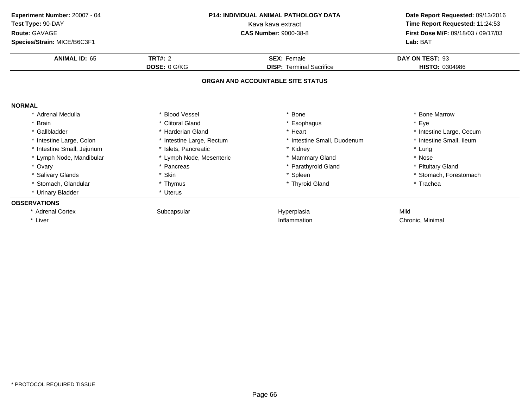| Experiment Number: 20007 - 04 | <b>P14: INDIVIDUAL ANIMAL PATHOLOGY DATA</b><br>Kava kava extract |                                   | Date Report Requested: 09/13/2016   |  |
|-------------------------------|-------------------------------------------------------------------|-----------------------------------|-------------------------------------|--|
| Test Type: 90-DAY             |                                                                   |                                   | Time Report Requested: 11:24:53     |  |
| Route: GAVAGE                 |                                                                   | <b>CAS Number: 9000-38-8</b>      | First Dose M/F: 09/18/03 / 09/17/03 |  |
| Species/Strain: MICE/B6C3F1   |                                                                   |                                   | Lab: BAT                            |  |
| <b>ANIMAL ID: 65</b>          | TRT#: $2$                                                         | <b>SEX: Female</b>                | DAY ON TEST: 93                     |  |
|                               | DOSE: 0 G/KG                                                      | <b>DISP: Terminal Sacrifice</b>   | HISTO: 0304986                      |  |
|                               |                                                                   | ORGAN AND ACCOUNTABLE SITE STATUS |                                     |  |
| <b>NORMAL</b>                 |                                                                   |                                   |                                     |  |
| * Adrenal Medulla             | * Blood Vessel                                                    | Bone                              | * Bone Marrow                       |  |
| * Brain                       | * Clitoral Gland                                                  | * Esophagus                       | * Eye                               |  |
| * Gallbladder                 | * Harderian Gland                                                 | * Heart                           | * Intestine Large, Cecum            |  |
| * Intestine Large, Colon      | * Intestine Large, Rectum                                         | * Intestine Small, Duodenum       | * Intestine Small, Ileum            |  |
| * Intestine Small, Jejunum    | * Islets, Pancreatic                                              | * Kidney                          | * Lung                              |  |
| * Lymph Node, Mandibular      | * Lymph Node, Mesenteric                                          | * Mammary Gland                   | * Nose                              |  |
| * Ovary                       | * Pancreas                                                        | * Parathyroid Gland               | * Pituitary Gland                   |  |
| * Salivary Glands             | * Skin                                                            | * Spleen                          | * Stomach, Forestomach              |  |
| * Stomach, Glandular          | * Thymus                                                          | * Thyroid Gland                   | * Trachea                           |  |
| * Urinary Bladder             | * Uterus                                                          |                                   |                                     |  |
| <b>OBSERVATIONS</b>           |                                                                   |                                   |                                     |  |
| * Adrenal Cortex              | Subcapsular                                                       | Hyperplasia                       | Mild                                |  |
| * Liver                       |                                                                   | Inflammation                      | Chronic, Minimal                    |  |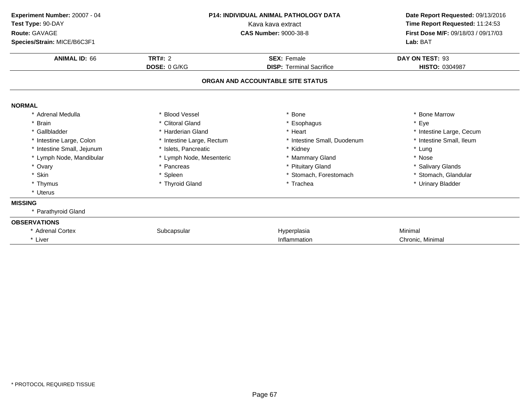| Experiment Number: 20007 - 04<br>Test Type: 90-DAY<br>Route: GAVAGE<br>Species/Strain: MICE/B6C3F1 | <b>P14: INDIVIDUAL ANIMAL PATHOLOGY DATA</b><br>Kava kava extract<br><b>CAS Number: 9000-38-8</b> |                                   | Date Report Requested: 09/13/2016<br>Time Report Requested: 11:24:53<br>First Dose M/F: 09/18/03 / 09/17/03<br>Lab: BAT |
|----------------------------------------------------------------------------------------------------|---------------------------------------------------------------------------------------------------|-----------------------------------|-------------------------------------------------------------------------------------------------------------------------|
| <b>ANIMAL ID: 66</b>                                                                               | <b>TRT#: 2</b>                                                                                    | <b>SEX: Female</b>                | DAY ON TEST: 93                                                                                                         |
|                                                                                                    | DOSE: 0 G/KG                                                                                      | <b>DISP: Terminal Sacrifice</b>   | HISTO: 0304987                                                                                                          |
|                                                                                                    |                                                                                                   | ORGAN AND ACCOUNTABLE SITE STATUS |                                                                                                                         |
| <b>NORMAL</b>                                                                                      |                                                                                                   |                                   |                                                                                                                         |
| * Adrenal Medulla                                                                                  | * Blood Vessel                                                                                    | * Bone                            | * Bone Marrow                                                                                                           |
| * Brain                                                                                            | * Clitoral Gland                                                                                  | Esophagus                         | * Eye                                                                                                                   |
| * Gallbladder                                                                                      | * Harderian Gland                                                                                 | * Heart                           | * Intestine Large, Cecum                                                                                                |
| * Intestine Large, Colon                                                                           | * Intestine Large, Rectum                                                                         | * Intestine Small, Duodenum       | * Intestine Small, Ileum                                                                                                |
| * Intestine Small, Jejunum                                                                         | * Islets, Pancreatic                                                                              | * Kidney                          | * Lung                                                                                                                  |
| * Lymph Node, Mandibular                                                                           | * Lymph Node, Mesenteric                                                                          | * Mammary Gland                   | * Nose                                                                                                                  |
| * Ovary                                                                                            | * Pancreas                                                                                        | * Pituitary Gland                 | * Salivary Glands                                                                                                       |
| * Skin                                                                                             | * Spleen                                                                                          | * Stomach, Forestomach            | * Stomach, Glandular                                                                                                    |
| * Thymus                                                                                           | * Thyroid Gland                                                                                   | * Trachea                         | * Urinary Bladder                                                                                                       |
| * Uterus                                                                                           |                                                                                                   |                                   |                                                                                                                         |
| <b>MISSING</b>                                                                                     |                                                                                                   |                                   |                                                                                                                         |
| * Parathyroid Gland                                                                                |                                                                                                   |                                   |                                                                                                                         |
| <b>OBSERVATIONS</b>                                                                                |                                                                                                   |                                   |                                                                                                                         |
| * Adrenal Cortex                                                                                   | Subcapsular                                                                                       | Hyperplasia                       | Minimal                                                                                                                 |
| * Liver                                                                                            |                                                                                                   | Inflammation                      | Chronic, Minimal                                                                                                        |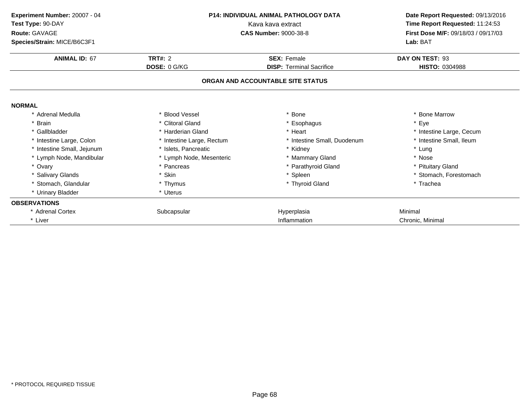| Experiment Number: 20007 - 04 | <b>P14: INDIVIDUAL ANIMAL PATHOLOGY DATA</b><br>Kava kava extract |                                   | Date Report Requested: 09/13/2016<br>Time Report Requested: 11:24:53 |  |
|-------------------------------|-------------------------------------------------------------------|-----------------------------------|----------------------------------------------------------------------|--|
| Test Type: 90-DAY             |                                                                   |                                   |                                                                      |  |
| Route: GAVAGE                 |                                                                   | <b>CAS Number: 9000-38-8</b>      | First Dose M/F: 09/18/03 / 09/17/03                                  |  |
| Species/Strain: MICE/B6C3F1   |                                                                   |                                   | Lab: BAT                                                             |  |
| <b>ANIMAL ID: 67</b>          | <b>TRT#: 2</b>                                                    | <b>SEX: Female</b>                | DAY ON TEST: 93                                                      |  |
|                               | DOSE: 0 G/KG                                                      | <b>DISP: Terminal Sacrifice</b>   | <b>HISTO: 0304988</b>                                                |  |
|                               |                                                                   | ORGAN AND ACCOUNTABLE SITE STATUS |                                                                      |  |
| <b>NORMAL</b>                 |                                                                   |                                   |                                                                      |  |
| * Adrenal Medulla             | * Blood Vessel                                                    | Bone                              | * Bone Marrow                                                        |  |
| * Brain                       | * Clitoral Gland                                                  | * Esophagus                       | * Eye                                                                |  |
| * Gallbladder                 | * Harderian Gland                                                 | * Heart                           | * Intestine Large, Cecum                                             |  |
| * Intestine Large, Colon      | * Intestine Large, Rectum                                         | * Intestine Small, Duodenum       | * Intestine Small, Ileum                                             |  |
| * Intestine Small, Jejunum    | * Islets, Pancreatic                                              | * Kidney                          | * Lung                                                               |  |
| * Lymph Node, Mandibular      | * Lymph Node, Mesenteric                                          | * Mammary Gland                   | * Nose                                                               |  |
| * Ovary                       | * Pancreas                                                        | * Parathyroid Gland               | * Pituitary Gland                                                    |  |
| * Salivary Glands             | * Skin                                                            | * Spleen                          | * Stomach, Forestomach                                               |  |
| * Stomach, Glandular          | * Thymus                                                          | * Thyroid Gland                   | * Trachea                                                            |  |
| * Urinary Bladder             | * Uterus                                                          |                                   |                                                                      |  |
| <b>OBSERVATIONS</b>           |                                                                   |                                   |                                                                      |  |
| * Adrenal Cortex              | Subcapsular                                                       | Hyperplasia                       | Minimal                                                              |  |
| * Liver                       |                                                                   | Inflammation                      | Chronic, Minimal                                                     |  |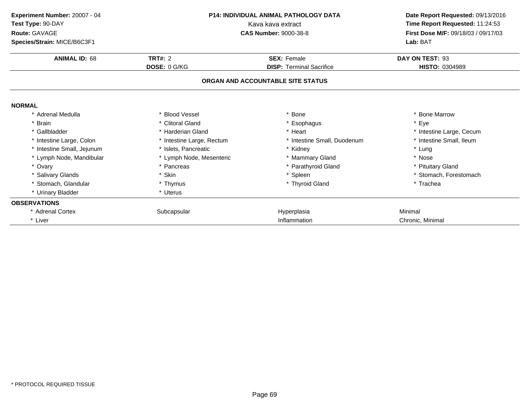| Experiment Number: 20007 - 04 | <b>P14: INDIVIDUAL ANIMAL PATHOLOGY DATA</b><br>Kava kava extract |                                   | Date Report Requested: 09/13/2016   |  |
|-------------------------------|-------------------------------------------------------------------|-----------------------------------|-------------------------------------|--|
| Test Type: 90-DAY             |                                                                   |                                   | Time Report Requested: 11:24:53     |  |
| Route: GAVAGE                 |                                                                   | <b>CAS Number: 9000-38-8</b>      | First Dose M/F: 09/18/03 / 09/17/03 |  |
| Species/Strain: MICE/B6C3F1   |                                                                   |                                   | Lab: BAT                            |  |
| <b>ANIMAL ID: 68</b>          | TRT#: $2$                                                         | <b>SEX: Female</b>                | DAY ON TEST: 93                     |  |
|                               | DOSE: 0 G/KG                                                      | <b>DISP: Terminal Sacrifice</b>   | HISTO: 0304989                      |  |
|                               |                                                                   | ORGAN AND ACCOUNTABLE SITE STATUS |                                     |  |
| <b>NORMAL</b>                 |                                                                   |                                   |                                     |  |
| * Adrenal Medulla             | * Blood Vessel                                                    | Bone                              | * Bone Marrow                       |  |
| * Brain                       | * Clitoral Gland                                                  | * Esophagus                       | * Eye                               |  |
| * Gallbladder                 | * Harderian Gland                                                 | * Heart                           | * Intestine Large, Cecum            |  |
| * Intestine Large, Colon      | * Intestine Large, Rectum                                         | * Intestine Small, Duodenum       | * Intestine Small, Ileum            |  |
| * Intestine Small, Jejunum    | * Islets, Pancreatic                                              | * Kidney                          | * Lung                              |  |
| * Lymph Node, Mandibular      | * Lymph Node, Mesenteric                                          | * Mammary Gland                   | * Nose                              |  |
| * Ovary                       | * Pancreas                                                        | * Parathyroid Gland               | * Pituitary Gland                   |  |
| * Salivary Glands             | * Skin                                                            | * Spleen                          | * Stomach, Forestomach              |  |
| * Stomach, Glandular          | * Thymus                                                          | * Thyroid Gland                   | * Trachea                           |  |
| * Urinary Bladder             | * Uterus                                                          |                                   |                                     |  |
| <b>OBSERVATIONS</b>           |                                                                   |                                   |                                     |  |
| * Adrenal Cortex              | Subcapsular                                                       | Hyperplasia                       | Minimal                             |  |
| * Liver                       |                                                                   | Inflammation                      | Chronic, Minimal                    |  |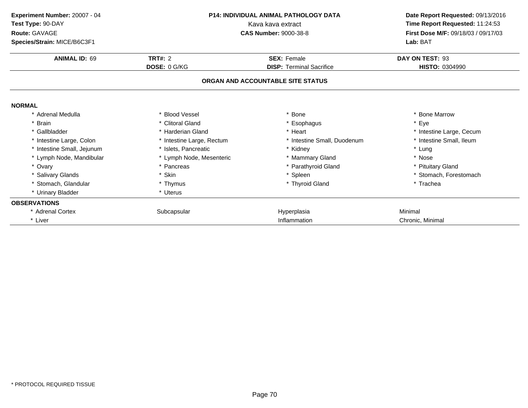| Experiment Number: 20007 - 04 | P14: INDIVIDUAL ANIMAL PATHOLOGY DATA<br>Kava kava extract |                                   | Date Report Requested: 09/13/2016<br>Time Report Requested: 11:24:53 |  |
|-------------------------------|------------------------------------------------------------|-----------------------------------|----------------------------------------------------------------------|--|
| Test Type: 90-DAY             |                                                            |                                   |                                                                      |  |
| Route: GAVAGE                 |                                                            | <b>CAS Number: 9000-38-8</b>      | First Dose M/F: 09/18/03 / 09/17/03                                  |  |
| Species/Strain: MICE/B6C3F1   |                                                            |                                   | Lab: BAT                                                             |  |
| <b>ANIMAL ID: 69</b>          | TRT#: $2$                                                  | <b>SEX: Female</b>                | DAY ON TEST: 93                                                      |  |
|                               | DOSE: 0 G/KG                                               | <b>DISP: Terminal Sacrifice</b>   | HISTO: 0304990                                                       |  |
|                               |                                                            | ORGAN AND ACCOUNTABLE SITE STATUS |                                                                      |  |
| <b>NORMAL</b>                 |                                                            |                                   |                                                                      |  |
| * Adrenal Medulla             | * Blood Vessel                                             | Bone                              | * Bone Marrow                                                        |  |
| * Brain                       | * Clitoral Gland                                           | * Esophagus                       | * Eye                                                                |  |
| * Gallbladder                 | * Harderian Gland                                          | * Heart                           | * Intestine Large, Cecum                                             |  |
| * Intestine Large, Colon      | * Intestine Large, Rectum                                  | * Intestine Small, Duodenum       | * Intestine Small, Ileum                                             |  |
| * Intestine Small, Jejunum    | * Islets. Pancreatic                                       | Kidney                            | * Lung                                                               |  |
| * Lymph Node, Mandibular      | * Lymph Node, Mesenteric                                   | * Mammary Gland                   | * Nose                                                               |  |
| * Ovary                       | * Pancreas                                                 | * Parathyroid Gland               | * Pituitary Gland                                                    |  |
| * Salivary Glands             | * Skin                                                     | * Spleen                          | * Stomach, Forestomach                                               |  |
| * Stomach, Glandular          | * Thymus                                                   | * Thyroid Gland                   | * Trachea                                                            |  |
| * Urinary Bladder             | * Uterus                                                   |                                   |                                                                      |  |
| <b>OBSERVATIONS</b>           |                                                            |                                   |                                                                      |  |
| * Adrenal Cortex              | Subcapsular                                                | Hyperplasia                       | Minimal                                                              |  |
| * Liver                       |                                                            | Inflammation                      | Chronic, Minimal                                                     |  |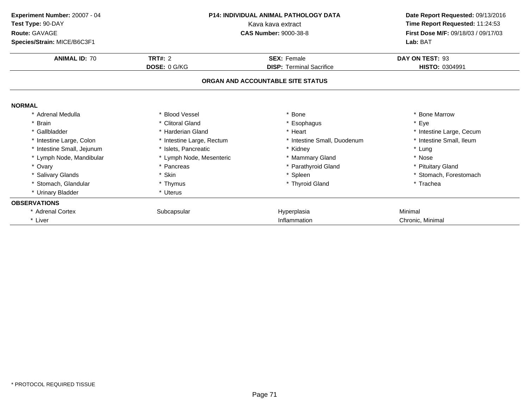| Experiment Number: 20007 - 04 | <b>P14: INDIVIDUAL ANIMAL PATHOLOGY DATA</b><br>Kava kava extract |                                   | Date Report Requested: 09/13/2016   |  |
|-------------------------------|-------------------------------------------------------------------|-----------------------------------|-------------------------------------|--|
| Test Type: 90-DAY             |                                                                   |                                   | Time Report Requested: 11:24:53     |  |
| Route: GAVAGE                 |                                                                   | <b>CAS Number: 9000-38-8</b>      | First Dose M/F: 09/18/03 / 09/17/03 |  |
| Species/Strain: MICE/B6C3F1   |                                                                   |                                   | Lab: BAT                            |  |
| <b>ANIMAL ID: 70</b>          | <b>TRT#: 2</b>                                                    | <b>SEX: Female</b>                | DAY ON TEST: 93                     |  |
|                               | DOSE: 0 G/KG                                                      | <b>DISP: Terminal Sacrifice</b>   | <b>HISTO: 0304991</b>               |  |
|                               |                                                                   | ORGAN AND ACCOUNTABLE SITE STATUS |                                     |  |
| <b>NORMAL</b>                 |                                                                   |                                   |                                     |  |
| * Adrenal Medulla             | * Blood Vessel                                                    | Bone                              | * Bone Marrow                       |  |
| * Brain                       | * Clitoral Gland                                                  | * Esophagus                       | * Eye                               |  |
| * Gallbladder                 | * Harderian Gland                                                 | * Heart                           | * Intestine Large, Cecum            |  |
| * Intestine Large, Colon      | * Intestine Large, Rectum                                         | * Intestine Small, Duodenum       | * Intestine Small, Ileum            |  |
| * Intestine Small, Jejunum    | * Islets. Pancreatic                                              | * Kidney                          | * Lung                              |  |
| * Lymph Node, Mandibular      | * Lymph Node, Mesenteric                                          | * Mammary Gland                   | * Nose                              |  |
| * Ovary                       | * Pancreas                                                        | * Parathyroid Gland               | * Pituitary Gland                   |  |
| * Salivary Glands             | * Skin                                                            | * Spleen                          | * Stomach, Forestomach              |  |
| * Stomach, Glandular          | * Thymus                                                          | * Thyroid Gland                   | * Trachea                           |  |
| * Urinary Bladder             | * Uterus                                                          |                                   |                                     |  |
| <b>OBSERVATIONS</b>           |                                                                   |                                   |                                     |  |
| * Adrenal Cortex              | Subcapsular                                                       | Hyperplasia                       | Minimal                             |  |
| * Liver                       |                                                                   | Inflammation                      | Chronic, Minimal                    |  |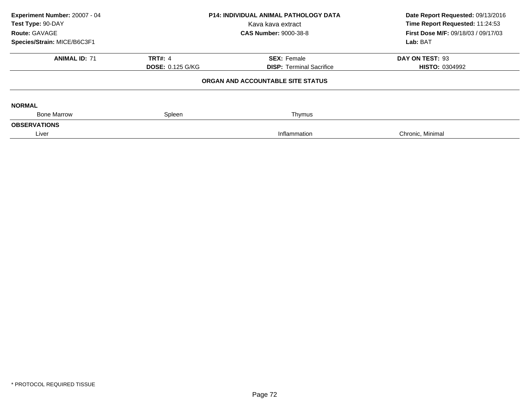| Experiment Number: 20007 - 04<br>Test Type: 90-DAY<br>Route: GAVAGE<br>Species/Strain: MICE/B6C3F1 | <b>P14: INDIVIDUAL ANIMAL PATHOLOGY DATA</b><br>Kava kava extract<br><b>CAS Number: 9000-38-8</b>  |              | Date Report Requested: 09/13/2016<br>Time Report Requested: 11:24:53<br>First Dose M/F: 09/18/03 / 09/17/03<br>Lab: BAT |
|----------------------------------------------------------------------------------------------------|----------------------------------------------------------------------------------------------------|--------------|-------------------------------------------------------------------------------------------------------------------------|
| <b>ANIMAL ID: 71</b>                                                                               | <b>TRT#: 4</b><br><b>SEX: Female</b><br><b>DOSE: 0.125 G/KG</b><br><b>DISP:</b> Terminal Sacrifice |              | DAY ON TEST: 93<br><b>HISTO: 0304992</b>                                                                                |
|                                                                                                    | ORGAN AND ACCOUNTABLE SITE STATUS                                                                  |              |                                                                                                                         |
| <b>NORMAL</b>                                                                                      |                                                                                                    |              |                                                                                                                         |
| <b>Bone Marrow</b>                                                                                 | Spleen                                                                                             | Thymus       |                                                                                                                         |
| <b>OBSERVATIONS</b>                                                                                |                                                                                                    |              |                                                                                                                         |
| Liver                                                                                              |                                                                                                    | Inflammation | Chronic, Minimal                                                                                                        |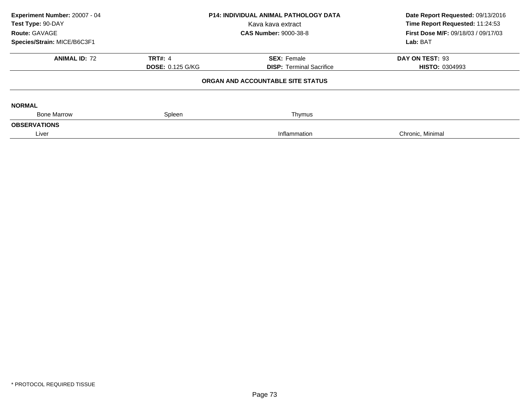| Experiment Number: 20007 - 04<br>Test Type: 90-DAY<br>Route: GAVAGE<br>Species/Strain: MICE/B6C3F1 | <b>P14: INDIVIDUAL ANIMAL PATHOLOGY DATA</b><br>Kava kava extract<br><b>CAS Number: 9000-38-8</b> |                                                       | Date Report Requested: 09/13/2016<br>Time Report Requested: 11:24:53<br>First Dose M/F: 09/18/03 / 09/17/03<br>Lab: BAT |
|----------------------------------------------------------------------------------------------------|---------------------------------------------------------------------------------------------------|-------------------------------------------------------|-------------------------------------------------------------------------------------------------------------------------|
| <b>ANIMAL ID: 72</b>                                                                               | <b>TRT#: 4</b><br><b>DOSE: 0.125 G/KG</b>                                                         | <b>SEX: Female</b><br><b>DISP:</b> Terminal Sacrifice | DAY ON TEST: 93<br><b>HISTO: 0304993</b>                                                                                |
|                                                                                                    |                                                                                                   | ORGAN AND ACCOUNTABLE SITE STATUS                     |                                                                                                                         |
| <b>NORMAL</b>                                                                                      |                                                                                                   |                                                       |                                                                                                                         |
| <b>Bone Marrow</b>                                                                                 | Spleen                                                                                            | Thymus                                                |                                                                                                                         |
| <b>OBSERVATIONS</b>                                                                                |                                                                                                   |                                                       |                                                                                                                         |
| Liver                                                                                              |                                                                                                   | Inflammation                                          | Chronic, Minimal                                                                                                        |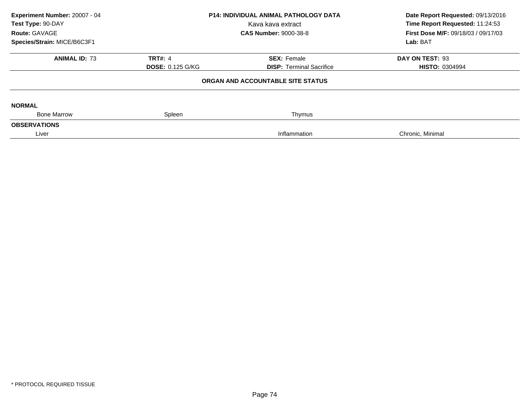|                                               |                                 | Date Report Requested: 09/13/2016<br>Time Report Requested: 11:24:53              |  |
|-----------------------------------------------|---------------------------------|-----------------------------------------------------------------------------------|--|
|                                               | Kava kava extract               |                                                                                   |  |
| Route: GAVAGE<br><b>CAS Number: 9000-38-8</b> |                                 | <b>First Dose M/F: 09/18/03 / 09/17/03</b>                                        |  |
|                                               |                                 | Lab: BAT                                                                          |  |
| <b>TRT#: 4</b>                                | <b>SEX: Female</b>              | DAY ON TEST: 93                                                                   |  |
| <b>DOSE: 0.125 G/KG</b>                       | <b>DISP: Terminal Sacrifice</b> | <b>HISTO: 0304994</b>                                                             |  |
|                                               |                                 |                                                                                   |  |
|                                               |                                 |                                                                                   |  |
| Spleen                                        | Thymus                          |                                                                                   |  |
|                                               |                                 |                                                                                   |  |
|                                               | Inflammation                    | Chronic, Minimal                                                                  |  |
|                                               |                                 | <b>P14: INDIVIDUAL ANIMAL PATHOLOGY DATA</b><br>ORGAN AND ACCOUNTABLE SITE STATUS |  |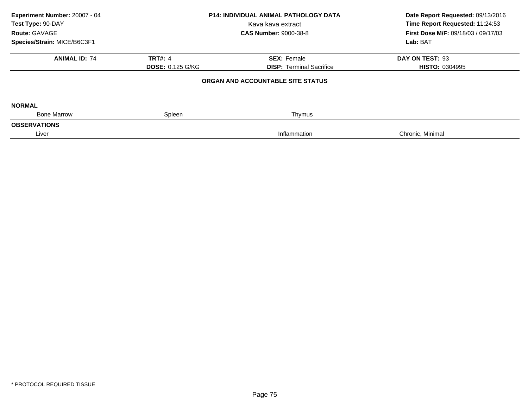| Experiment Number: 20007 - 04<br>Test Type: 90-DAY<br>Route: GAVAGE<br>Species/Strain: MICE/B6C3F1 | <b>P14: INDIVIDUAL ANIMAL PATHOLOGY DATA</b><br>Kava kava extract<br><b>CAS Number: 9000-38-8</b> |                                                       | Date Report Requested: 09/13/2016<br>Time Report Requested: 11:24:53<br>First Dose M/F: 09/18/03 / 09/17/03<br>Lab: BAT |
|----------------------------------------------------------------------------------------------------|---------------------------------------------------------------------------------------------------|-------------------------------------------------------|-------------------------------------------------------------------------------------------------------------------------|
| <b>ANIMAL ID: 74</b>                                                                               | <b>TRT#: 4</b><br><b>DOSE: 0.125 G/KG</b>                                                         | <b>SEX: Female</b><br><b>DISP:</b> Terminal Sacrifice | DAY ON TEST: 93<br><b>HISTO: 0304995</b>                                                                                |
|                                                                                                    |                                                                                                   | ORGAN AND ACCOUNTABLE SITE STATUS                     |                                                                                                                         |
| <b>NORMAL</b>                                                                                      |                                                                                                   |                                                       |                                                                                                                         |
| <b>Bone Marrow</b>                                                                                 | Spleen                                                                                            | Thymus                                                |                                                                                                                         |
| <b>OBSERVATIONS</b>                                                                                |                                                                                                   |                                                       |                                                                                                                         |
| Liver                                                                                              |                                                                                                   | Inflammation                                          | Chronic, Minimal                                                                                                        |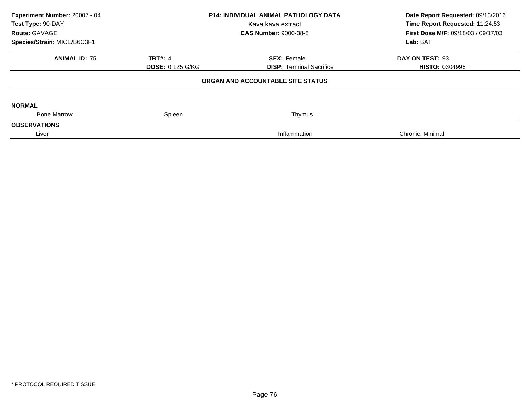| Experiment Number: 20007 - 04<br>Test Type: 90-DAY<br>Route: GAVAGE<br>Species/Strain: MICE/B6C3F1 | <b>P14: INDIVIDUAL ANIMAL PATHOLOGY DATA</b><br>Kava kava extract<br><b>CAS Number: 9000-38-8</b> |                                                       | Date Report Requested: 09/13/2016<br>Time Report Requested: 11:24:53<br>First Dose M/F: 09/18/03 / 09/17/03<br>Lab: BAT |
|----------------------------------------------------------------------------------------------------|---------------------------------------------------------------------------------------------------|-------------------------------------------------------|-------------------------------------------------------------------------------------------------------------------------|
| <b>ANIMAL ID: 75</b>                                                                               | <b>TRT#: 4</b><br><b>DOSE: 0.125 G/KG</b>                                                         | <b>SEX: Female</b><br><b>DISP:</b> Terminal Sacrifice | DAY ON TEST: 93<br><b>HISTO: 0304996</b>                                                                                |
|                                                                                                    |                                                                                                   | ORGAN AND ACCOUNTABLE SITE STATUS                     |                                                                                                                         |
| <b>NORMAL</b>                                                                                      |                                                                                                   |                                                       |                                                                                                                         |
| <b>Bone Marrow</b>                                                                                 | Spleen                                                                                            | Thymus                                                |                                                                                                                         |
| <b>OBSERVATIONS</b>                                                                                |                                                                                                   |                                                       |                                                                                                                         |
| Liver                                                                                              |                                                                                                   | Inflammation                                          | Chronic, Minimal                                                                                                        |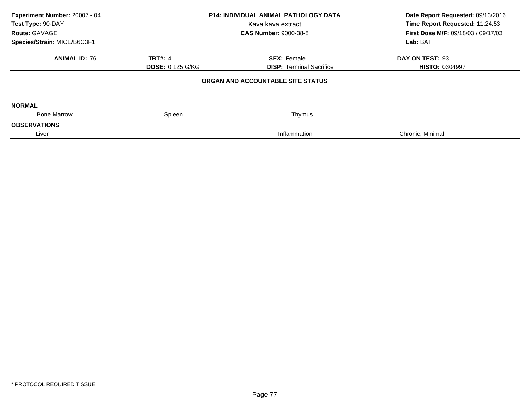| Experiment Number: 20007 - 04<br>Test Type: 90-DAY<br>Route: GAVAGE<br>Species/Strain: MICE/B6C3F1 | <b>P14: INDIVIDUAL ANIMAL PATHOLOGY DATA</b><br>Kava kava extract<br><b>CAS Number: 9000-38-8</b> |                                                       | Date Report Requested: 09/13/2016<br>Time Report Requested: 11:24:53<br>First Dose M/F: 09/18/03 / 09/17/03<br>Lab: BAT |
|----------------------------------------------------------------------------------------------------|---------------------------------------------------------------------------------------------------|-------------------------------------------------------|-------------------------------------------------------------------------------------------------------------------------|
| <b>ANIMAL ID: 76</b>                                                                               | <b>TRT#: 4</b><br><b>DOSE: 0.125 G/KG</b>                                                         | <b>SEX: Female</b><br><b>DISP:</b> Terminal Sacrifice | DAY ON TEST: 93<br><b>HISTO: 0304997</b>                                                                                |
|                                                                                                    |                                                                                                   | ORGAN AND ACCOUNTABLE SITE STATUS                     |                                                                                                                         |
| <b>NORMAL</b>                                                                                      |                                                                                                   |                                                       |                                                                                                                         |
| <b>Bone Marrow</b>                                                                                 | Spleen                                                                                            | Thymus                                                |                                                                                                                         |
| <b>OBSERVATIONS</b>                                                                                |                                                                                                   |                                                       |                                                                                                                         |
| Liver                                                                                              |                                                                                                   | Inflammation                                          | Chronic, Minimal                                                                                                        |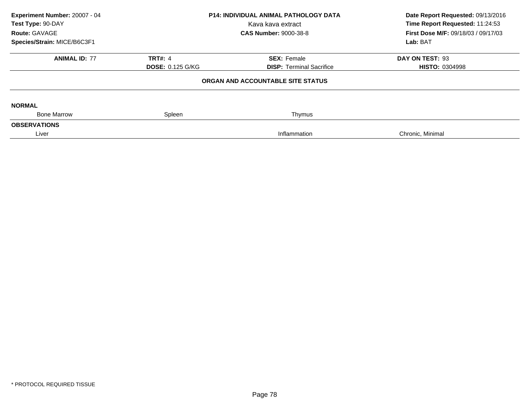| Experiment Number: 20007 - 04<br>Test Type: 90-DAY<br>Route: GAVAGE<br>Species/Strain: MICE/B6C3F1 | <b>P14: INDIVIDUAL ANIMAL PATHOLOGY DATA</b><br>Kava kava extract<br><b>CAS Number: 9000-38-8</b> |                                                       | Date Report Requested: 09/13/2016<br>Time Report Requested: 11:24:53<br>First Dose M/F: 09/18/03 / 09/17/03<br>Lab: BAT |
|----------------------------------------------------------------------------------------------------|---------------------------------------------------------------------------------------------------|-------------------------------------------------------|-------------------------------------------------------------------------------------------------------------------------|
| <b>ANIMAL ID: 77</b>                                                                               | <b>TRT#: 4</b><br><b>DOSE: 0.125 G/KG</b>                                                         | <b>SEX: Female</b><br><b>DISP:</b> Terminal Sacrifice | DAY ON TEST: 93<br><b>HISTO: 0304998</b>                                                                                |
|                                                                                                    |                                                                                                   | ORGAN AND ACCOUNTABLE SITE STATUS                     |                                                                                                                         |
| <b>NORMAL</b>                                                                                      |                                                                                                   |                                                       |                                                                                                                         |
| <b>Bone Marrow</b>                                                                                 | Spleen                                                                                            | Thymus                                                |                                                                                                                         |
| <b>OBSERVATIONS</b>                                                                                |                                                                                                   |                                                       |                                                                                                                         |
| Liver                                                                                              |                                                                                                   | Inflammation                                          | Chronic, Minimal                                                                                                        |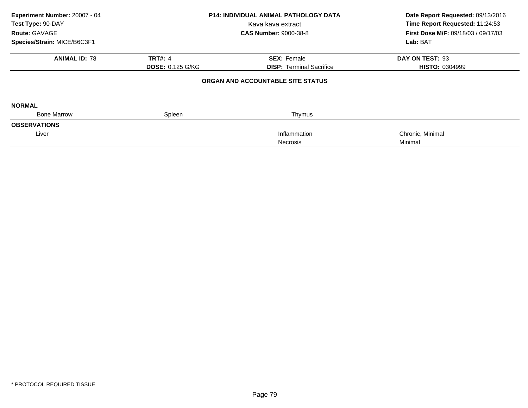|                         |                                 | Date Report Requested: 09/13/2016                                                 |  |
|-------------------------|---------------------------------|-----------------------------------------------------------------------------------|--|
|                         | Kava kava extract               | Time Report Requested: 11:24:53                                                   |  |
|                         | <b>CAS Number: 9000-38-8</b>    | <b>First Dose M/F: 09/18/03 / 09/17/03</b>                                        |  |
|                         |                                 | Lab: BAT                                                                          |  |
| <b>TRT#: 4</b>          | <b>SEX: Female</b>              | DAY ON TEST: 93                                                                   |  |
| <b>DOSE: 0.125 G/KG</b> | <b>DISP:</b> Terminal Sacrifice | <b>HISTO: 0304999</b>                                                             |  |
|                         |                                 |                                                                                   |  |
|                         |                                 |                                                                                   |  |
| Spleen                  | Thymus                          |                                                                                   |  |
|                         |                                 |                                                                                   |  |
|                         | Inflammation                    | Chronic, Minimal                                                                  |  |
|                         | <b>Necrosis</b>                 | Minimal                                                                           |  |
|                         |                                 | <b>P14: INDIVIDUAL ANIMAL PATHOLOGY DATA</b><br>ORGAN AND ACCOUNTABLE SITE STATUS |  |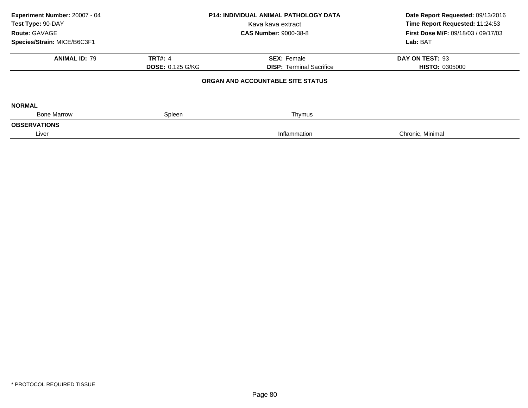| Experiment Number: 20007 - 04<br>Test Type: 90-DAY |                                               | <b>P14: INDIVIDUAL ANIMAL PATHOLOGY DATA</b><br>Kava kava extract | Date Report Requested: 09/13/2016<br>Time Report Requested: 11:24:53 |
|----------------------------------------------------|-----------------------------------------------|-------------------------------------------------------------------|----------------------------------------------------------------------|
|                                                    | Route: GAVAGE<br><b>CAS Number: 9000-38-8</b> |                                                                   | First Dose M/F: 09/18/03 / 09/17/03                                  |
| Species/Strain: MICE/B6C3F1                        |                                               |                                                                   | Lab: BAT                                                             |
| <b>ANIMAL ID: 79</b>                               | <b>TRT#: 4</b>                                | <b>SEX: Female</b>                                                | DAY ON TEST: 93                                                      |
|                                                    | <b>DOSE: 0.125 G/KG</b>                       | <b>DISP: Terminal Sacrifice</b>                                   | <b>HISTO: 0305000</b>                                                |
|                                                    |                                               | ORGAN AND ACCOUNTABLE SITE STATUS                                 |                                                                      |
| <b>NORMAL</b>                                      |                                               |                                                                   |                                                                      |
| <b>Bone Marrow</b>                                 | Spleen                                        | Thymus                                                            |                                                                      |
| <b>OBSERVATIONS</b>                                |                                               |                                                                   |                                                                      |
| Liver                                              |                                               | Inflammation                                                      | Chronic, Minimal                                                     |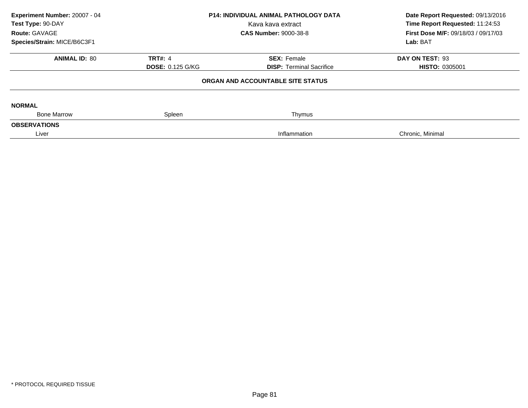| Experiment Number: 20007 - 04<br>Test Type: 90-DAY |                              | <b>P14: INDIVIDUAL ANIMAL PATHOLOGY DATA</b><br>Date Report Requested: 09/13/2016<br>Time Report Requested: 11:24:53<br>Kava kava extract |                                     |  |
|----------------------------------------------------|------------------------------|-------------------------------------------------------------------------------------------------------------------------------------------|-------------------------------------|--|
| Route: GAVAGE                                      | <b>CAS Number: 9000-38-8</b> |                                                                                                                                           | First Dose M/F: 09/18/03 / 09/17/03 |  |
| Species/Strain: MICE/B6C3F1                        |                              |                                                                                                                                           | Lab: BAT                            |  |
| <b>ANIMAL ID: 80</b>                               | <b>TRT#: 4</b>               | <b>SEX: Female</b>                                                                                                                        | DAY ON TEST: 93                     |  |
|                                                    | <b>DOSE: 0.125 G/KG</b>      | <b>DISP: Terminal Sacrifice</b>                                                                                                           | <b>HISTO: 0305001</b>               |  |
|                                                    |                              | ORGAN AND ACCOUNTABLE SITE STATUS                                                                                                         |                                     |  |
| <b>NORMAL</b>                                      |                              |                                                                                                                                           |                                     |  |
| <b>Bone Marrow</b>                                 | Spleen                       | Thymus                                                                                                                                    |                                     |  |
| <b>OBSERVATIONS</b>                                |                              |                                                                                                                                           |                                     |  |
| Liver                                              |                              | Inflammation                                                                                                                              | Chronic, Minimal                    |  |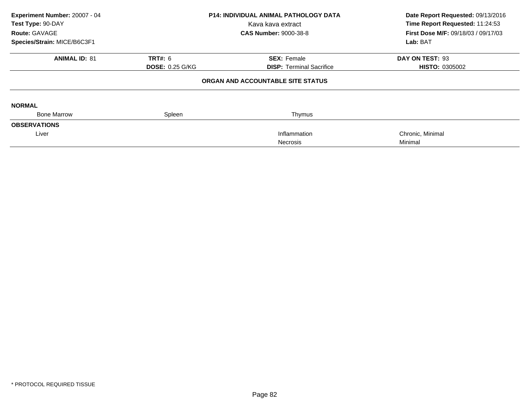| Experiment Number: 20007 - 04 |                        | <b>P14: INDIVIDUAL ANIMAL PATHOLOGY DATA</b> | Date Report Requested: 09/13/2016   |  |
|-------------------------------|------------------------|----------------------------------------------|-------------------------------------|--|
| Test Type: 90-DAY             |                        | Kava kava extract                            | Time Report Requested: 11:24:53     |  |
| Route: GAVAGE                 |                        | <b>CAS Number: 9000-38-8</b>                 | First Dose M/F: 09/18/03 / 09/17/03 |  |
| Species/Strain: MICE/B6C3F1   |                        |                                              | Lab: BAT                            |  |
| <b>ANIMAL ID: 81</b>          | <b>TRT#: 6</b>         | <b>SEX: Female</b>                           | DAY ON TEST: 93                     |  |
|                               | <b>DOSE: 0.25 G/KG</b> | <b>DISP:</b> Terminal Sacrifice              | <b>HISTO: 0305002</b>               |  |
|                               |                        | ORGAN AND ACCOUNTABLE SITE STATUS            |                                     |  |
| <b>NORMAL</b>                 |                        |                                              |                                     |  |
| <b>Bone Marrow</b>            | Spleen                 | Thymus                                       |                                     |  |
| <b>OBSERVATIONS</b>           |                        |                                              |                                     |  |
| Liver                         |                        | Inflammation                                 | Chronic, Minimal                    |  |
|                               |                        | <b>Necrosis</b>                              | Minimal                             |  |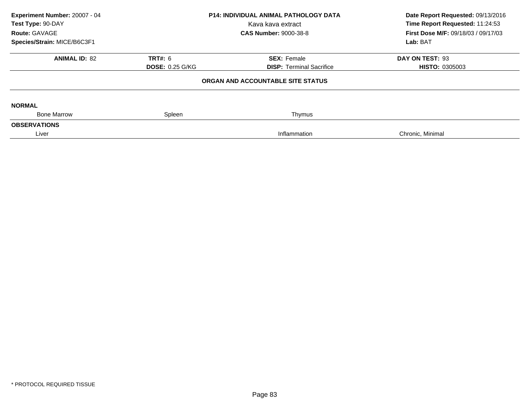| Experiment Number: 20007 - 04<br>Test Type: 90-DAY<br>Route: GAVAGE<br>Species/Strain: MICE/B6C3F1 | <b>P14: INDIVIDUAL ANIMAL PATHOLOGY DATA</b><br>Kava kava extract<br><b>CAS Number: 9000-38-8</b> |                                                       | Date Report Requested: 09/13/2016<br>Time Report Requested: 11:24:53<br>First Dose M/F: 09/18/03 / 09/17/03<br>Lab: BAT |
|----------------------------------------------------------------------------------------------------|---------------------------------------------------------------------------------------------------|-------------------------------------------------------|-------------------------------------------------------------------------------------------------------------------------|
| <b>ANIMAL ID: 82</b>                                                                               | <b>TRT#: 6</b><br><b>DOSE: 0.25 G/KG</b>                                                          | <b>SEX: Female</b><br><b>DISP: Terminal Sacrifice</b> | DAY ON TEST: 93<br><b>HISTO: 0305003</b>                                                                                |
|                                                                                                    |                                                                                                   | ORGAN AND ACCOUNTABLE SITE STATUS                     |                                                                                                                         |
| <b>NORMAL</b>                                                                                      |                                                                                                   |                                                       |                                                                                                                         |
| <b>Bone Marrow</b>                                                                                 | Spleen                                                                                            | Thymus                                                |                                                                                                                         |
| <b>OBSERVATIONS</b><br>Liver                                                                       |                                                                                                   | Inflammation                                          | Chronic, Minimal                                                                                                        |
|                                                                                                    |                                                                                                   |                                                       |                                                                                                                         |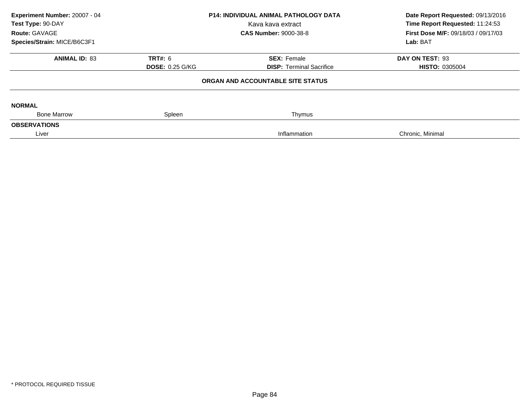| Experiment Number: 20007 - 04<br>Test Type: 90-DAY<br>Route: GAVAGE<br>Species/Strain: MICE/B6C3F1 | <b>P14: INDIVIDUAL ANIMAL PATHOLOGY DATA</b><br>Kava kava extract<br><b>CAS Number: 9000-38-8</b> |                                                       | Date Report Requested: 09/13/2016<br>Time Report Requested: 11:24:53<br>First Dose M/F: 09/18/03 / 09/17/03<br>Lab: BAT |
|----------------------------------------------------------------------------------------------------|---------------------------------------------------------------------------------------------------|-------------------------------------------------------|-------------------------------------------------------------------------------------------------------------------------|
| <b>ANIMAL ID: 83</b>                                                                               | <b>TRT#: 6</b><br><b>DOSE: 0.25 G/KG</b>                                                          | <b>SEX: Female</b><br><b>DISP: Terminal Sacrifice</b> | DAY ON TEST: 93<br><b>HISTO: 0305004</b>                                                                                |
|                                                                                                    |                                                                                                   | ORGAN AND ACCOUNTABLE SITE STATUS                     |                                                                                                                         |
| <b>NORMAL</b><br><b>Bone Marrow</b>                                                                |                                                                                                   |                                                       |                                                                                                                         |
| <b>OBSERVATIONS</b>                                                                                | Spleen                                                                                            | Thymus                                                |                                                                                                                         |
| Liver                                                                                              |                                                                                                   | Inflammation                                          | Chronic, Minimal                                                                                                        |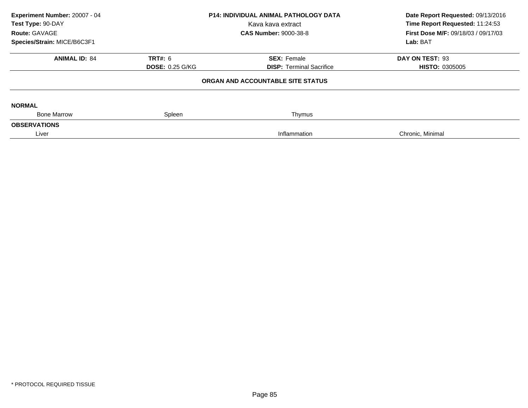| Experiment Number: 20007 - 04<br>Test Type: 90-DAY |                        | <b>P14: INDIVIDUAL ANIMAL PATHOLOGY DATA</b><br>Kava kava extract | Date Report Requested: 09/13/2016<br>Time Report Requested: 11:24:53 |
|----------------------------------------------------|------------------------|-------------------------------------------------------------------|----------------------------------------------------------------------|
| Route: GAVAGE                                      |                        | <b>CAS Number: 9000-38-8</b>                                      | <b>First Dose M/F: 09/18/03 / 09/17/03</b>                           |
| Species/Strain: MICE/B6C3F1                        |                        |                                                                   | Lab: BAT                                                             |
| <b>ANIMAL ID: 84</b>                               | <b>TRT#: 6</b>         | <b>SEX: Female</b>                                                | DAY ON TEST: 93                                                      |
|                                                    | <b>DOSE: 0.25 G/KG</b> | <b>DISP: Terminal Sacrifice</b>                                   | <b>HISTO: 0305005</b>                                                |
|                                                    |                        | ORGAN AND ACCOUNTABLE SITE STATUS                                 |                                                                      |
| <b>NORMAL</b>                                      |                        |                                                                   |                                                                      |
| <b>Bone Marrow</b>                                 | Spleen                 | Thymus                                                            |                                                                      |
| <b>OBSERVATIONS</b>                                |                        |                                                                   |                                                                      |
| Liver                                              |                        | Inflammation                                                      | Chronic, Minimal                                                     |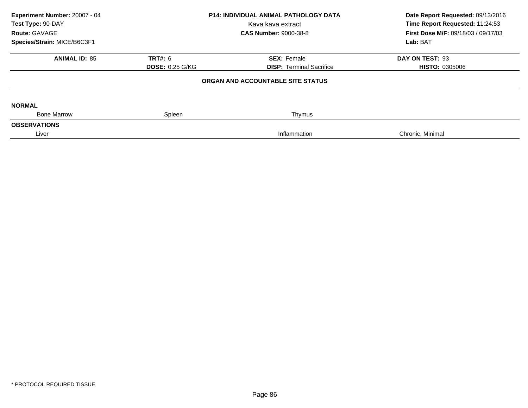| Experiment Number: 20007 - 04<br>Test Type: 90-DAY<br>Route: GAVAGE<br>Species/Strain: MICE/B6C3F1 | <b>P14: INDIVIDUAL ANIMAL PATHOLOGY DATA</b><br>Kava kava extract<br><b>CAS Number: 9000-38-8</b> |                                                       | Date Report Requested: 09/13/2016<br>Time Report Requested: 11:24:53<br>First Dose M/F: 09/18/03 / 09/17/03<br>Lab: BAT |
|----------------------------------------------------------------------------------------------------|---------------------------------------------------------------------------------------------------|-------------------------------------------------------|-------------------------------------------------------------------------------------------------------------------------|
| <b>ANIMAL ID: 85</b>                                                                               | <b>TRT#: 6</b><br><b>DOSE: 0.25 G/KG</b>                                                          | <b>SEX: Female</b><br><b>DISP: Terminal Sacrifice</b> | DAY ON TEST: 93<br><b>HISTO: 0305006</b>                                                                                |
|                                                                                                    |                                                                                                   | ORGAN AND ACCOUNTABLE SITE STATUS                     |                                                                                                                         |
| <b>NORMAL</b><br><b>Bone Marrow</b>                                                                |                                                                                                   |                                                       |                                                                                                                         |
| <b>OBSERVATIONS</b>                                                                                | Spleen                                                                                            | Thymus                                                |                                                                                                                         |
| Liver                                                                                              |                                                                                                   | Inflammation                                          | Chronic, Minimal                                                                                                        |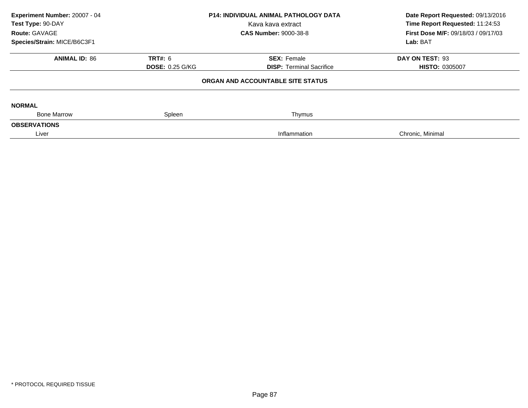| Experiment Number: 20007 - 04<br>Test Type: 90-DAY<br>Route: GAVAGE<br>Species/Strain: MICE/B6C3F1 | <b>P14: INDIVIDUAL ANIMAL PATHOLOGY DATA</b><br>Kava kava extract<br><b>CAS Number: 9000-38-8</b> |                                                       | Date Report Requested: 09/13/2016<br>Time Report Requested: 11:24:53<br>First Dose M/F: 09/18/03 / 09/17/03<br>Lab: BAT |
|----------------------------------------------------------------------------------------------------|---------------------------------------------------------------------------------------------------|-------------------------------------------------------|-------------------------------------------------------------------------------------------------------------------------|
| <b>ANIMAL ID: 86</b>                                                                               | <b>TRT#: 6</b><br><b>DOSE: 0.25 G/KG</b>                                                          | <b>SEX: Female</b><br><b>DISP: Terminal Sacrifice</b> | DAY ON TEST: 93<br><b>HISTO: 0305007</b>                                                                                |
|                                                                                                    |                                                                                                   | ORGAN AND ACCOUNTABLE SITE STATUS                     |                                                                                                                         |
| <b>NORMAL</b>                                                                                      |                                                                                                   |                                                       |                                                                                                                         |
| <b>Bone Marrow</b><br><b>OBSERVATIONS</b>                                                          | Spleen                                                                                            | Thymus                                                |                                                                                                                         |
| Liver                                                                                              |                                                                                                   | Inflammation                                          | Chronic, Minimal                                                                                                        |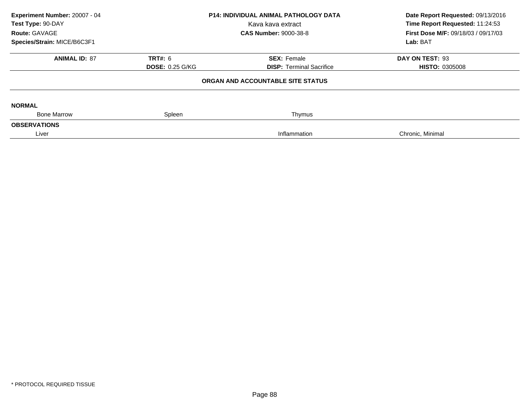| Experiment Number: 20007 - 04<br>Test Type: 90-DAY<br>Route: GAVAGE<br>Species/Strain: MICE/B6C3F1 | <b>P14: INDIVIDUAL ANIMAL PATHOLOGY DATA</b><br>Kava kava extract<br><b>CAS Number: 9000-38-8</b> |                                                       | Date Report Requested: 09/13/2016<br>Time Report Requested: 11:24:53<br>First Dose M/F: 09/18/03 / 09/17/03<br>Lab: BAT |
|----------------------------------------------------------------------------------------------------|---------------------------------------------------------------------------------------------------|-------------------------------------------------------|-------------------------------------------------------------------------------------------------------------------------|
| <b>ANIMAL ID: 87</b>                                                                               | <b>TRT#: 6</b><br><b>DOSE: 0.25 G/KG</b>                                                          | <b>SEX: Female</b><br><b>DISP:</b> Terminal Sacrifice | DAY ON TEST: 93<br><b>HISTO: 0305008</b>                                                                                |
|                                                                                                    |                                                                                                   | ORGAN AND ACCOUNTABLE SITE STATUS                     |                                                                                                                         |
| <b>NORMAL</b>                                                                                      |                                                                                                   |                                                       |                                                                                                                         |
| <b>Bone Marrow</b>                                                                                 | Spleen                                                                                            | Thymus                                                |                                                                                                                         |
| <b>OBSERVATIONS</b>                                                                                |                                                                                                   |                                                       |                                                                                                                         |
| Liver                                                                                              |                                                                                                   | Inflammation                                          | Chronic, Minimal                                                                                                        |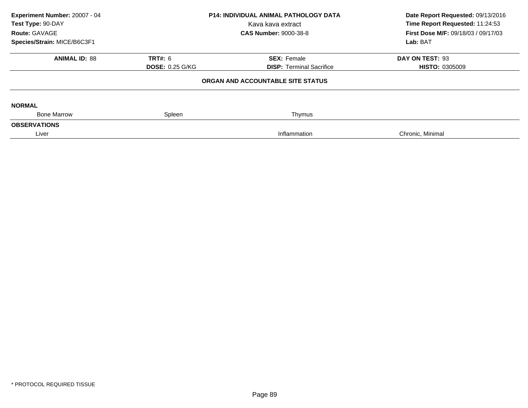| Experiment Number: 20007 - 04<br>Test Type: 90-DAY<br>Route: GAVAGE<br>Species/Strain: MICE/B6C3F1 | <b>P14: INDIVIDUAL ANIMAL PATHOLOGY DATA</b><br>Kava kava extract<br><b>CAS Number: 9000-38-8</b> |                                                       | Date Report Requested: 09/13/2016<br>Time Report Requested: 11:24:53<br>First Dose M/F: 09/18/03 / 09/17/03<br>Lab: BAT |
|----------------------------------------------------------------------------------------------------|---------------------------------------------------------------------------------------------------|-------------------------------------------------------|-------------------------------------------------------------------------------------------------------------------------|
| <b>ANIMAL ID: 88</b>                                                                               | <b>TRT#: 6</b><br><b>DOSE: 0.25 G/KG</b>                                                          | <b>SEX: Female</b><br><b>DISP: Terminal Sacrifice</b> | DAY ON TEST: 93<br><b>HISTO: 0305009</b>                                                                                |
|                                                                                                    |                                                                                                   | ORGAN AND ACCOUNTABLE SITE STATUS                     |                                                                                                                         |
| <b>NORMAL</b><br><b>Bone Marrow</b>                                                                | Spleen                                                                                            | Thymus                                                |                                                                                                                         |
| <b>OBSERVATIONS</b>                                                                                |                                                                                                   |                                                       |                                                                                                                         |
| Liver                                                                                              |                                                                                                   | Inflammation                                          | Chronic, Minimal                                                                                                        |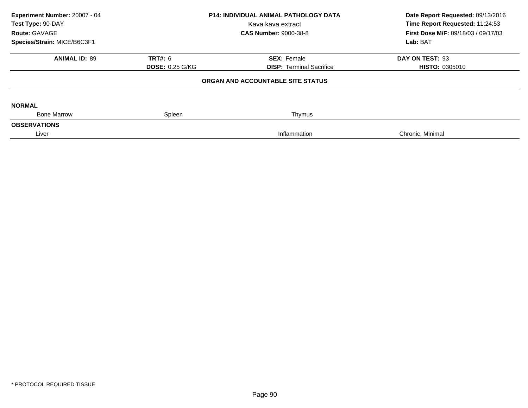| Experiment Number: 20007 - 04<br>Test Type: 90-DAY<br>Route: GAVAGE<br>Species/Strain: MICE/B6C3F1 | <b>P14: INDIVIDUAL ANIMAL PATHOLOGY DATA</b><br>Kava kava extract<br><b>CAS Number: 9000-38-8</b> |                                                       | Date Report Requested: 09/13/2016<br>Time Report Requested: 11:24:53<br>First Dose M/F: 09/18/03 / 09/17/03<br>Lab: BAT |  |
|----------------------------------------------------------------------------------------------------|---------------------------------------------------------------------------------------------------|-------------------------------------------------------|-------------------------------------------------------------------------------------------------------------------------|--|
| <b>ANIMAL ID: 89</b>                                                                               | <b>TRT#: 6</b><br><b>DOSE: 0.25 G/KG</b>                                                          | <b>SEX: Female</b><br><b>DISP: Terminal Sacrifice</b> | DAY ON TEST: 93<br><b>HISTO: 0305010</b>                                                                                |  |
| ORGAN AND ACCOUNTABLE SITE STATUS                                                                  |                                                                                                   |                                                       |                                                                                                                         |  |
| <b>NORMAL</b><br><b>Bone Marrow</b>                                                                | Spleen                                                                                            |                                                       |                                                                                                                         |  |
| <b>OBSERVATIONS</b>                                                                                |                                                                                                   | Thymus                                                |                                                                                                                         |  |
| Liver                                                                                              |                                                                                                   | Inflammation                                          | Chronic, Minimal                                                                                                        |  |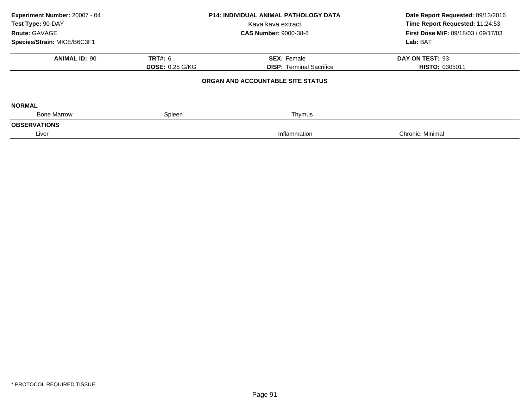| Experiment Number: 20007 - 04<br>Test Type: 90-DAY<br>Route: GAVAGE<br>Species/Strain: MICE/B6C3F1 | <b>P14: INDIVIDUAL ANIMAL PATHOLOGY DATA</b><br>Kava kava extract<br><b>CAS Number: 9000-38-8</b> |                                                       | Date Report Requested: 09/13/2016<br>Time Report Requested: 11:24:53<br>First Dose M/F: 09/18/03 / 09/17/03<br>Lab: BAT |
|----------------------------------------------------------------------------------------------------|---------------------------------------------------------------------------------------------------|-------------------------------------------------------|-------------------------------------------------------------------------------------------------------------------------|
| <b>ANIMAL ID: 90</b>                                                                               | <b>TRT#: 6</b><br><b>DOSE: 0.25 G/KG</b>                                                          | <b>SEX: Female</b><br><b>DISP: Terminal Sacrifice</b> | DAY ON TEST: 93<br><b>HISTO: 0305011</b>                                                                                |
|                                                                                                    |                                                                                                   | ORGAN AND ACCOUNTABLE SITE STATUS                     |                                                                                                                         |
| <b>NORMAL</b><br><b>Bone Marrow</b>                                                                | Spleen                                                                                            | Thymus                                                |                                                                                                                         |
| <b>OBSERVATIONS</b>                                                                                |                                                                                                   |                                                       |                                                                                                                         |
| Liver                                                                                              |                                                                                                   | Inflammation                                          | Chronic, Minimal                                                                                                        |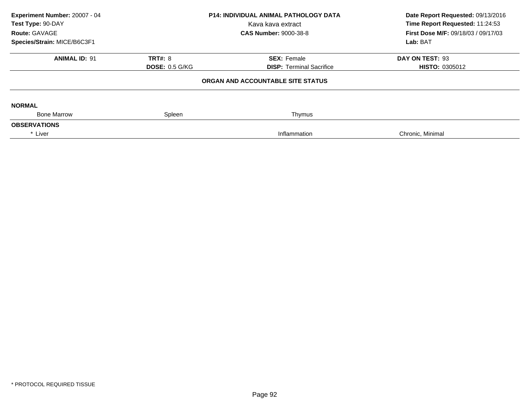| Experiment Number: 20007 - 04<br>Test Type: 90-DAY<br>Route: GAVAGE | <b>P14: INDIVIDUAL ANIMAL PATHOLOGY DATA</b><br>Kava kava extract<br><b>CAS Number: 9000-38-8</b> |                                   | Date Report Requested: 09/13/2016<br>Time Report Requested: 11:24:53<br>First Dose M/F: 09/18/03 / 09/17/03 |  |
|---------------------------------------------------------------------|---------------------------------------------------------------------------------------------------|-----------------------------------|-------------------------------------------------------------------------------------------------------------|--|
| Species/Strain: MICE/B6C3F1                                         |                                                                                                   |                                   | Lab: BAT                                                                                                    |  |
| <b>ANIMAL ID: 91</b>                                                | <b>TRT#: 8</b>                                                                                    | <b>SEX: Female</b>                | DAY ON TEST: 93                                                                                             |  |
|                                                                     | <b>DOSE: 0.5 G/KG</b>                                                                             | <b>DISP: Terminal Sacrifice</b>   | <b>HISTO: 0305012</b>                                                                                       |  |
|                                                                     |                                                                                                   | ORGAN AND ACCOUNTABLE SITE STATUS |                                                                                                             |  |
| <b>NORMAL</b>                                                       |                                                                                                   |                                   |                                                                                                             |  |
| <b>Bone Marrow</b>                                                  | Spleen                                                                                            | Thymus                            |                                                                                                             |  |
| <b>OBSERVATIONS</b>                                                 |                                                                                                   |                                   |                                                                                                             |  |
| * Liver                                                             |                                                                                                   | Inflammation                      | Chronic, Minimal                                                                                            |  |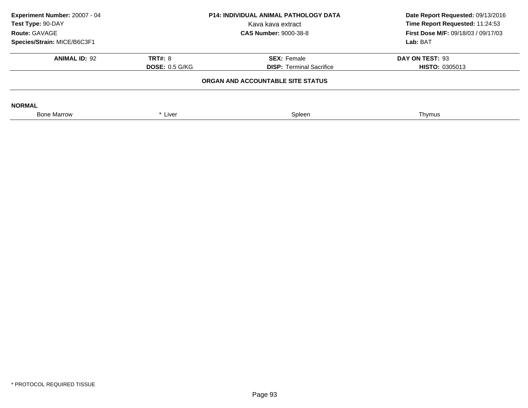| <b>P14: INDIVIDUAL ANIMAL PATHOLOGY DATA</b><br>Experiment Number: 20007 - 04<br>Test Type: 90-DAY<br>Kava kava extract<br>Route: GAVAGE |                       | <b>CAS Number: 9000-38-8</b>    | Date Report Requested: 09/13/2016<br>Time Report Requested: 11:24:53<br><b>First Dose M/F: 09/18/03 / 09/17/03</b> |  |  |
|------------------------------------------------------------------------------------------------------------------------------------------|-----------------------|---------------------------------|--------------------------------------------------------------------------------------------------------------------|--|--|
| Species/Strain: MICE/B6C3F1                                                                                                              |                       |                                 | Lab: BAT                                                                                                           |  |  |
| <b>ANIMAL ID: 92</b>                                                                                                                     | <b>TRT#: 8</b>        | <b>SEX: Female</b>              | DAY ON TEST: 93                                                                                                    |  |  |
|                                                                                                                                          | <b>DOSE: 0.5 G/KG</b> | <b>DISP:</b> Terminal Sacrifice | <b>HISTO: 0305013</b>                                                                                              |  |  |
| ORGAN AND ACCOUNTABLE SITE STATUS                                                                                                        |                       |                                 |                                                                                                                    |  |  |
| <b>NORMAL</b>                                                                                                                            |                       |                                 |                                                                                                                    |  |  |
| <b>Bone Marrow</b>                                                                                                                       | * Liver               | Spleen                          | Thymus                                                                                                             |  |  |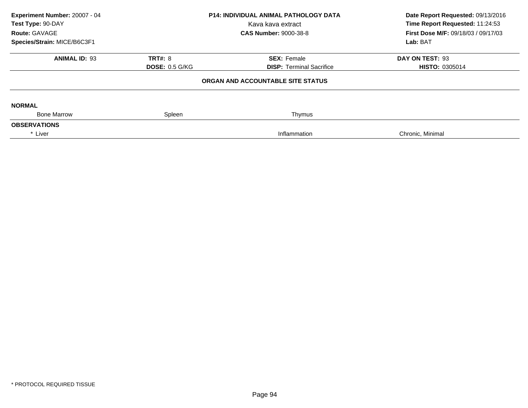| Experiment Number: 20007 - 04<br>Test Type: 90-DAY<br>Route: GAVAGE | <b>P14: INDIVIDUAL ANIMAL PATHOLOGY DATA</b><br>Kava kava extract<br><b>CAS Number: 9000-38-8</b> |                                 | Date Report Requested: 09/13/2016<br>Time Report Requested: 11:24:53<br>First Dose M/F: 09/18/03 / 09/17/03 |  |
|---------------------------------------------------------------------|---------------------------------------------------------------------------------------------------|---------------------------------|-------------------------------------------------------------------------------------------------------------|--|
| Species/Strain: MICE/B6C3F1                                         |                                                                                                   |                                 | Lab: BAT                                                                                                    |  |
| <b>ANIMAL ID: 93</b>                                                | <b>TRT#: 8</b>                                                                                    | <b>SEX: Female</b>              | DAY ON TEST: 93                                                                                             |  |
|                                                                     | <b>DOSE: 0.5 G/KG</b>                                                                             | <b>DISP: Terminal Sacrifice</b> | <b>HISTO: 0305014</b>                                                                                       |  |
| ORGAN AND ACCOUNTABLE SITE STATUS                                   |                                                                                                   |                                 |                                                                                                             |  |
| <b>NORMAL</b>                                                       |                                                                                                   |                                 |                                                                                                             |  |
| <b>Bone Marrow</b>                                                  | Spleen                                                                                            | Thymus                          |                                                                                                             |  |
| <b>OBSERVATIONS</b>                                                 |                                                                                                   |                                 |                                                                                                             |  |
| * Liver                                                             |                                                                                                   | Inflammation                    | Chronic, Minimal                                                                                            |  |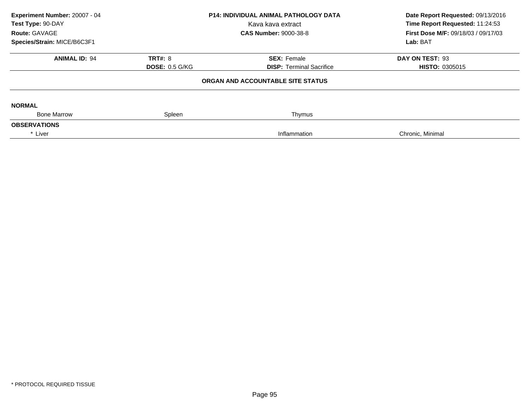| Experiment Number: 20007 - 04<br>Test Type: 90-DAY<br>Route: GAVAGE | <b>P14: INDIVIDUAL ANIMAL PATHOLOGY DATA</b><br>Kava kava extract<br><b>CAS Number: 9000-38-8</b> |                                   | Date Report Requested: 09/13/2016<br>Time Report Requested: 11:24:53<br>First Dose M/F: 09/18/03 / 09/17/03 |  |
|---------------------------------------------------------------------|---------------------------------------------------------------------------------------------------|-----------------------------------|-------------------------------------------------------------------------------------------------------------|--|
| Species/Strain: MICE/B6C3F1                                         |                                                                                                   |                                   | Lab: BAT                                                                                                    |  |
| <b>ANIMAL ID: 94</b>                                                | <b>TRT#: 8</b>                                                                                    | <b>SEX: Female</b>                | DAY ON TEST: 93                                                                                             |  |
|                                                                     | <b>DOSE: 0.5 G/KG</b>                                                                             | <b>DISP: Terminal Sacrifice</b>   | <b>HISTO: 0305015</b>                                                                                       |  |
|                                                                     |                                                                                                   | ORGAN AND ACCOUNTABLE SITE STATUS |                                                                                                             |  |
| <b>NORMAL</b>                                                       |                                                                                                   |                                   |                                                                                                             |  |
| <b>Bone Marrow</b>                                                  | Spleen                                                                                            | Thymus                            |                                                                                                             |  |
| <b>OBSERVATIONS</b>                                                 |                                                                                                   |                                   |                                                                                                             |  |
| * Liver                                                             |                                                                                                   | Inflammation                      | Chronic, Minimal                                                                                            |  |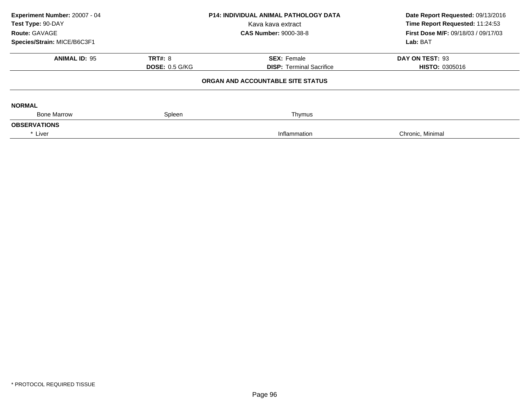| Experiment Number: 20007 - 04<br>Test Type: 90-DAY<br>Route: GAVAGE | <b>P14: INDIVIDUAL ANIMAL PATHOLOGY DATA</b><br>Kava kava extract<br><b>CAS Number: 9000-38-8</b> |                                   | Date Report Requested: 09/13/2016<br>Time Report Requested: 11:24:53<br>First Dose M/F: 09/18/03 / 09/17/03 |  |
|---------------------------------------------------------------------|---------------------------------------------------------------------------------------------------|-----------------------------------|-------------------------------------------------------------------------------------------------------------|--|
| Species/Strain: MICE/B6C3F1                                         |                                                                                                   |                                   | Lab: BAT                                                                                                    |  |
| <b>ANIMAL ID: 95</b>                                                | <b>TRT#: 8</b>                                                                                    | <b>SEX: Female</b>                | DAY ON TEST: 93                                                                                             |  |
|                                                                     | <b>DOSE: 0.5 G/KG</b>                                                                             | <b>DISP: Terminal Sacrifice</b>   | <b>HISTO: 0305016</b>                                                                                       |  |
|                                                                     |                                                                                                   | ORGAN AND ACCOUNTABLE SITE STATUS |                                                                                                             |  |
| <b>NORMAL</b>                                                       |                                                                                                   |                                   |                                                                                                             |  |
| <b>Bone Marrow</b>                                                  | Spleen                                                                                            | Thymus                            |                                                                                                             |  |
| <b>OBSERVATIONS</b>                                                 |                                                                                                   |                                   |                                                                                                             |  |
| * Liver                                                             |                                                                                                   | Inflammation                      | Chronic, Minimal                                                                                            |  |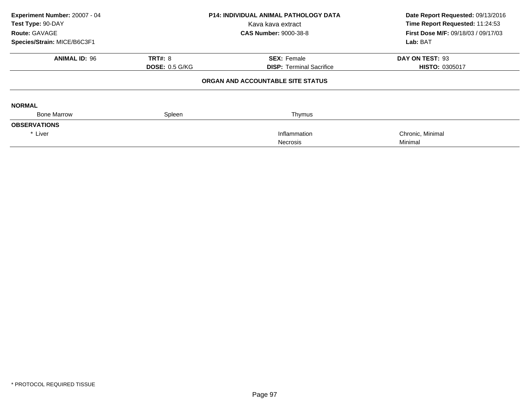| Experiment Number: 20007 - 04<br>Test Type: 90-DAY |                       | <b>P14: INDIVIDUAL ANIMAL PATHOLOGY DATA</b> | Date Report Requested: 09/13/2016          |  |
|----------------------------------------------------|-----------------------|----------------------------------------------|--------------------------------------------|--|
|                                                    |                       | Kava kava extract                            | Time Report Requested: 11:24:53            |  |
| <b>Route: GAVAGE</b>                               |                       | <b>CAS Number: 9000-38-8</b>                 | <b>First Dose M/F: 09/18/03 / 09/17/03</b> |  |
| Species/Strain: MICE/B6C3F1                        |                       |                                              | Lab: BAT                                   |  |
| <b>ANIMAL ID: 96</b>                               | <b>TRT#: 8</b>        | <b>SEX: Female</b>                           | DAY ON TEST: 93                            |  |
|                                                    | <b>DOSE: 0.5 G/KG</b> | <b>DISP: Terminal Sacrifice</b>              | HISTO: 0305017                             |  |
|                                                    |                       | ORGAN AND ACCOUNTABLE SITE STATUS            |                                            |  |
| <b>NORMAL</b>                                      |                       |                                              |                                            |  |
| <b>Bone Marrow</b>                                 | Spleen                | Thymus                                       |                                            |  |
| <b>OBSERVATIONS</b>                                |                       |                                              |                                            |  |
| * Liver                                            |                       | Inflammation                                 | Chronic, Minimal                           |  |
|                                                    |                       | <b>Necrosis</b>                              | Minimal                                    |  |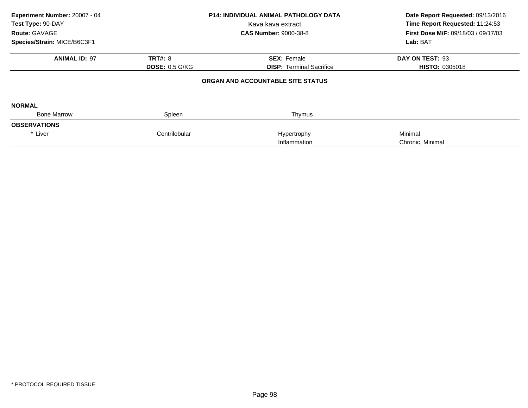| Experiment Number: 20007 - 04<br>Test Type: 90-DAY<br><b>Route: GAVAGE</b> |                       | <b>P14: INDIVIDUAL ANIMAL PATHOLOGY DATA</b><br>Kava kava extract<br><b>CAS Number: 9000-38-8</b> | Date Report Requested: 09/13/2016<br>Time Report Requested: 11:24:53<br><b>First Dose M/F: 09/18/03 / 09/17/03</b> |  |
|----------------------------------------------------------------------------|-----------------------|---------------------------------------------------------------------------------------------------|--------------------------------------------------------------------------------------------------------------------|--|
| Species/Strain: MICE/B6C3F1                                                |                       |                                                                                                   | Lab: BAT                                                                                                           |  |
| <b>ANIMAL ID: 97</b>                                                       | <b>TRT#: 8</b>        | <b>SEX: Female</b>                                                                                | DAY ON TEST: 93                                                                                                    |  |
|                                                                            | <b>DOSE: 0.5 G/KG</b> | <b>DISP:</b> Terminal Sacrifice                                                                   | <b>HISTO: 0305018</b>                                                                                              |  |
|                                                                            |                       | ORGAN AND ACCOUNTABLE SITE STATUS                                                                 |                                                                                                                    |  |
| <b>NORMAL</b>                                                              |                       |                                                                                                   |                                                                                                                    |  |
| <b>Bone Marrow</b>                                                         | Spleen                | Thymus                                                                                            |                                                                                                                    |  |
| <b>OBSERVATIONS</b>                                                        |                       |                                                                                                   |                                                                                                                    |  |
| * Liver                                                                    | Centrilobular         | Hypertrophy                                                                                       | Minimal                                                                                                            |  |
|                                                                            |                       | Inflammation                                                                                      | Chronic, Minimal                                                                                                   |  |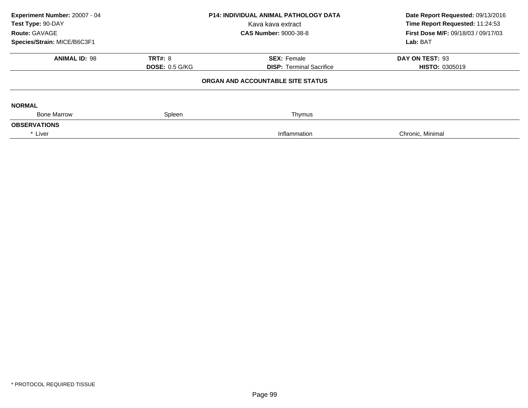| Experiment Number: 20007 - 04<br>Test Type: 90-DAY<br>Route: GAVAGE | <b>P14: INDIVIDUAL ANIMAL PATHOLOGY DATA</b><br>Kava kava extract<br><b>CAS Number: 9000-38-8</b> |                                                       | Date Report Requested: 09/13/2016<br>Time Report Requested: 11:24:53<br>First Dose M/F: 09/18/03 / 09/17/03<br>Lab: BAT |  |
|---------------------------------------------------------------------|---------------------------------------------------------------------------------------------------|-------------------------------------------------------|-------------------------------------------------------------------------------------------------------------------------|--|
| Species/Strain: MICE/B6C3F1<br><b>ANIMAL ID: 98</b>                 | <b>TRT#: 8</b><br><b>DOSE: 0.5 G/KG</b>                                                           | <b>SEX: Female</b><br><b>DISP:</b> Terminal Sacrifice | DAY ON TEST: 93<br><b>HISTO: 0305019</b>                                                                                |  |
|                                                                     |                                                                                                   | ORGAN AND ACCOUNTABLE SITE STATUS                     |                                                                                                                         |  |
| <b>NORMAL</b><br><b>Bone Marrow</b>                                 | Spleen                                                                                            | Thymus                                                |                                                                                                                         |  |
| <b>OBSERVATIONS</b>                                                 |                                                                                                   |                                                       |                                                                                                                         |  |
| * Liver                                                             |                                                                                                   | Inflammation                                          | Chronic, Minimal                                                                                                        |  |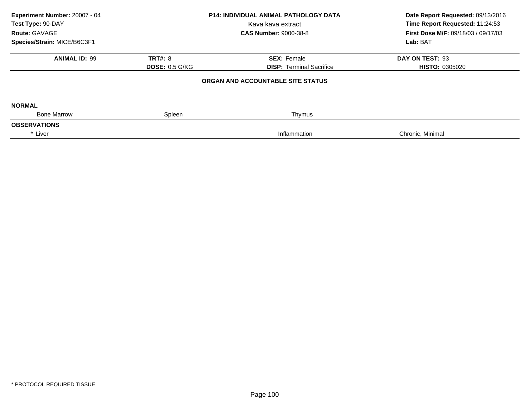| Experiment Number: 20007 - 04<br>Test Type: 90-DAY<br>Route: GAVAGE<br>Species/Strain: MICE/B6C3F1 | <b>P14: INDIVIDUAL ANIMAL PATHOLOGY DATA</b><br>Kava kava extract<br><b>CAS Number: 9000-38-8</b> |                                                       | Date Report Requested: 09/13/2016<br>Time Report Requested: 11:24:53<br>First Dose M/F: 09/18/03 / 09/17/03<br>Lab: BAT |  |
|----------------------------------------------------------------------------------------------------|---------------------------------------------------------------------------------------------------|-------------------------------------------------------|-------------------------------------------------------------------------------------------------------------------------|--|
| <b>ANIMAL ID: 99</b>                                                                               | <b>TRT#: 8</b><br><b>DOSE: 0.5 G/KG</b>                                                           | <b>SEX: Female</b><br><b>DISP:</b> Terminal Sacrifice | DAY ON TEST: 93<br><b>HISTO: 0305020</b>                                                                                |  |
|                                                                                                    |                                                                                                   | ORGAN AND ACCOUNTABLE SITE STATUS                     |                                                                                                                         |  |
| <b>NORMAL</b><br><b>Bone Marrow</b>                                                                | Spleen                                                                                            | Thymus                                                |                                                                                                                         |  |
| <b>OBSERVATIONS</b>                                                                                |                                                                                                   |                                                       |                                                                                                                         |  |
| * Liver                                                                                            |                                                                                                   | Inflammation                                          | Chronic, Minimal                                                                                                        |  |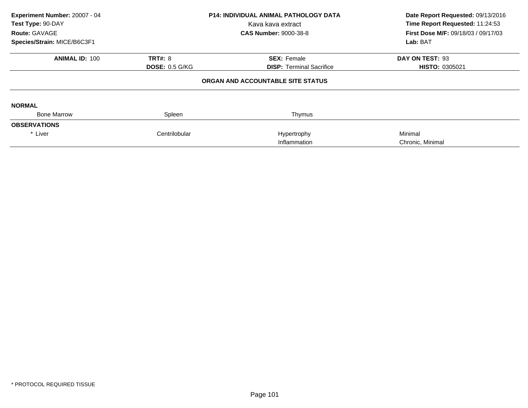| Experiment Number: 20007 - 04<br>Test Type: 90-DAY<br>Route: GAVAGE<br>Species/Strain: MICE/B6C3F1 |                       | <b>P14: INDIVIDUAL ANIMAL PATHOLOGY DATA</b><br>Kava kava extract<br><b>CAS Number: 9000-38-8</b> | Date Report Requested: 09/13/2016<br>Time Report Requested: 11:24:53<br>First Dose M/F: 09/18/03 / 09/17/03<br>Lab: BAT |
|----------------------------------------------------------------------------------------------------|-----------------------|---------------------------------------------------------------------------------------------------|-------------------------------------------------------------------------------------------------------------------------|
| <b>ANIMAL ID: 100</b>                                                                              | <b>TRT#: 8</b>        | <b>SEX: Female</b>                                                                                | DAY ON TEST: 93                                                                                                         |
|                                                                                                    | <b>DOSE: 0.5 G/KG</b> | <b>DISP:</b> Terminal Sacrifice                                                                   | <b>HISTO: 0305021</b>                                                                                                   |
|                                                                                                    |                       | ORGAN AND ACCOUNTABLE SITE STATUS                                                                 |                                                                                                                         |
| <b>NORMAL</b>                                                                                      |                       |                                                                                                   |                                                                                                                         |
| <b>Bone Marrow</b>                                                                                 | Spleen                | Thymus                                                                                            |                                                                                                                         |
| <b>OBSERVATIONS</b>                                                                                |                       |                                                                                                   |                                                                                                                         |
| * Liver                                                                                            | Centrilobular         | Hypertrophy<br>Inflammation                                                                       | Minimal<br>Chronic, Minimal                                                                                             |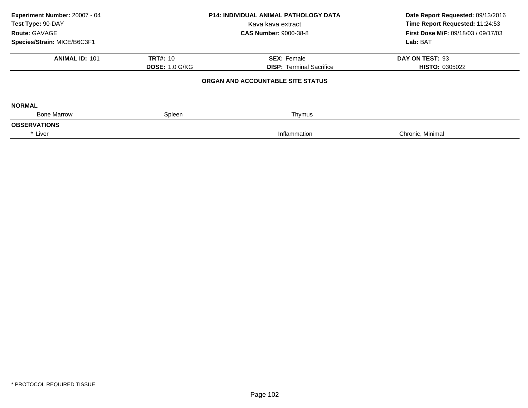| Experiment Number: 20007 - 04<br>Test Type: 90-DAY<br>Route: GAVAGE<br>Species/Strain: MICE/B6C3F1 | <b>P14: INDIVIDUAL ANIMAL PATHOLOGY DATA</b><br>Kava kava extract<br><b>CAS Number: 9000-38-8</b> |                                                       | Date Report Requested: 09/13/2016<br>Time Report Requested: 11:24:53<br>First Dose M/F: 09/18/03 / 09/17/03<br>Lab: BAT |  |
|----------------------------------------------------------------------------------------------------|---------------------------------------------------------------------------------------------------|-------------------------------------------------------|-------------------------------------------------------------------------------------------------------------------------|--|
| <b>ANIMAL ID: 101</b>                                                                              | <b>TRT#: 10</b><br><b>DOSE: 1.0 G/KG</b>                                                          | <b>SEX: Female</b><br><b>DISP: Terminal Sacrifice</b> | DAY ON TEST: 93<br><b>HISTO: 0305022</b>                                                                                |  |
|                                                                                                    |                                                                                                   | ORGAN AND ACCOUNTABLE SITE STATUS                     |                                                                                                                         |  |
| <b>NORMAL</b><br><b>Bone Marrow</b>                                                                | Spleen                                                                                            | Thymus                                                |                                                                                                                         |  |
| <b>OBSERVATIONS</b>                                                                                |                                                                                                   |                                                       |                                                                                                                         |  |
| * Liver                                                                                            |                                                                                                   | Inflammation                                          | Chronic, Minimal                                                                                                        |  |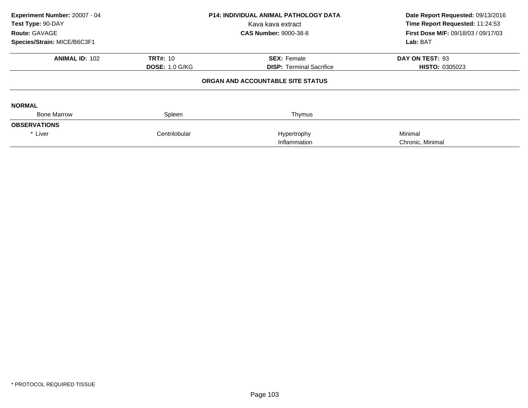| Experiment Number: 20007 - 04<br>Test Type: 90-DAY<br>Route: GAVAGE<br>Species/Strain: MICE/B6C3F1 |                       | <b>P14: INDIVIDUAL ANIMAL PATHOLOGY DATA</b><br>Kava kava extract<br><b>CAS Number: 9000-38-8</b> | Date Report Requested: 09/13/2016<br>Time Report Requested: 11:24:53<br>First Dose M/F: 09/18/03 / 09/17/03<br>Lab: BAT |
|----------------------------------------------------------------------------------------------------|-----------------------|---------------------------------------------------------------------------------------------------|-------------------------------------------------------------------------------------------------------------------------|
| <b>ANIMAL ID: 102</b>                                                                              | <b>TRT#: 10</b>       | <b>SEX: Female</b>                                                                                | DAY ON TEST: 93                                                                                                         |
|                                                                                                    | <b>DOSE: 1.0 G/KG</b> | <b>DISP:</b> Terminal Sacrifice                                                                   | <b>HISTO: 0305023</b>                                                                                                   |
|                                                                                                    |                       | ORGAN AND ACCOUNTABLE SITE STATUS                                                                 |                                                                                                                         |
| <b>NORMAL</b>                                                                                      |                       |                                                                                                   |                                                                                                                         |
| <b>Bone Marrow</b>                                                                                 | Spleen                | Thymus                                                                                            |                                                                                                                         |
| <b>OBSERVATIONS</b>                                                                                |                       |                                                                                                   |                                                                                                                         |
| * Liver                                                                                            | Centrilobular         | Hypertrophy<br>Inflammation                                                                       | Minimal<br>Chronic, Minimal                                                                                             |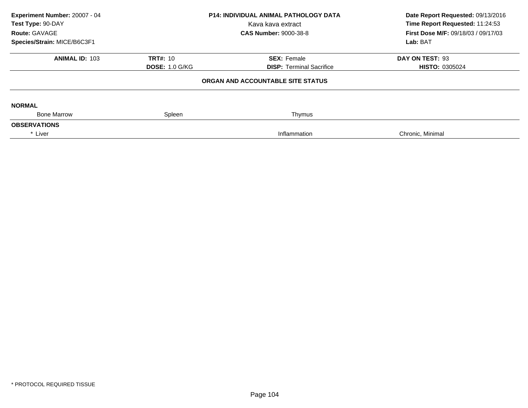| Experiment Number: 20007 - 04<br>Test Type: 90-DAY<br>Route: GAVAGE | <b>P14: INDIVIDUAL ANIMAL PATHOLOGY DATA</b><br>Kava kava extract<br><b>CAS Number: 9000-38-8</b> |                                   | Date Report Requested: 09/13/2016<br>Time Report Requested: 11:24:53<br>First Dose M/F: 09/18/03 / 09/17/03 |  |
|---------------------------------------------------------------------|---------------------------------------------------------------------------------------------------|-----------------------------------|-------------------------------------------------------------------------------------------------------------|--|
| Species/Strain: MICE/B6C3F1                                         |                                                                                                   |                                   | Lab: BAT                                                                                                    |  |
| <b>ANIMAL ID: 103</b>                                               | <b>TRT#: 10</b>                                                                                   | <b>SEX: Female</b>                | DAY ON TEST: 93                                                                                             |  |
|                                                                     | <b>DOSE: 1.0 G/KG</b>                                                                             | <b>DISP:</b> Terminal Sacrifice   | <b>HISTO: 0305024</b>                                                                                       |  |
|                                                                     |                                                                                                   | ORGAN AND ACCOUNTABLE SITE STATUS |                                                                                                             |  |
| <b>NORMAL</b>                                                       |                                                                                                   |                                   |                                                                                                             |  |
| <b>Bone Marrow</b>                                                  | Spleen                                                                                            | Thymus                            |                                                                                                             |  |
| <b>OBSERVATIONS</b>                                                 |                                                                                                   |                                   |                                                                                                             |  |
| * Liver                                                             |                                                                                                   | Inflammation                      | Chronic, Minimal                                                                                            |  |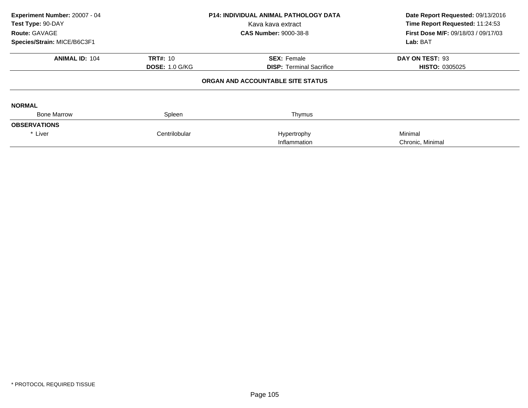|                       | Kava kava extract<br><b>CAS Number: 9000-38-8</b> | Date Report Requested: 09/13/2016<br>Time Report Requested: 11:24:53<br>First Dose M/F: 09/18/03 / 09/17/03<br>Lab: BAT |
|-----------------------|---------------------------------------------------|-------------------------------------------------------------------------------------------------------------------------|
| <b>TRT#: 10</b>       | <b>SEX: Female</b>                                | DAY ON TEST: 93                                                                                                         |
| <b>DOSE: 1.0 G/KG</b> | <b>DISP:</b> Terminal Sacrifice                   | <b>HISTO: 0305025</b>                                                                                                   |
|                       |                                                   |                                                                                                                         |
|                       |                                                   |                                                                                                                         |
| Spleen                | Thymus                                            |                                                                                                                         |
|                       |                                                   |                                                                                                                         |
| Centrilobular         | Hypertrophy                                       | Minimal                                                                                                                 |
|                       | Inflammation                                      | Chronic, Minimal                                                                                                        |
|                       |                                                   | <b>P14: INDIVIDUAL ANIMAL PATHOLOGY DATA</b><br>ORGAN AND ACCOUNTABLE SITE STATUS                                       |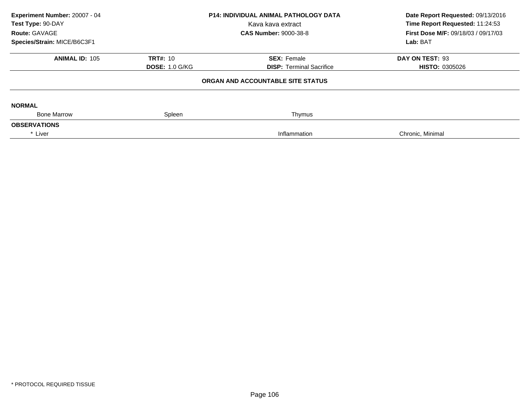| Experiment Number: 20007 - 04<br>Test Type: 90-DAY<br>Route: GAVAGE | <b>P14: INDIVIDUAL ANIMAL PATHOLOGY DATA</b><br>Kava kava extract<br><b>CAS Number: 9000-38-8</b> |                                   | Date Report Requested: 09/13/2016<br>Time Report Requested: 11:24:53<br>First Dose M/F: 09/18/03 / 09/17/03 |  |
|---------------------------------------------------------------------|---------------------------------------------------------------------------------------------------|-----------------------------------|-------------------------------------------------------------------------------------------------------------|--|
| Species/Strain: MICE/B6C3F1                                         |                                                                                                   |                                   | Lab: BAT                                                                                                    |  |
| <b>ANIMAL ID: 105</b>                                               | <b>TRT#: 10</b>                                                                                   | <b>SEX: Female</b>                | DAY ON TEST: 93                                                                                             |  |
|                                                                     | <b>DOSE: 1.0 G/KG</b>                                                                             | <b>DISP: Terminal Sacrifice</b>   | <b>HISTO: 0305026</b>                                                                                       |  |
|                                                                     |                                                                                                   | ORGAN AND ACCOUNTABLE SITE STATUS |                                                                                                             |  |
| <b>NORMAL</b>                                                       |                                                                                                   |                                   |                                                                                                             |  |
| <b>Bone Marrow</b>                                                  | Spleen                                                                                            | Thymus                            |                                                                                                             |  |
| <b>OBSERVATIONS</b>                                                 |                                                                                                   |                                   |                                                                                                             |  |
| * Liver                                                             |                                                                                                   | Inflammation                      | Chronic, Minimal                                                                                            |  |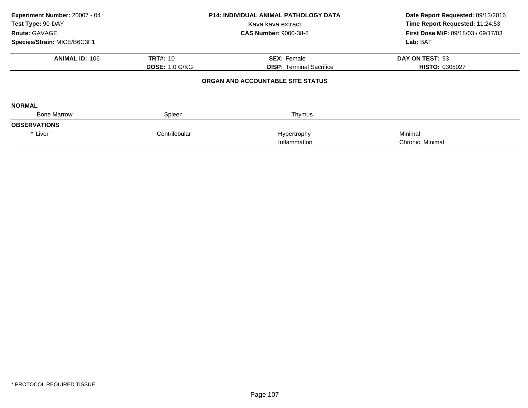| Experiment Number: 20007 - 04<br>Test Type: 90-DAY<br>Route: GAVAGE<br>Species/Strain: MICE/B6C3F1 |                       | <b>P14: INDIVIDUAL ANIMAL PATHOLOGY DATA</b><br>Kava kava extract<br><b>CAS Number: 9000-38-8</b> | Date Report Requested: 09/13/2016<br>Time Report Requested: 11:24:53<br>First Dose M/F: 09/18/03 / 09/17/03<br>Lab: BAT |
|----------------------------------------------------------------------------------------------------|-----------------------|---------------------------------------------------------------------------------------------------|-------------------------------------------------------------------------------------------------------------------------|
| <b>ANIMAL ID: 106</b>                                                                              | <b>TRT#: 10</b>       | <b>SEX: Female</b>                                                                                | DAY ON TEST: 93                                                                                                         |
|                                                                                                    | <b>DOSE: 1.0 G/KG</b> | <b>DISP: Terminal Sacrifice</b>                                                                   | <b>HISTO: 0305027</b>                                                                                                   |
|                                                                                                    |                       | ORGAN AND ACCOUNTABLE SITE STATUS                                                                 |                                                                                                                         |
| <b>NORMAL</b>                                                                                      |                       |                                                                                                   |                                                                                                                         |
| <b>Bone Marrow</b>                                                                                 | Spleen                | Thymus                                                                                            |                                                                                                                         |
| <b>OBSERVATIONS</b>                                                                                |                       |                                                                                                   |                                                                                                                         |
| * Liver                                                                                            | Centrilobular         | Hypertrophy<br>Inflammation                                                                       | Minimal<br>Chronic, Minimal                                                                                             |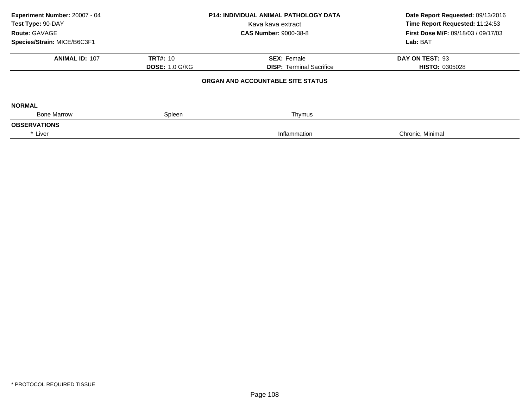| Experiment Number: 20007 - 04<br>Test Type: 90-DAY<br>Route: GAVAGE<br>Species/Strain: MICE/B6C3F1 | <b>P14: INDIVIDUAL ANIMAL PATHOLOGY DATA</b><br>Kava kava extract<br><b>CAS Number: 9000-38-8</b> |                                                       | Date Report Requested: 09/13/2016<br>Time Report Requested: 11:24:53<br>First Dose M/F: 09/18/03 / 09/17/03<br>Lab: BAT |  |
|----------------------------------------------------------------------------------------------------|---------------------------------------------------------------------------------------------------|-------------------------------------------------------|-------------------------------------------------------------------------------------------------------------------------|--|
| <b>ANIMAL ID: 107</b>                                                                              | <b>TRT#: 10</b><br><b>DOSE: 1.0 G/KG</b>                                                          | <b>SEX: Female</b><br><b>DISP: Terminal Sacrifice</b> | DAY ON TEST: 93<br><b>HISTO: 0305028</b>                                                                                |  |
|                                                                                                    |                                                                                                   | ORGAN AND ACCOUNTABLE SITE STATUS                     |                                                                                                                         |  |
| <b>NORMAL</b><br><b>Bone Marrow</b>                                                                | Spleen                                                                                            | Thymus                                                |                                                                                                                         |  |
| <b>OBSERVATIONS</b>                                                                                |                                                                                                   |                                                       |                                                                                                                         |  |
| * Liver                                                                                            |                                                                                                   | Inflammation                                          | Chronic, Minimal                                                                                                        |  |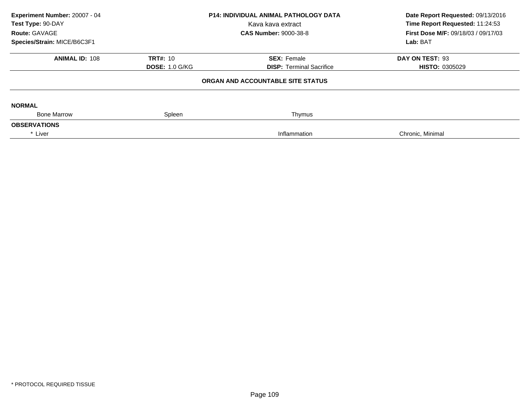| Experiment Number: 20007 - 04<br>Test Type: 90-DAY<br>Route: GAVAGE |                       | <b>P14: INDIVIDUAL ANIMAL PATHOLOGY DATA</b><br>Kava kava extract<br><b>CAS Number: 9000-38-8</b> | Date Report Requested: 09/13/2016<br>Time Report Requested: 11:24:53<br>First Dose M/F: 09/18/03 / 09/17/03 |
|---------------------------------------------------------------------|-----------------------|---------------------------------------------------------------------------------------------------|-------------------------------------------------------------------------------------------------------------|
| Species/Strain: MICE/B6C3F1                                         |                       |                                                                                                   | Lab: BAT                                                                                                    |
| <b>ANIMAL ID: 108</b>                                               | <b>TRT#: 10</b>       | <b>SEX: Female</b>                                                                                | DAY ON TEST: 93                                                                                             |
|                                                                     | <b>DOSE: 1.0 G/KG</b> | <b>DISP:</b> Terminal Sacrifice                                                                   | <b>HISTO: 0305029</b>                                                                                       |
|                                                                     |                       | ORGAN AND ACCOUNTABLE SITE STATUS                                                                 |                                                                                                             |
| <b>NORMAL</b>                                                       |                       |                                                                                                   |                                                                                                             |
| <b>Bone Marrow</b>                                                  | Spleen                | Thymus                                                                                            |                                                                                                             |
| <b>OBSERVATIONS</b>                                                 |                       |                                                                                                   |                                                                                                             |
| * Liver                                                             |                       | Inflammation                                                                                      | Chronic, Minimal                                                                                            |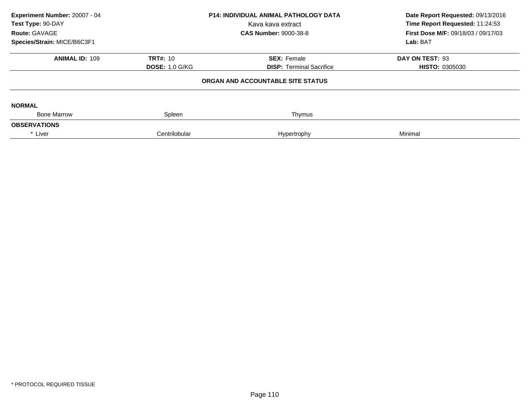| Experiment Number: 20007 - 04<br>Test Type: 90-DAY<br>Route: GAVAGE<br>Species/Strain: MICE/B6C3F1 | <b>P14: INDIVIDUAL ANIMAL PATHOLOGY DATA</b><br>Kava kava extract<br><b>CAS Number: 9000-38-8</b> |                                                       | Date Report Requested: 09/13/2016<br>Time Report Requested: 11:24:53<br>First Dose M/F: 09/18/03 / 09/17/03<br>Lab: BAT |
|----------------------------------------------------------------------------------------------------|---------------------------------------------------------------------------------------------------|-------------------------------------------------------|-------------------------------------------------------------------------------------------------------------------------|
| <b>ANIMAL ID: 109</b>                                                                              | <b>TRT#: 10</b><br><b>DOSE: 1.0 G/KG</b>                                                          | <b>SEX: Female</b><br><b>DISP: Terminal Sacrifice</b> | DAY ON TEST: 93<br><b>HISTO: 0305030</b>                                                                                |
|                                                                                                    |                                                                                                   | ORGAN AND ACCOUNTABLE SITE STATUS                     |                                                                                                                         |
| <b>NORMAL</b>                                                                                      |                                                                                                   |                                                       |                                                                                                                         |
| <b>Bone Marrow</b>                                                                                 | Spleen                                                                                            | Thymus                                                |                                                                                                                         |
| <b>OBSERVATIONS</b>                                                                                |                                                                                                   |                                                       |                                                                                                                         |
| * Liver                                                                                            | Centrilobular                                                                                     | Hypertrophy                                           | Minimal                                                                                                                 |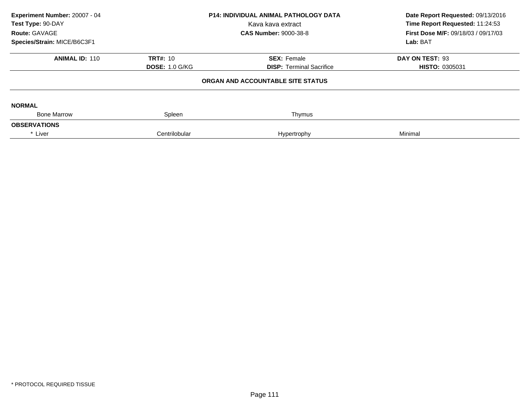| Experiment Number: 20007 - 04<br>Test Type: 90-DAY<br>Route: GAVAGE<br>Species/Strain: MICE/B6C3F1 |                       | P14: INDIVIDUAL ANIMAL PATHOLOGY DATA<br>Kava kava extract<br><b>CAS Number: 9000-38-8</b> | Date Report Requested: 09/13/2016<br>Time Report Requested: 11:24:53<br>First Dose M/F: 09/18/03 / 09/17/03<br>Lab: BAT |
|----------------------------------------------------------------------------------------------------|-----------------------|--------------------------------------------------------------------------------------------|-------------------------------------------------------------------------------------------------------------------------|
| <b>ANIMAL ID: 110</b>                                                                              | <b>TRT#: 10</b>       | <b>SEX: Female</b>                                                                         | DAY ON TEST: 93                                                                                                         |
|                                                                                                    | <b>DOSE: 1.0 G/KG</b> | <b>DISP: Terminal Sacrifice</b>                                                            | <b>HISTO: 0305031</b>                                                                                                   |
|                                                                                                    |                       | ORGAN AND ACCOUNTABLE SITE STATUS                                                          |                                                                                                                         |
| <b>NORMAL</b>                                                                                      |                       |                                                                                            |                                                                                                                         |
| <b>Bone Marrow</b>                                                                                 | Spleen                | Thymus                                                                                     |                                                                                                                         |
| <b>OBSERVATIONS</b>                                                                                |                       |                                                                                            |                                                                                                                         |
| * Liver                                                                                            | Centrilobular         | Hypertrophy                                                                                | Minimal                                                                                                                 |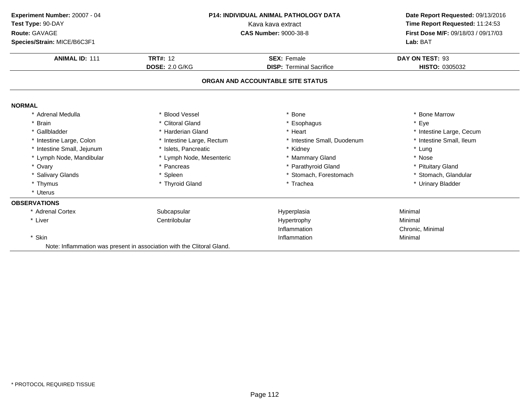| Experiment Number: 20007 - 04<br>Test Type: 90-DAY<br>Route: GAVAGE | P14: INDIVIDUAL ANIMAL PATHOLOGY DATA<br>Kava kava extract<br><b>CAS Number: 9000-38-8</b> |                                   | Date Report Requested: 09/13/2016<br>Time Report Requested: 11:24:53<br>First Dose M/F: 09/18/03 / 09/17/03 |  |
|---------------------------------------------------------------------|--------------------------------------------------------------------------------------------|-----------------------------------|-------------------------------------------------------------------------------------------------------------|--|
| Species/Strain: MICE/B6C3F1                                         |                                                                                            |                                   | Lab: BAT                                                                                                    |  |
| <b>ANIMAL ID: 111</b>                                               | <b>TRT#: 12</b>                                                                            | <b>SEX: Female</b>                | DAY ON TEST: 93                                                                                             |  |
|                                                                     | <b>DOSE: 2.0 G/KG</b>                                                                      | <b>DISP: Terminal Sacrifice</b>   | HISTO: 0305032                                                                                              |  |
|                                                                     |                                                                                            | ORGAN AND ACCOUNTABLE SITE STATUS |                                                                                                             |  |
| <b>NORMAL</b>                                                       |                                                                                            |                                   |                                                                                                             |  |
| Adrenal Medulla                                                     | * Blood Vessel                                                                             | Bone                              | <b>Bone Marrow</b>                                                                                          |  |
| * Brain                                                             | * Clitoral Gland                                                                           | * Esophagus                       | * Eye                                                                                                       |  |
| * Gallbladder                                                       | * Harderian Gland                                                                          | * Heart                           | * Intestine Large, Cecum                                                                                    |  |
| * Intestine Large, Colon                                            | * Intestine Large, Rectum                                                                  | * Intestine Small, Duodenum       | * Intestine Small, Ileum                                                                                    |  |
| * Intestine Small, Jejunum                                          | * Islets, Pancreatic                                                                       | * Kidney                          | * Lung                                                                                                      |  |
| * Lymph Node, Mandibular                                            | * Lymph Node, Mesenteric                                                                   | * Mammary Gland                   | * Nose                                                                                                      |  |
| * Ovary                                                             | * Pancreas                                                                                 | * Parathyroid Gland               | * Pituitary Gland                                                                                           |  |
| * Salivary Glands                                                   | * Spleen                                                                                   | * Stomach, Forestomach            | * Stomach, Glandular                                                                                        |  |
| * Thymus                                                            | * Thyroid Gland                                                                            | * Trachea                         | * Urinary Bladder                                                                                           |  |
| * Uterus                                                            |                                                                                            |                                   |                                                                                                             |  |
| <b>OBSERVATIONS</b>                                                 |                                                                                            |                                   |                                                                                                             |  |
| * Adrenal Cortex                                                    | Subcapsular                                                                                | Hyperplasia                       | Minimal                                                                                                     |  |
| * Liver                                                             | Centrilobular                                                                              | Hypertrophy                       | Minimal                                                                                                     |  |
|                                                                     |                                                                                            | Inflammation                      | Chronic, Minimal                                                                                            |  |
| * Skin                                                              |                                                                                            | Inflammation                      | Minimal                                                                                                     |  |
|                                                                     | Note: Inflammation was present in association with the Clitoral Gland.                     |                                   |                                                                                                             |  |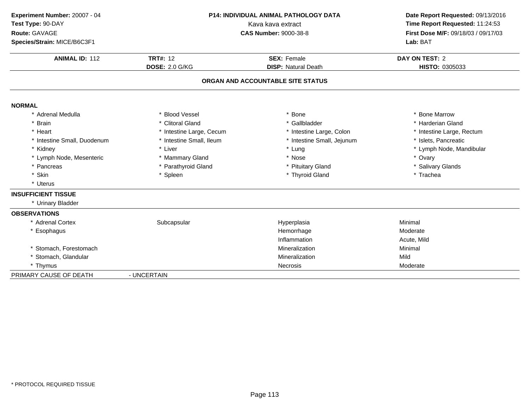| Experiment Number: 20007 - 04<br>Test Type: 90-DAY<br>Route: GAVAGE<br>Species/Strain: MICE/B6C3F1 |                                          | P14: INDIVIDUAL ANIMAL PATHOLOGY DATA<br>Kava kava extract<br><b>CAS Number: 9000-38-8</b> |                                         |
|----------------------------------------------------------------------------------------------------|------------------------------------------|--------------------------------------------------------------------------------------------|-----------------------------------------|
| <b>ANIMAL ID: 112</b>                                                                              | <b>TRT#: 12</b><br><b>DOSE: 2.0 G/KG</b> | <b>SEX: Female</b><br><b>DISP: Natural Death</b>                                           | <b>DAY ON TEST: 2</b><br>HISTO: 0305033 |
|                                                                                                    |                                          | ORGAN AND ACCOUNTABLE SITE STATUS                                                          |                                         |
| <b>NORMAL</b>                                                                                      |                                          |                                                                                            |                                         |
| * Adrenal Medulla                                                                                  | * Blood Vessel                           | * Bone                                                                                     | * Bone Marrow                           |
| * Brain                                                                                            | * Clitoral Gland                         | * Gallbladder                                                                              | * Harderian Gland                       |
| * Heart                                                                                            | * Intestine Large, Cecum                 | * Intestine Large, Colon                                                                   | * Intestine Large, Rectum               |
| * Intestine Small, Duodenum                                                                        | * Intestine Small, Ileum                 | * Intestine Small, Jejunum                                                                 | * Islets, Pancreatic                    |
| * Kidney                                                                                           | * Liver                                  | * Lung                                                                                     | * Lymph Node, Mandibular                |
| * Lymph Node, Mesenteric                                                                           | * Mammary Gland                          | * Nose                                                                                     | * Ovary                                 |
| * Pancreas                                                                                         | * Parathyroid Gland                      | * Pituitary Gland                                                                          | * Salivary Glands                       |
| * Skin                                                                                             | * Spleen                                 | * Thyroid Gland                                                                            | * Trachea                               |
| * Uterus                                                                                           |                                          |                                                                                            |                                         |
| <b>INSUFFICIENT TISSUE</b>                                                                         |                                          |                                                                                            |                                         |
| * Urinary Bladder                                                                                  |                                          |                                                                                            |                                         |
| <b>OBSERVATIONS</b>                                                                                |                                          |                                                                                            |                                         |
| * Adrenal Cortex                                                                                   | Subcapsular                              | Hyperplasia                                                                                | Minimal                                 |
| Esophagus                                                                                          |                                          | Hemorrhage                                                                                 | Moderate                                |
|                                                                                                    |                                          | Inflammation                                                                               | Acute, Mild                             |
| * Stomach, Forestomach                                                                             |                                          | Mineralization                                                                             | Minimal                                 |
| * Stomach, Glandular                                                                               |                                          | Mineralization                                                                             | Mild                                    |
| * Thymus                                                                                           |                                          | <b>Necrosis</b>                                                                            | Moderate                                |
| PRIMARY CAUSE OF DEATH                                                                             | - UNCERTAIN                              |                                                                                            |                                         |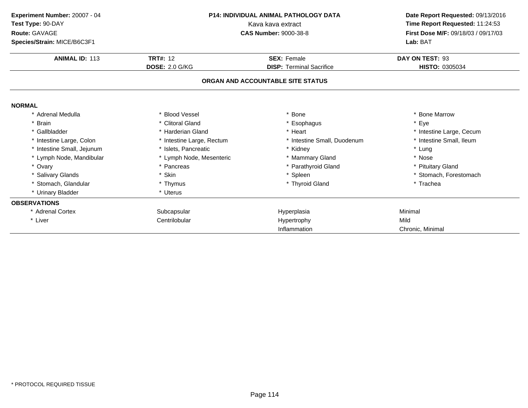| Experiment Number: 20007 - 04<br>Test Type: 90-DAY<br>Route: GAVAGE<br>Species/Strain: MICE/B6C3F1 | <b>P14: INDIVIDUAL ANIMAL PATHOLOGY DATA</b><br>Kava kava extract<br><b>CAS Number: 9000-38-8</b> |                                   | Date Report Requested: 09/13/2016<br>Time Report Requested: 11:24:53<br>First Dose M/F: 09/18/03 / 09/17/03<br>Lab: BAT |  |
|----------------------------------------------------------------------------------------------------|---------------------------------------------------------------------------------------------------|-----------------------------------|-------------------------------------------------------------------------------------------------------------------------|--|
| <b>ANIMAL ID: 113</b>                                                                              | <b>TRT#: 12</b>                                                                                   | <b>SEX: Female</b>                | DAY ON TEST: 93                                                                                                         |  |
|                                                                                                    | <b>DOSE: 2.0 G/KG</b>                                                                             | <b>DISP: Terminal Sacrifice</b>   | HISTO: 0305034                                                                                                          |  |
|                                                                                                    |                                                                                                   | ORGAN AND ACCOUNTABLE SITE STATUS |                                                                                                                         |  |
| <b>NORMAL</b>                                                                                      |                                                                                                   |                                   |                                                                                                                         |  |
| * Adrenal Medulla                                                                                  | <b>Blood Vessel</b>                                                                               | Bone                              | * Bone Marrow                                                                                                           |  |
| * Brain                                                                                            | * Clitoral Gland                                                                                  | * Esophagus                       | * Eye                                                                                                                   |  |
| * Gallbladder                                                                                      | * Harderian Gland                                                                                 | * Heart                           | * Intestine Large, Cecum                                                                                                |  |
| * Intestine Large, Colon                                                                           | * Intestine Large, Rectum                                                                         | * Intestine Small, Duodenum       | * Intestine Small, Ileum                                                                                                |  |
| * Intestine Small, Jejunum                                                                         | * Islets, Pancreatic                                                                              | * Kidney                          | * Lung                                                                                                                  |  |
| * Lymph Node, Mandibular                                                                           | * Lymph Node, Mesenteric                                                                          | * Mammary Gland                   | * Nose                                                                                                                  |  |
| * Ovary                                                                                            | * Pancreas                                                                                        | * Parathyroid Gland               | * Pituitary Gland                                                                                                       |  |
| * Salivary Glands                                                                                  | * Skin                                                                                            | * Spleen                          | * Stomach, Forestomach                                                                                                  |  |
| * Stomach, Glandular                                                                               | * Thymus                                                                                          | * Thyroid Gland                   | * Trachea                                                                                                               |  |
| * Urinary Bladder                                                                                  | * Uterus                                                                                          |                                   |                                                                                                                         |  |
| <b>OBSERVATIONS</b>                                                                                |                                                                                                   |                                   |                                                                                                                         |  |
| * Adrenal Cortex                                                                                   | Subcapsular                                                                                       | Hyperplasia                       | Minimal                                                                                                                 |  |
| * Liver                                                                                            | Centrilobular                                                                                     | Hypertrophy                       | Mild                                                                                                                    |  |
|                                                                                                    |                                                                                                   | Inflammation                      | Chronic, Minimal                                                                                                        |  |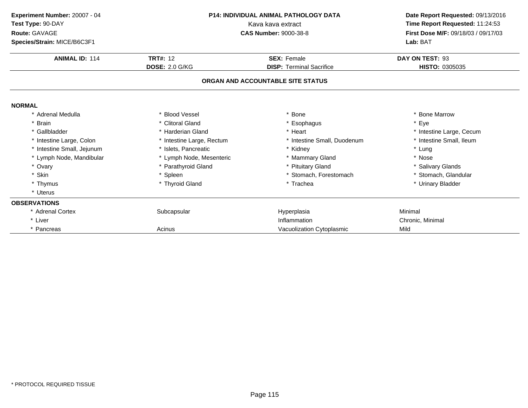| Experiment Number: 20007 - 04<br>Test Type: 90-DAY<br>Route: GAVAGE<br>Species/Strain: MICE/B6C3F1 |                           | <b>P14: INDIVIDUAL ANIMAL PATHOLOGY DATA</b><br>Kava kava extract<br><b>CAS Number: 9000-38-8</b> | Date Report Requested: 09/13/2016<br>Time Report Requested: 11:24:53<br>First Dose M/F: 09/18/03 / 09/17/03<br>Lab: BAT |
|----------------------------------------------------------------------------------------------------|---------------------------|---------------------------------------------------------------------------------------------------|-------------------------------------------------------------------------------------------------------------------------|
| <b>ANIMAL ID: 114</b>                                                                              | <b>TRT#: 12</b>           | <b>SEX: Female</b>                                                                                | DAY ON TEST: 93                                                                                                         |
|                                                                                                    | <b>DOSE: 2.0 G/KG</b>     | <b>DISP: Terminal Sacrifice</b>                                                                   | HISTO: 0305035                                                                                                          |
|                                                                                                    |                           | ORGAN AND ACCOUNTABLE SITE STATUS                                                                 |                                                                                                                         |
| <b>NORMAL</b>                                                                                      |                           |                                                                                                   |                                                                                                                         |
| * Adrenal Medulla                                                                                  | * Blood Vessel            | * Bone                                                                                            | * Bone Marrow                                                                                                           |
| * Brain                                                                                            | * Clitoral Gland          | * Esophagus                                                                                       | * Eye                                                                                                                   |
| * Gallbladder                                                                                      | * Harderian Gland         | * Heart                                                                                           | * Intestine Large, Cecum                                                                                                |
| * Intestine Large, Colon                                                                           | * Intestine Large, Rectum | * Intestine Small, Duodenum                                                                       | * Intestine Small, Ileum                                                                                                |
| * Intestine Small, Jejunum                                                                         | * Islets, Pancreatic      | * Kidney                                                                                          | * Lung                                                                                                                  |
| * Lymph Node, Mandibular                                                                           | * Lymph Node, Mesenteric  | * Mammary Gland                                                                                   | * Nose                                                                                                                  |
| * Ovary                                                                                            | * Parathyroid Gland       | * Pituitary Gland                                                                                 | * Salivary Glands                                                                                                       |
| * Skin                                                                                             | * Spleen                  | * Stomach, Forestomach                                                                            | * Stomach, Glandular                                                                                                    |
| * Thymus                                                                                           | * Thyroid Gland           | * Trachea                                                                                         | * Urinary Bladder                                                                                                       |
| * Uterus                                                                                           |                           |                                                                                                   |                                                                                                                         |
| <b>OBSERVATIONS</b>                                                                                |                           |                                                                                                   |                                                                                                                         |
| * Adrenal Cortex                                                                                   | Subcapsular               | Hyperplasia                                                                                       | Minimal                                                                                                                 |
| * Liver                                                                                            |                           | Inflammation                                                                                      | Chronic, Minimal                                                                                                        |
| * Pancreas                                                                                         | Acinus                    | Vacuolization Cytoplasmic                                                                         | Mild                                                                                                                    |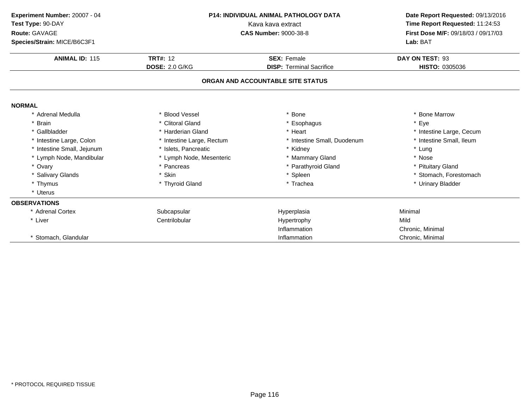| Experiment Number: 20007 - 04<br>Test Type: 90-DAY<br>Route: GAVAGE<br>Species/Strain: MICE/B6C3F1 | <b>P14: INDIVIDUAL ANIMAL PATHOLOGY DATA</b><br>Kava kava extract<br><b>CAS Number: 9000-38-8</b> |                                   | Date Report Requested: 09/13/2016<br>Time Report Requested: 11:24:53<br>First Dose M/F: 09/18/03 / 09/17/03<br>Lab: BAT |
|----------------------------------------------------------------------------------------------------|---------------------------------------------------------------------------------------------------|-----------------------------------|-------------------------------------------------------------------------------------------------------------------------|
| <b>ANIMAL ID: 115</b>                                                                              | <b>TRT#: 12</b>                                                                                   | <b>SEX: Female</b>                | DAY ON TEST: 93                                                                                                         |
|                                                                                                    | <b>DOSE: 2.0 G/KG</b>                                                                             | <b>DISP: Terminal Sacrifice</b>   | HISTO: 0305036                                                                                                          |
|                                                                                                    |                                                                                                   | ORGAN AND ACCOUNTABLE SITE STATUS |                                                                                                                         |
| <b>NORMAL</b>                                                                                      |                                                                                                   |                                   |                                                                                                                         |
| * Adrenal Medulla                                                                                  | * Blood Vessel                                                                                    | * Bone                            | * Bone Marrow                                                                                                           |
| * Brain                                                                                            | * Clitoral Gland                                                                                  | * Esophagus                       | * Eye                                                                                                                   |
| * Gallbladder                                                                                      | * Harderian Gland                                                                                 | * Heart                           | * Intestine Large, Cecum                                                                                                |
| * Intestine Large, Colon                                                                           | * Intestine Large, Rectum                                                                         | * Intestine Small, Duodenum       | * Intestine Small, Ileum                                                                                                |
| * Intestine Small, Jejunum                                                                         | * Islets, Pancreatic                                                                              | * Kidney                          | * Lung                                                                                                                  |
| * Lymph Node, Mandibular                                                                           | * Lymph Node, Mesenteric                                                                          | * Mammary Gland                   | * Nose                                                                                                                  |
| * Ovary                                                                                            | * Pancreas                                                                                        | * Parathyroid Gland               | * Pituitary Gland                                                                                                       |
| * Salivary Glands                                                                                  | * Skin                                                                                            | * Spleen                          | * Stomach, Forestomach                                                                                                  |
| * Thymus                                                                                           | * Thyroid Gland                                                                                   | * Trachea                         | * Urinary Bladder                                                                                                       |
| * Uterus                                                                                           |                                                                                                   |                                   |                                                                                                                         |
| <b>OBSERVATIONS</b>                                                                                |                                                                                                   |                                   |                                                                                                                         |
| * Adrenal Cortex                                                                                   | Subcapsular                                                                                       | Hyperplasia                       | Minimal                                                                                                                 |
| * Liver                                                                                            | Centrilobular                                                                                     | Hypertrophy                       | Mild                                                                                                                    |
|                                                                                                    |                                                                                                   | Inflammation                      | Chronic, Minimal                                                                                                        |
| * Stomach, Glandular                                                                               |                                                                                                   | Inflammation                      | Chronic, Minimal                                                                                                        |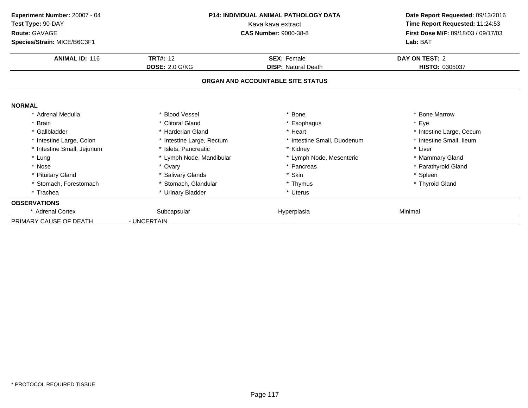| Experiment Number: 20007 - 04<br>Test Type: 90-DAY | <b>P14: INDIVIDUAL ANIMAL PATHOLOGY DATA</b><br>Kava kava extract |                                   | Date Report Requested: 09/13/2016<br>Time Report Requested: 11:24:53 |  |
|----------------------------------------------------|-------------------------------------------------------------------|-----------------------------------|----------------------------------------------------------------------|--|
| Route: GAVAGE                                      |                                                                   | <b>CAS Number: 9000-38-8</b>      | First Dose M/F: 09/18/03 / 09/17/03                                  |  |
| Species/Strain: MICE/B6C3F1                        |                                                                   |                                   | Lab: BAT                                                             |  |
| <b>ANIMAL ID: 116</b>                              | <b>TRT#: 12</b>                                                   | <b>SEX: Female</b>                | <b>DAY ON TEST: 2</b>                                                |  |
|                                                    | <b>DOSE: 2.0 G/KG</b>                                             | <b>DISP:</b> Natural Death        | HISTO: 0305037                                                       |  |
|                                                    |                                                                   | ORGAN AND ACCOUNTABLE SITE STATUS |                                                                      |  |
| <b>NORMAL</b>                                      |                                                                   |                                   |                                                                      |  |
| * Adrenal Medulla                                  | * Blood Vessel                                                    | <b>Bone</b>                       | <b>Bone Marrow</b>                                                   |  |
| * Brain                                            | * Clitoral Gland                                                  | Esophagus                         | * Eye                                                                |  |
| * Gallbladder                                      | * Harderian Gland                                                 | * Heart                           | * Intestine Large, Cecum                                             |  |
| * Intestine Large, Colon                           | * Intestine Large, Rectum                                         | * Intestine Small, Duodenum       | * Intestine Small, Ileum                                             |  |
| * Intestine Small, Jejunum                         | * Islets, Pancreatic                                              | * Kidney                          | * Liver                                                              |  |
| * Lung                                             | * Lymph Node, Mandibular                                          | * Lymph Node, Mesenteric          | * Mammary Gland                                                      |  |
| * Nose                                             | * Ovary                                                           | Pancreas                          | * Parathyroid Gland                                                  |  |
| * Pituitary Gland                                  | * Salivary Glands                                                 | * Skin                            | * Spleen                                                             |  |
| * Stomach, Forestomach                             | * Stomach, Glandular                                              | * Thymus                          | * Thyroid Gland                                                      |  |
| * Trachea                                          | * Urinary Bladder                                                 | * Uterus                          |                                                                      |  |
| <b>OBSERVATIONS</b>                                |                                                                   |                                   |                                                                      |  |
| * Adrenal Cortex                                   | Subcapsular                                                       | Hyperplasia                       | Minimal                                                              |  |
| PRIMARY CAUSE OF DEATH                             | - UNCERTAIN                                                       |                                   |                                                                      |  |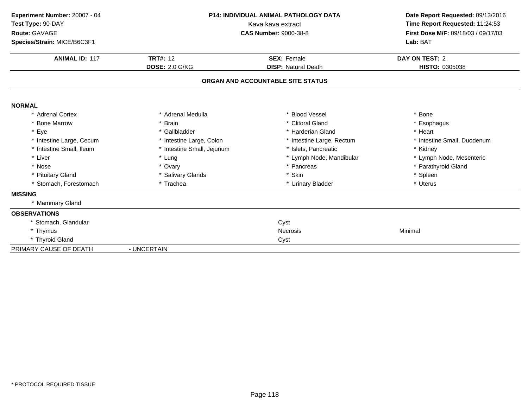| Experiment Number: 20007 - 04<br>Test Type: 90-DAY | P14: INDIVIDUAL ANIMAL PATHOLOGY DATA<br>Kava kava extract<br><b>CAS Number: 9000-38-8</b> |                                   | Date Report Requested: 09/13/2016<br>Time Report Requested: 11:24:53<br>First Dose M/F: 09/18/03 / 09/17/03<br>Lab: BAT |  |
|----------------------------------------------------|--------------------------------------------------------------------------------------------|-----------------------------------|-------------------------------------------------------------------------------------------------------------------------|--|
| Route: GAVAGE<br>Species/Strain: MICE/B6C3F1       |                                                                                            |                                   |                                                                                                                         |  |
| <b>ANIMAL ID: 117</b>                              | <b>TRT#: 12</b>                                                                            | <b>SEX: Female</b>                | <b>DAY ON TEST: 2</b>                                                                                                   |  |
|                                                    | <b>DOSE: 2.0 G/KG</b>                                                                      | <b>DISP: Natural Death</b>        | <b>HISTO: 0305038</b>                                                                                                   |  |
|                                                    |                                                                                            | ORGAN AND ACCOUNTABLE SITE STATUS |                                                                                                                         |  |
| <b>NORMAL</b>                                      |                                                                                            |                                   |                                                                                                                         |  |
| * Adrenal Cortex                                   | * Adrenal Medulla                                                                          | * Blood Vessel                    | * Bone                                                                                                                  |  |
| * Bone Marrow                                      | * Brain                                                                                    | * Clitoral Gland                  | * Esophagus                                                                                                             |  |
| * Eye                                              | * Gallbladder                                                                              | * Harderian Gland                 | * Heart                                                                                                                 |  |
| * Intestine Large, Cecum                           | * Intestine Large, Colon                                                                   | * Intestine Large, Rectum         | * Intestine Small, Duodenum                                                                                             |  |
| * Intestine Small, Ileum                           | * Intestine Small, Jejunum                                                                 | * Islets, Pancreatic              | * Kidney                                                                                                                |  |
| * Liver                                            | * Lung                                                                                     | * Lymph Node, Mandibular          | * Lymph Node, Mesenteric                                                                                                |  |
| * Nose                                             | * Ovary                                                                                    | * Pancreas                        | * Parathyroid Gland                                                                                                     |  |
| * Pituitary Gland                                  | * Salivary Glands                                                                          | * Skin                            | * Spleen                                                                                                                |  |
| Stomach, Forestomach                               | * Trachea                                                                                  | * Urinary Bladder                 | * Uterus                                                                                                                |  |
| <b>MISSING</b>                                     |                                                                                            |                                   |                                                                                                                         |  |
| * Mammary Gland                                    |                                                                                            |                                   |                                                                                                                         |  |
| <b>OBSERVATIONS</b>                                |                                                                                            |                                   |                                                                                                                         |  |
| * Stomach, Glandular                               |                                                                                            | Cyst                              |                                                                                                                         |  |
| * Thymus                                           |                                                                                            | <b>Necrosis</b>                   | Minimal                                                                                                                 |  |
| * Thyroid Gland                                    |                                                                                            | Cyst                              |                                                                                                                         |  |
| PRIMARY CAUSE OF DEATH                             | - UNCERTAIN                                                                                |                                   |                                                                                                                         |  |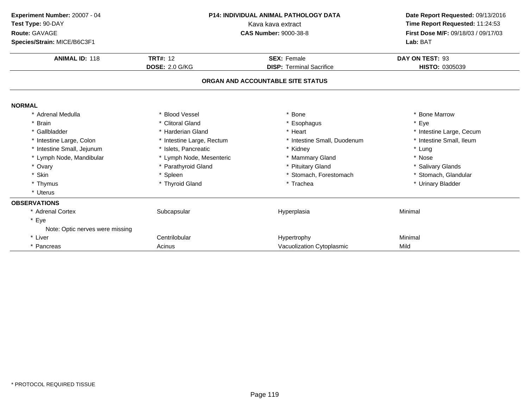| Experiment Number: 20007 - 04<br>Test Type: 90-DAY<br>Route: GAVAGE<br>Species/Strain: MICE/B6C3F1 | P14: INDIVIDUAL ANIMAL PATHOLOGY DATA<br>Kava kava extract<br><b>CAS Number: 9000-38-8</b> |                                                       | Date Report Requested: 09/13/2016<br>Time Report Requested: 11:24:53<br>First Dose M/F: 09/18/03 / 09/17/03<br>Lab: BAT |  |
|----------------------------------------------------------------------------------------------------|--------------------------------------------------------------------------------------------|-------------------------------------------------------|-------------------------------------------------------------------------------------------------------------------------|--|
| <b>ANIMAL ID: 118</b>                                                                              | <b>TRT#: 12</b><br><b>DOSE: 2.0 G/KG</b>                                                   | <b>SEX: Female</b><br><b>DISP: Terminal Sacrifice</b> | DAY ON TEST: 93<br>HISTO: 0305039                                                                                       |  |
|                                                                                                    |                                                                                            |                                                       |                                                                                                                         |  |
|                                                                                                    |                                                                                            | ORGAN AND ACCOUNTABLE SITE STATUS                     |                                                                                                                         |  |
| <b>NORMAL</b>                                                                                      |                                                                                            |                                                       |                                                                                                                         |  |
| * Adrenal Medulla                                                                                  | * Blood Vessel                                                                             | * Bone                                                | * Bone Marrow                                                                                                           |  |
| * Brain                                                                                            | * Clitoral Gland                                                                           | * Esophagus                                           | * Eye                                                                                                                   |  |
| * Gallbladder                                                                                      | * Harderian Gland                                                                          | * Heart                                               | * Intestine Large, Cecum                                                                                                |  |
| * Intestine Large, Colon                                                                           | * Intestine Large, Rectum                                                                  | * Intestine Small, Duodenum                           | * Intestine Small, Ileum                                                                                                |  |
| * Intestine Small, Jejunum                                                                         | * Islets, Pancreatic                                                                       | * Kidney                                              | * Lung                                                                                                                  |  |
| * Lymph Node, Mandibular                                                                           | * Lymph Node, Mesenteric                                                                   | * Mammary Gland                                       | * Nose                                                                                                                  |  |
| * Ovary                                                                                            | * Parathyroid Gland                                                                        | * Pituitary Gland                                     | * Salivary Glands                                                                                                       |  |
| * Skin                                                                                             | * Spleen                                                                                   | * Stomach, Forestomach                                | * Stomach, Glandular                                                                                                    |  |
| * Thymus                                                                                           | * Thyroid Gland                                                                            | * Trachea                                             | * Urinary Bladder                                                                                                       |  |
| * Uterus                                                                                           |                                                                                            |                                                       |                                                                                                                         |  |
| <b>OBSERVATIONS</b>                                                                                |                                                                                            |                                                       |                                                                                                                         |  |
| * Adrenal Cortex                                                                                   | Subcapsular                                                                                | Hyperplasia                                           | Minimal                                                                                                                 |  |
| * Eye<br>Note: Optic nerves were missing                                                           |                                                                                            |                                                       |                                                                                                                         |  |
| * Liver                                                                                            | Centrilobular                                                                              | Hypertrophy                                           | Minimal                                                                                                                 |  |
| * Pancreas                                                                                         | Acinus                                                                                     | Vacuolization Cytoplasmic                             | Mild                                                                                                                    |  |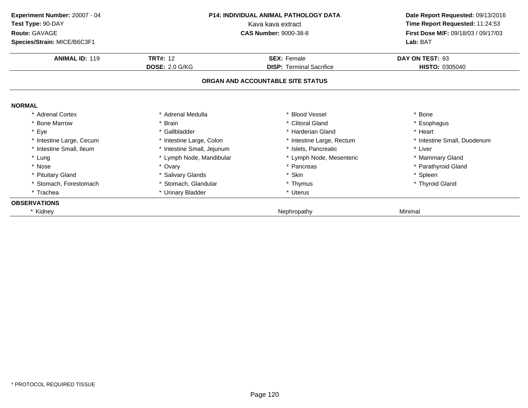| Experiment Number: 20007 - 04<br><b>P14: INDIVIDUAL ANIMAL PATHOLOGY DATA</b><br>Test Type: 90-DAY<br>Kava kava extract |                            |                                   | Date Report Requested: 09/13/2016   |
|-------------------------------------------------------------------------------------------------------------------------|----------------------------|-----------------------------------|-------------------------------------|
|                                                                                                                         |                            |                                   | Time Report Requested: 11:24:53     |
| Route: GAVAGE                                                                                                           |                            | <b>CAS Number: 9000-38-8</b>      | First Dose M/F: 09/18/03 / 09/17/03 |
| Species/Strain: MICE/B6C3F1                                                                                             |                            |                                   | Lab: BAT                            |
| <b>ANIMAL ID: 119</b>                                                                                                   | <b>TRT#: 12</b>            | <b>SEX: Female</b>                | DAY ON TEST: 93                     |
|                                                                                                                         | <b>DOSE: 2.0 G/KG</b>      | <b>DISP: Terminal Sacrifice</b>   | <b>HISTO: 0305040</b>               |
|                                                                                                                         |                            | ORGAN AND ACCOUNTABLE SITE STATUS |                                     |
| <b>NORMAL</b>                                                                                                           |                            |                                   |                                     |
| * Adrenal Cortex                                                                                                        | * Adrenal Medulla          | * Blood Vessel                    | * Bone                              |
| * Bone Marrow                                                                                                           | * Brain                    | * Clitoral Gland                  | * Esophagus                         |
| * Eye                                                                                                                   | * Gallbladder              | * Harderian Gland                 | * Heart                             |
| * Intestine Large, Cecum                                                                                                | * Intestine Large, Colon   | * Intestine Large, Rectum         | * Intestine Small, Duodenum         |
| * Intestine Small, Ileum                                                                                                | * Intestine Small, Jejunum | * Islets, Pancreatic              | * Liver                             |
| * Lung                                                                                                                  | * Lymph Node, Mandibular   | * Lymph Node, Mesenteric          | * Mammary Gland                     |
| * Nose                                                                                                                  | * Ovary                    | * Pancreas                        | * Parathyroid Gland                 |
| * Pituitary Gland                                                                                                       | * Salivary Glands          | * Skin                            | * Spleen                            |
| * Stomach, Forestomach                                                                                                  | * Stomach, Glandular       | * Thymus                          | * Thyroid Gland                     |
| * Trachea                                                                                                               | * Urinary Bladder          | * Uterus                          |                                     |
| <b>OBSERVATIONS</b>                                                                                                     |                            |                                   |                                     |
| * Kidney                                                                                                                |                            | Nephropathy                       | Minimal                             |